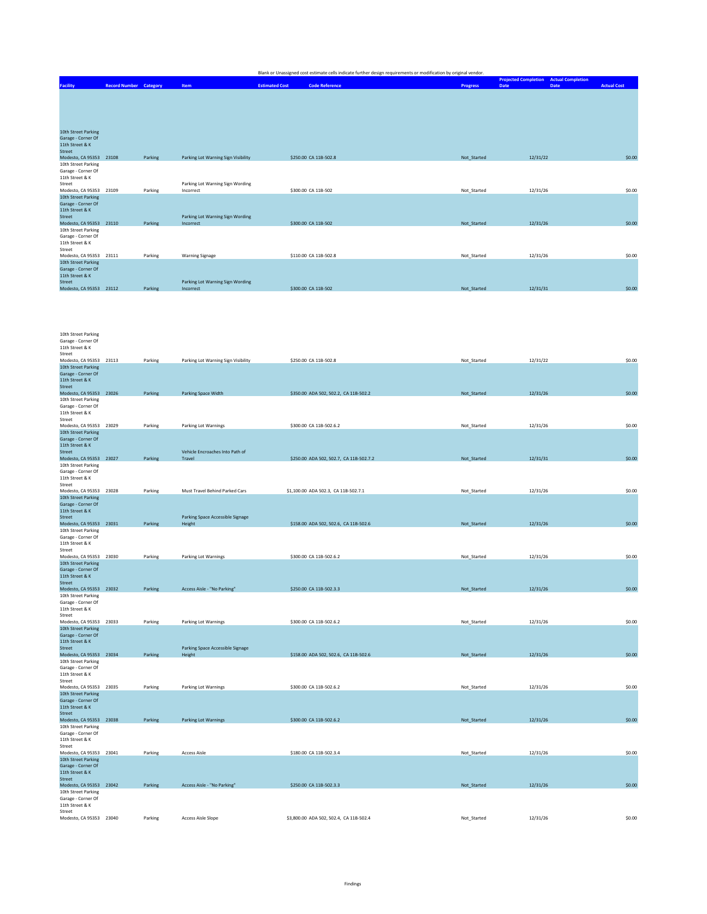| Blank or Unassigned cost estimate cells indicate further design requirements or modification by original vendor. |
|------------------------------------------------------------------------------------------------------------------|
|------------------------------------------------------------------------------------------------------------------|

|                                                                                                            |                 | <b>Projected Completion Actual Completion</b> |                    |
|------------------------------------------------------------------------------------------------------------|-----------------|-----------------------------------------------|--------------------|
| <b>Code Reference</b><br><b>Estimated Cost</b><br><b>Record Number Category</b><br>Item<br><b>Facility</b> | <b>Progress</b> | Date<br>Date                                  | <b>Actual Cost</b> |
|                                                                                                            |                 |                                               |                    |
|                                                                                                            |                 |                                               |                    |
|                                                                                                            |                 |                                               |                    |
|                                                                                                            |                 |                                               |                    |
|                                                                                                            |                 |                                               |                    |
| 10th Street Parking                                                                                        |                 |                                               |                    |
| Garage - Corner Of                                                                                         |                 |                                               |                    |
| 11th Street & K                                                                                            |                 |                                               |                    |
| <b>Street</b>                                                                                              |                 |                                               |                    |
| Modesto, CA 95353 23108<br>Parking<br>Parking Lot Warning Sign Visibility<br>\$250.00 CA 11B-502.8         | Not Started     | 12/31/22                                      | \$0.00             |
| 10th Street Parking                                                                                        |                 |                                               |                    |
| Garage - Corner Of                                                                                         |                 |                                               |                    |
| 11th Street & K                                                                                            |                 |                                               |                    |
| Parking Lot Warning Sign Wording<br>Street                                                                 |                 | 12/31/26                                      | \$0.00             |
| Modesto, CA 95353 23109<br>Parking<br>\$300.00 CA 11B-502<br>Incorrect<br>10th Street Parking              | Not Started     |                                               |                    |
| Garage - Corner Of                                                                                         |                 |                                               |                    |
| 11th Street & K                                                                                            |                 |                                               |                    |
| Parking Lot Warning Sign Wording<br><b>Street</b>                                                          |                 |                                               |                    |
| Modesto, CA 95353 23110<br>Parking<br>\$300.00 CA 11B-502<br>Incorrect                                     | Not Started     | 12/31/26                                      | \$0.00             |
| 10th Street Parking                                                                                        |                 |                                               |                    |
| Garage - Corner Of                                                                                         |                 |                                               |                    |
| 11th Street & K                                                                                            |                 |                                               |                    |
| Street                                                                                                     |                 |                                               |                    |
| \$110.00 CA 11B-502.8<br>Modesto, CA 95353 23111<br>Parking<br><b>Warning Signage</b>                      | Not Started     | 12/31/26                                      | \$0.00             |
| 10th Street Parking<br>Garage - Corner Of                                                                  |                 |                                               |                    |
| 11th Street & K                                                                                            |                 |                                               |                    |
| Parking Lot Warning Sign Wording<br><b>Street</b>                                                          |                 |                                               |                    |
| Modesto, CA 95353 23112<br>Parking<br>\$300.00 CA 11B-502<br>Incorrect                                     | Not Started     | 12/31/31                                      | \$0.00             |

| 10th Street Parking<br>Garage - Corner Of<br>11th Street & K<br>Street                            |         |                                            |                                         |             |          |        |
|---------------------------------------------------------------------------------------------------|---------|--------------------------------------------|-----------------------------------------|-------------|----------|--------|
| Modesto, CA 95353 23113<br>10th Street Parking<br>Garage - Corner Of                              | Parking | Parking Lot Warning Sign Visibility        | \$250.00 CA 11B-502.8                   | Not Started | 12/31/22 | \$0.00 |
| 11th Street & K<br>Street                                                                         |         |                                            |                                         |             |          |        |
| Modesto, CA 95353 23026<br>10th Street Parking<br>Garage - Corner Of<br>11th Street & K           | Parking | Parking Space Width                        | \$350.00 ADA 502, 502.2, CA 11B-502.2   | Not_Started | 12/31/26 | \$0.00 |
| Street<br>Modesto, CA 95353 23029                                                                 | Parking | Parking Lot Warnings                       | \$300.00 CA 11B-502.6.2                 | Not_Started | 12/31/26 | \$0.00 |
| 10th Street Parking<br>Garage - Corner Of<br>11th Street & K<br>Street                            |         | Vehicle Encroaches Into Path of            |                                         |             |          |        |
| Modesto, CA 95353 23027<br>10th Street Parking<br>Garage - Corner Of<br>11th Street & K           | Parking | Travel                                     | \$250.00 ADA 502, 502.7, CA 11B-502.7.2 | Not_Started | 12/31/31 | \$0.00 |
| Street<br>Modesto, CA 95353 23028                                                                 | Parking | Must Travel Behind Parked Cars             | \$1,100.00 ADA 502.3, CA 11B-502.7.1    | Not_Started | 12/31/26 | \$0.00 |
| 10th Street Parking<br>Garage - Corner Of<br>11th Street & K                                      |         |                                            |                                         |             |          |        |
| <b>Street</b><br>Modesto, CA 95353 23031                                                          | Parking | Parking Space Accessible Signage<br>Height | \$158.00 ADA 502, 502.6, CA 11B-502.6   | Not_Started | 12/31/26 | \$0.00 |
| 10th Street Parking<br>Garage - Corner Of<br>11th Street & K<br>Street                            |         |                                            |                                         |             |          |        |
| Modesto, CA 95353 23030<br>10th Street Parking                                                    | Parking | Parking Lot Warnings                       | \$300.00 CA 11B-502.6.2                 | Not_Started | 12/31/26 | \$0.00 |
| Garage - Corner Of<br>11th Street & K<br>Street                                                   |         |                                            |                                         |             |          |        |
| Modesto, CA 95353 23032<br>10th Street Parking<br>Garage - Corner Of<br>11th Street & K<br>Street | Parking | Access Aisle - "No Parking"                | \$250.00 CA 11B-502.3.3                 | Not_Started | 12/31/26 | \$0.00 |
| Modesto, CA 95353 23033                                                                           | Parking | Parking Lot Warnings                       | \$300.00 CA 11B-502.6.2                 | Not Started | 12/31/26 | \$0.00 |
| 10th Street Parking<br>Garage - Corner Of<br>11th Street & K<br>Street                            |         | Parking Space Accessible Signage           |                                         |             |          |        |
| Modesto, CA 95353 23034<br>10th Street Parking                                                    | Parking | Height                                     | \$158.00 ADA 502, 502.6, CA 11B-502.6   | Not_Started | 12/31/26 | \$0.00 |
| Garage - Corner Of<br>11th Street & K<br>Street                                                   |         |                                            |                                         |             |          |        |
| Modesto, CA 95353 23035<br>10th Street Parking                                                    | Parking | Parking Lot Warnings                       | \$300.00 CA 11B-502.6.2                 | Not_Started | 12/31/26 | \$0.00 |
| Garage - Corner Of<br>11th Street & K<br>Street                                                   |         |                                            |                                         |             |          |        |
| Modesto, CA 95353 23038<br>10th Street Parking                                                    | Parking | <b>Parking Lot Warnings</b>                | \$300.00 CA 11B-502.6.2                 | Not_Started | 12/31/26 | \$0.00 |
| Garage - Corner Of<br>11th Street & K<br>Street                                                   |         |                                            |                                         |             |          |        |
| Modesto, CA 95353 23041<br>10th Street Parking                                                    | Parking | <b>Access Aisle</b>                        | \$180.00 CA 11B-502.3.4                 | Not_Started | 12/31/26 | \$0.00 |
| Garage - Corner Of<br>11th Street & K<br>Street                                                   |         |                                            |                                         |             |          |        |
| Modesto, CA 95353 23042<br>10th Street Parking                                                    | Parking | Access Aisle - "No Parking"                | \$250.00 CA 11B-502.3.3                 | Not_Started | 12/31/26 | \$0.00 |
| Garage - Corner Of<br>11th Street & K<br>Street                                                   |         |                                            |                                         |             |          |        |
| Modesto, CA 95353 23040                                                                           | Parking | <b>Access Aisle Slope</b>                  | \$3,800.00 ADA 502, 502.4, CA 11B-502.4 | Not_Started | 12/31/26 | \$0.00 |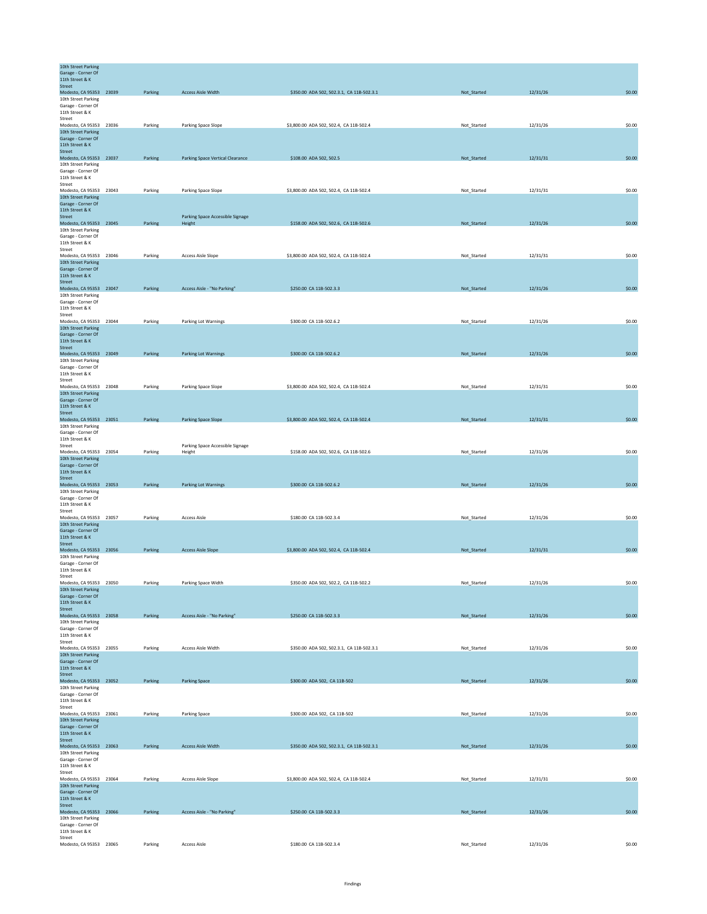| 10th Street Parking<br>Garage - Corner Of<br>11th Street & K |         |                                         |                                           |             |          |        |
|--------------------------------------------------------------|---------|-----------------------------------------|-------------------------------------------|-------------|----------|--------|
| <b>Street</b><br>Modesto, CA 95353 23039                     | Parking | <b>Access Aisle Width</b>               | \$350.00 ADA 502, 502.3.1, CA 11B-502.3.1 | Not_Started | 12/31/26 | \$0.00 |
| 10th Street Parking                                          |         |                                         |                                           |             |          |        |
| Garage - Corner Of<br>11th Street & K                        |         |                                         |                                           |             |          |        |
| Street                                                       |         |                                         |                                           |             |          |        |
| Modesto, CA 95353 23036<br>10th Street Parking               | Parking | Parking Space Slope                     | \$3,800.00 ADA 502, 502.4, CA 11B-502.4   | Not_Started | 12/31/26 | \$0.00 |
| Garage - Corner Of                                           |         |                                         |                                           |             |          |        |
| 11th Street & K                                              |         |                                         |                                           |             |          |        |
| Street<br>Modesto, CA 95353 23037                            | Parking | <b>Parking Space Vertical Clearance</b> | \$108.00 ADA 502, 502.5                   | Not_Started | 12/31/31 | \$0.00 |
| 10th Street Parking                                          |         |                                         |                                           |             |          |        |
| Garage - Corner Of<br>11th Street & K                        |         |                                         |                                           |             |          |        |
| Street                                                       |         |                                         |                                           |             |          |        |
| Modesto, CA 95353 23043<br>10th Street Parking               | Parking | Parking Space Slope                     | \$3,800.00 ADA 502, 502.4, CA 11B-502.4   | Not_Started | 12/31/31 | \$0.00 |
| Garage - Corner Of                                           |         |                                         |                                           |             |          |        |
| 11th Street & K<br>Street                                    |         | Parking Space Accessible Signage        |                                           |             |          |        |
| Modesto, CA 95353 23045                                      | Parking | Height                                  | \$158.00 ADA 502, 502.6, CA 11B-502.6     | Not_Started | 12/31/26 | \$0.00 |
| 10th Street Parking<br>Garage - Corner Of                    |         |                                         |                                           |             |          |        |
| 11th Street & K                                              |         |                                         |                                           |             |          |        |
| Street                                                       |         |                                         |                                           |             |          |        |
| Modesto, CA 95353 23046<br>10th Street Parking               | Parking | <b>Access Aisle Slope</b>               | \$3,800.00 ADA 502, 502.4, CA 11B-502.4   | Not_Started | 12/31/31 | \$0.00 |
| Garage - Corner Of<br>11th Street & K                        |         |                                         |                                           |             |          |        |
| Street                                                       |         |                                         |                                           |             |          |        |
| Modesto, CA 95353 23047                                      | Parking | Access Aisle - "No Parking"             | \$250.00 CA 11B-502.3.3                   | Not_Started | 12/31/26 | \$0.00 |
| 10th Street Parking<br>Garage - Corner Of                    |         |                                         |                                           |             |          |        |
| 11th Street & K                                              |         |                                         |                                           |             |          |        |
| Street<br>Modesto, CA 95353 23044                            | Parking | Parking Lot Warnings                    | \$300.00 CA 11B-502.6.2                   | Not_Started | 12/31/26 | \$0.00 |
| 10th Street Parking                                          |         |                                         |                                           |             |          |        |
| Garage - Corner Of<br>11th Street & K                        |         |                                         |                                           |             |          |        |
| Street                                                       |         |                                         |                                           |             |          |        |
| Modesto, CA 95353 23049<br>10th Street Parking               | Parking | <b>Parking Lot Warnings</b>             | \$300.00 CA 11B-502.6.2                   | Not_Started | 12/31/26 | \$0.00 |
| Garage - Corner Of                                           |         |                                         |                                           |             |          |        |
| 11th Street & K<br>Street                                    |         |                                         |                                           |             |          |        |
| Modesto, CA 95353 23048                                      | Parking | Parking Space Slope                     | \$3,800.00 ADA 502, 502.4, CA 11B-502.4   | Not Started | 12/31/31 | \$0.00 |
| 10th Street Parking<br>Garage - Corner Of                    |         |                                         |                                           |             |          |        |
| 11th Street & K                                              |         |                                         |                                           |             |          |        |
| Street<br>Modesto, CA 95353 23051                            | Parking | Parking Space Slope                     | \$3,800.00 ADA 502, 502.4, CA 11B-502.4   | Not_Started | 12/31/31 | \$0.00 |
| 10th Street Parking                                          |         |                                         |                                           |             |          |        |
| Garage - Corner Of<br>11th Street & K                        |         |                                         |                                           |             |          |        |
| Street                                                       |         | Parking Space Accessible Signage        |                                           |             |          |        |
| Modesto, CA 95353 23054<br>10th Street Parking               | Parking | Height                                  | \$158.00 ADA 502, 502.6, CA 11B-502.6     | Not_Started | 12/31/26 | \$0.00 |
| Garage - Corner Of                                           |         |                                         |                                           |             |          |        |
| 11th Street & K<br>Street                                    |         |                                         |                                           |             |          |        |
| Modesto, CA 95353 23053                                      | Parking | <b>Parking Lot Warnings</b>             | \$300.00 CA 11B-502.6.2                   | Not_Started | 12/31/26 | \$0.00 |
| 10th Street Parking                                          |         |                                         |                                           |             |          |        |
| Garage - Corner Of<br>11th Street & K                        |         |                                         |                                           |             |          |        |
| Street<br>Modesto, CA 95353 23057                            | Parking | <b>Access Aisle</b>                     | \$180.00 CA 11B-502.3.4                   | Not_Started | 12/31/26 | \$0.00 |
| 10th Street Parking                                          |         |                                         |                                           |             |          |        |
| Garage - Corner Of<br>11th Street & K                        |         |                                         |                                           |             |          |        |
| Street                                                       |         |                                         |                                           |             |          |        |
| Modesto, CA 95353 23056                                      | Parking | <b>Access Aisle Slope</b>               | \$3,800.00 ADA 502, 502.4, CA 11B-502.4   | Not_Started | 12/31/31 | \$0.00 |
| 10th Street Parking<br>Garage - Corner Of                    |         |                                         |                                           |             |          |        |
| 11th Street & K                                              |         |                                         |                                           |             |          |        |
| Street<br>Modesto, CA 95353 23050                            | Parking | Parking Space Width                     | \$350.00 ADA 502, 502.2, CA 11B-502.2     | Not_Started | 12/31/26 | \$0.00 |
| 10th Street Parking                                          |         |                                         |                                           |             |          |        |
| Garage - Corner Of<br>11th Street & K                        |         |                                         |                                           |             |          |        |
| Street                                                       |         |                                         |                                           |             |          |        |
| Modesto, CA 95353 23058<br>10th Street Parking               | Parking | Access Aisle - "No Parking"             | \$250.00 CA 11B-502.3.3                   | Not_Started | 12/31/26 | \$0.00 |
| Garage - Corner Of                                           |         |                                         |                                           |             |          |        |
| 11th Street & K<br>Street                                    |         |                                         |                                           |             |          |        |
| Modesto, CA 95353 23055                                      | Parking | <b>Access Aisle Width</b>               | \$350.00 ADA 502, 502.3.1, CA 11B-502.3.1 | Not_Started | 12/31/26 | \$0.00 |
| 10th Street Parking<br>Garage - Corner Of                    |         |                                         |                                           |             |          |        |
| 11th Street & K                                              |         |                                         |                                           |             |          |        |
| Street<br>Modesto, CA 95353 23052                            | Parking | <b>Parking Space</b>                    | \$300.00 ADA 502, CA 11B-502              | Not_Started | 12/31/26 | \$0.00 |
| 10th Street Parking                                          |         |                                         |                                           |             |          |        |
| Garage - Corner Of<br>11th Street & K                        |         |                                         |                                           |             |          |        |
| Street                                                       |         |                                         |                                           |             |          |        |
| Modesto, CA 95353 23061                                      | Parking | Parking Space                           | \$300.00 ADA 502, CA 11B-502              | Not_Started | 12/31/26 | \$0.00 |
| 10th Street Parking<br>Garage - Corner Of                    |         |                                         |                                           |             |          |        |
| 11th Street & K<br>Street                                    |         |                                         |                                           |             |          |        |
| Modesto, CA 95353 23063                                      | Parking | <b>Access Aisle Width</b>               | \$350.00 ADA 502, 502.3.1, CA 11B-502.3.1 | Not_Started | 12/31/26 | \$0.00 |
| 10th Street Parking                                          |         |                                         |                                           |             |          |        |
| Garage - Corner Of<br>11th Street & K                        |         |                                         |                                           |             |          |        |
| Street                                                       |         |                                         |                                           |             |          |        |
| Modesto, CA 95353 23064<br>10th Street Parking               | Parking | <b>Access Aisle Slope</b>               | \$3,800.00 ADA 502, 502.4, CA 11B-502.4   | Not_Started | 12/31/31 | \$0.00 |
| Garage - Corner Of                                           |         |                                         |                                           |             |          |        |
| 11th Street & K<br>Street                                    |         |                                         |                                           |             |          |        |
| Modesto, CA 95353 23066                                      | Parking | Access Aisle - "No Parking"             | \$250.00 CA 11B-502.3.3                   | Not_Started | 12/31/26 | \$0.00 |
| 10th Street Parking<br>Garage - Corner Of                    |         |                                         |                                           |             |          |        |
| 11th Street & K                                              |         |                                         |                                           |             |          |        |
| Street<br>Modesto, CA 95353 23065                            | Parking | <b>Access Aisle</b>                     | \$180.00 CA 11B-502.3.4                   | Not_Started | 12/31/26 | \$0.00 |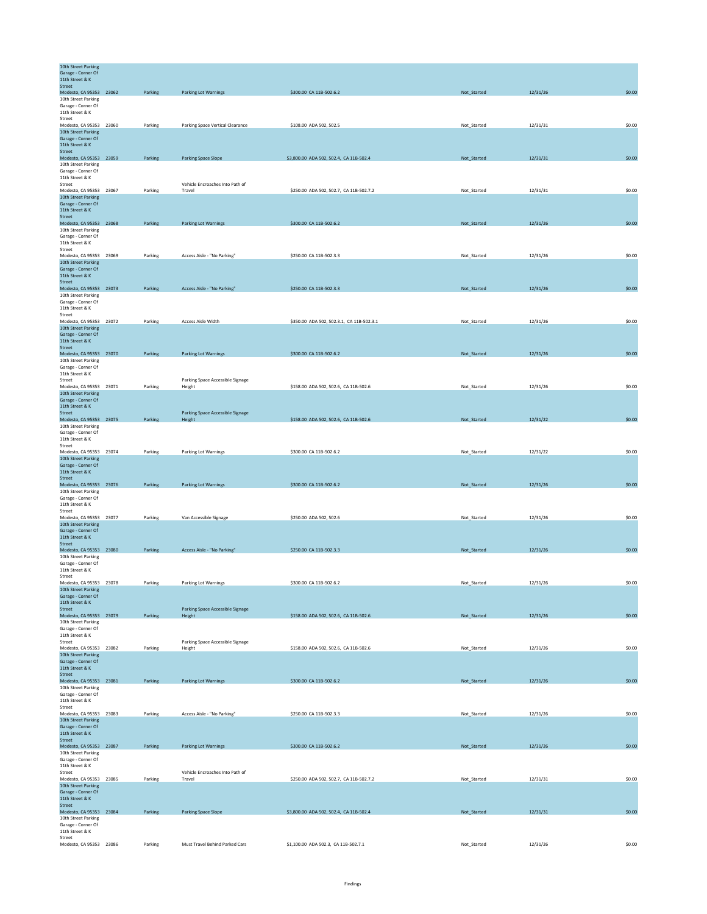| 10th Street Parking                            |         |                                           |                                           |             |          |        |
|------------------------------------------------|---------|-------------------------------------------|-------------------------------------------|-------------|----------|--------|
| Garage - Corner Of<br>11th Street & K          |         |                                           |                                           |             |          |        |
| Street                                         |         |                                           |                                           |             |          |        |
| Modesto, CA 95353 23062                        | Parking | <b>Parking Lot Warnings</b>               | \$300.00 CA 11B-502.6.2                   | Not_Started | 12/31/26 | \$0.00 |
| 10th Street Parking<br>Garage - Corner Of      |         |                                           |                                           |             |          |        |
| 11th Street & K                                |         |                                           |                                           |             |          |        |
| Street                                         |         |                                           |                                           |             |          |        |
| Modesto, CA 95353 23060<br>10th Street Parking | Parking | Parking Space Vertical Clearance          | \$108.00 ADA 502, 502.5                   | Not_Started | 12/31/31 | \$0.00 |
| Garage - Corner Of                             |         |                                           |                                           |             |          |        |
| 11th Street & K                                |         |                                           |                                           |             |          |        |
| Street<br>Modesto, CA 95353 23059              | Parking | <b>Parking Space Slope</b>                | \$3,800.00 ADA 502, 502.4, CA 11B-502.4   | Not_Started | 12/31/31 | \$0.00 |
| 10th Street Parking                            |         |                                           |                                           |             |          |        |
| Garage - Corner Of                             |         |                                           |                                           |             |          |        |
| 11th Street & K                                |         |                                           |                                           |             |          |        |
| Street<br>Modesto, CA 95353 23067              | Parking | Vehicle Encroaches Into Path of<br>Travel | \$250.00 ADA 502, 502.7, CA 11B-502.7.2   | Not_Started | 12/31/31 | \$0.00 |
| 10th Street Parking                            |         |                                           |                                           |             |          |        |
| Garage - Corner Of                             |         |                                           |                                           |             |          |        |
| 11th Street & K<br>Street                      |         |                                           |                                           |             |          |        |
| Modesto, CA 95353 23068                        | Parking | <b>Parking Lot Warnings</b>               | \$300.00 CA 11B-502.6.2                   | Not_Started | 12/31/26 | \$0.00 |
| 10th Street Parking                            |         |                                           |                                           |             |          |        |
| Garage - Corner Of<br>11th Street & K          |         |                                           |                                           |             |          |        |
| Street                                         |         |                                           |                                           |             |          |        |
| Modesto, CA 95353 23069                        | Parking | Access Aisle - "No Parking"               | \$250.00 CA 11B-502.3.3                   | Not_Started | 12/31/26 | \$0.00 |
| 10th Street Parking<br>Garage - Corner Of      |         |                                           |                                           |             |          |        |
| 11th Street & K                                |         |                                           |                                           |             |          |        |
| <b>Street</b>                                  |         |                                           |                                           |             |          |        |
| Modesto, CA 95353 23073<br>10th Street Parking | Parking | Access Aisle - "No Parking"               | \$250.00 CA 11B-502.3.3                   | Not_Started | 12/31/26 | \$0.00 |
| Garage - Corner Of                             |         |                                           |                                           |             |          |        |
| 11th Street & K                                |         |                                           |                                           |             |          |        |
| Street<br>Modesto, CA 95353 23072              | Parking | Access Aisle Width                        | \$350.00 ADA 502, 502.3.1, CA 11B-502.3.1 | Not_Started | 12/31/26 | \$0.00 |
| 10th Street Parking                            |         |                                           |                                           |             |          |        |
| Garage - Corner Of                             |         |                                           |                                           |             |          |        |
| 11th Street & K<br>Street                      |         |                                           |                                           |             |          |        |
| Modesto, CA 95353 23070                        | Parking | <b>Parking Lot Warnings</b>               | \$300.00 CA 11B-502.6.2                   | Not_Started | 12/31/26 | \$0.00 |
| 10th Street Parking                            |         |                                           |                                           |             |          |        |
| Garage - Corner Of                             |         |                                           |                                           |             |          |        |
| 11th Street & K<br>Street                      |         | Parking Space Accessible Signage          |                                           |             |          |        |
| Modesto, CA 95353 23071                        | Parking | Height                                    | \$158.00 ADA 502, 502.6, CA 11B-502.6     | Not Started | 12/31/26 | \$0.00 |
| 10th Street Parking                            |         |                                           |                                           |             |          |        |
| Garage - Corner Of<br>11th Street & K          |         |                                           |                                           |             |          |        |
| Street                                         |         | Parking Space Accessible Signage          |                                           |             |          |        |
| Modesto, CA 95353 23075                        | Parking | Height                                    | \$158.00 ADA 502, 502.6, CA 11B-502.6     | Not_Started | 12/31/22 | \$0.00 |
| 10th Street Parking<br>Garage - Corner Of      |         |                                           |                                           |             |          |        |
| 11th Street & K                                |         |                                           |                                           |             |          |        |
| Street                                         |         |                                           |                                           |             |          |        |
| Modesto, CA 95353 23074<br>10th Street Parking | Parking | Parking Lot Warnings                      | \$300.00 CA 11B-502.6.2                   | Not_Started | 12/31/22 | \$0.00 |
| Garage - Corner Of                             |         |                                           |                                           |             |          |        |
| 11th Street & K                                |         |                                           |                                           |             |          |        |
| Street                                         |         |                                           |                                           |             |          |        |
| Modesto, CA 95353 23076<br>10th Street Parking | Parking | <b>Parking Lot Warnings</b>               | \$300.00 CA 11B-502.6.2                   | Not_Started | 12/31/26 | \$0.00 |
| Garage - Corner Of                             |         |                                           |                                           |             |          |        |
| 11th Street & K                                |         |                                           |                                           |             |          |        |
| Street<br>Modesto, CA 95353 23077              | Parking | Van Accessible Signage                    | \$250.00 ADA 502, 502.6                   | Not_Started | 12/31/26 | \$0.00 |
| 10th Street Parking                            |         |                                           |                                           |             |          |        |
| Garage - Corner Of                             |         |                                           |                                           |             |          |        |
| 11th Street & K                                |         |                                           |                                           |             |          |        |
| Street<br>Modesto, CA 95353 23080              | Parking | Access Aisle - "No Parking"               | \$250.00 CA 11B-502.3.3                   | Not_Started | 12/31/26 | \$0.00 |
| 10th Street Parking                            |         |                                           |                                           |             |          |        |
| Garage - Corner Of                             |         |                                           |                                           |             |          |        |
| 11th Street & K<br>Street                      |         |                                           |                                           |             |          |        |
| Modesto, CA 95353 23078                        | Parking | Parking Lot Warnings                      | \$300.00 CA 11B-502.6.2                   | Not_Started | 12/31/26 | \$0.00 |
| 10th Street Parking                            |         |                                           |                                           |             |          |        |
| Garage - Corner Of<br>11th Street & K          |         |                                           |                                           |             |          |        |
| Street                                         |         | Parking Space Accessible Signage          |                                           |             |          |        |
| Modesto, CA 95353 23079                        | Parking | Height                                    | \$158.00 ADA 502, 502.6, CA 11B-502.6     | Not_Started | 12/31/26 | \$0.00 |
| 10th Street Parking                            |         |                                           |                                           |             |          |        |
| Garage - Corner Of<br>11th Street & K          |         |                                           |                                           |             |          |        |
| Street                                         |         | Parking Space Accessible Signage          |                                           |             |          |        |
| Modesto, CA 95353 23082                        | Parking | Height                                    | \$158.00 ADA 502, 502.6, CA 11B-502.6     | Not_Started | 12/31/26 | \$0.00 |
| 10th Street Parking<br>Garage - Corner Of      |         |                                           |                                           |             |          |        |
| 11th Street & K                                |         |                                           |                                           |             |          |        |
| Street                                         |         |                                           |                                           |             |          |        |
| Modesto, CA 95353 23081<br>10th Street Parking | Parking | <b>Parking Lot Warnings</b>               | \$300.00 CA 11B-502.6.2                   | Not_Started | 12/31/26 | \$0.00 |
| Garage - Corner Of                             |         |                                           |                                           |             |          |        |
| 11th Street & K                                |         |                                           |                                           |             |          |        |
| Street<br>Modesto, CA 95353 23083              | Parking | Access Aisle - "No Parking"               | \$250.00 CA 11B-502.3.3                   | Not_Started | 12/31/26 | \$0.00 |
| 10th Street Parking                            |         |                                           |                                           |             |          |        |
| Garage - Corner Of                             |         |                                           |                                           |             |          |        |
| 11th Street & K<br>Street                      |         |                                           |                                           |             |          |        |
| Modesto, CA 95353 23087                        | Parking | <b>Parking Lot Warnings</b>               | \$300.00 CA 11B-502.6.2                   | Not_Started | 12/31/26 | \$0.00 |
| 10th Street Parking                            |         |                                           |                                           |             |          |        |
| Garage - Corner Of                             |         |                                           |                                           |             |          |        |
| 11th Street & K<br>Street                      |         | Vehicle Encroaches Into Path of           |                                           |             |          |        |
| Modesto, CA 95353 23085                        | Parking | Travel                                    | \$250.00 ADA 502, 502.7, CA 11B-502.7.2   | Not_Started | 12/31/31 | \$0.00 |
| 10th Street Parking                            |         |                                           |                                           |             |          |        |
| Garage - Corner Of<br>11th Street & K          |         |                                           |                                           |             |          |        |
| Street                                         |         |                                           |                                           |             |          |        |
| Modesto, CA 95353 23084                        | Parking | Parking Space Slope                       | \$3,800.00 ADA 502, 502.4, CA 11B-502.4   | Not_Started | 12/31/31 | \$0.00 |
| 10th Street Parking<br>Garage - Corner Of      |         |                                           |                                           |             |          |        |
| 11th Street & K                                |         |                                           |                                           |             |          |        |
| Street                                         |         |                                           |                                           |             |          |        |
| Modesto, CA 95353 23086                        | Parking | Must Travel Behind Parked Cars            | \$1,100.00 ADA 502.3, CA 11B-502.7.1      | Not_Started | 12/31/26 | \$0.00 |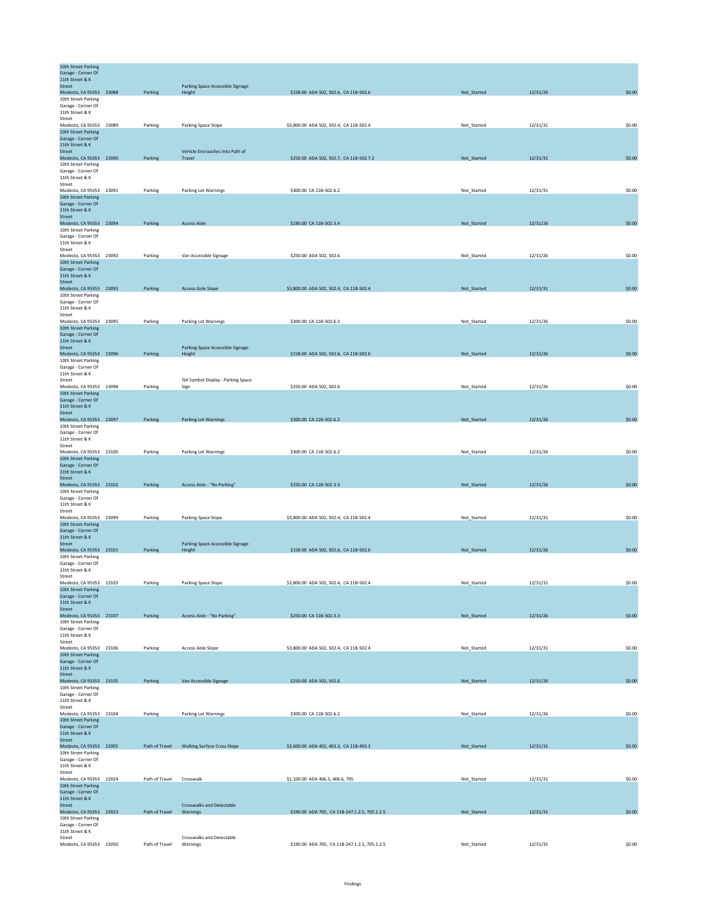| 10th Street Parking<br>Garage - Corner Of      |                |                                            |                                               |             |          |        |
|------------------------------------------------|----------------|--------------------------------------------|-----------------------------------------------|-------------|----------|--------|
| 11th Street & K<br><b>Street</b>               |                | Parking Space Accessible Signage           |                                               |             |          |        |
| Modesto, CA 95353 23088<br>10th Street Parking | Parking        | Height                                     | \$158.00 ADA 502, 502.6, CA 11B-502.6         | Not_Started | 12/31/26 | \$0.00 |
| Garage - Corner Of<br>11th Street & K          |                |                                            |                                               |             |          |        |
| Street                                         |                |                                            |                                               |             |          |        |
| Modesto, CA 95353 23089<br>10th Street Parking | Parking        | Parking Space Slope                        | \$3,800.00 ADA 502, 502.4, CA 11B-502.4       | Not_Started | 12/31/31 | \$0.00 |
| Garage - Corner Of<br>11th Street & K          |                |                                            |                                               |             |          |        |
| Street                                         |                | Vehicle Encroaches Into Path of            |                                               |             |          |        |
| Modesto, CA 95353 23090<br>10th Street Parking | Parking        | Travel                                     | \$250.00 ADA 502, 502.7, CA 11B-502.7.2       | Not_Started | 12/31/31 | \$0.00 |
| Garage - Corner Of<br>11th Street & K          |                |                                            |                                               |             |          |        |
| Street                                         |                |                                            |                                               |             |          |        |
| Modesto, CA 95353 23091<br>10th Street Parking | Parking        | <b>Parking Lot Warnings</b>                | \$300.00 CA 11B-502.6.2                       | Not_Started | 12/31/31 | \$0.00 |
| Garage - Corner Of<br>11th Street & K          |                |                                            |                                               |             |          |        |
| Street                                         |                |                                            |                                               |             |          |        |
| Modesto, CA 95353 23094<br>10th Street Parking | Parking        | <b>Access Aisle</b>                        | \$180.00 CA 11B-502.3.4                       | Not_Started | 12/31/26 | \$0.00 |
| Garage - Corner Of<br>11th Street & K          |                |                                            |                                               |             |          |        |
| Street                                         |                |                                            |                                               |             |          |        |
| Modesto, CA 95353 23092<br>10th Street Parking | Parking        | Van Accessible Signage                     | \$250.00 ADA 502, 502.6                       | Not_Started | 12/31/26 | \$0.00 |
| Garage - Corner Of<br>11th Street & K          |                |                                            |                                               |             |          |        |
| Street                                         |                |                                            |                                               |             |          |        |
| Modesto, CA 95353 23093<br>10th Street Parking | Parking        | <b>Access Aisle Slope</b>                  | \$3,800.00 ADA 502, 502.4, CA 11B-502.4       | Not_Started | 12/31/31 | \$0.00 |
| Garage - Corner Of<br>11th Street & K          |                |                                            |                                               |             |          |        |
| Street                                         |                |                                            |                                               |             |          |        |
| Modesto, CA 95353 23095<br>10th Street Parking | Parking        | <b>Parking Lot Warnings</b>                | \$300.00 CA 11B-502.6.2                       | Not_Started | 12/31/26 | \$0.00 |
| Garage - Corner Of<br>11th Street & K          |                |                                            |                                               |             |          |        |
| Street                                         |                | Parking Space Accessible Signage           |                                               |             |          |        |
| Modesto, CA 95353 23096<br>10th Street Parking | Parking        | Height                                     | \$158.00 ADA 502, 502.6, CA 11B-502.6         | Not_Started | 12/31/26 | \$0.00 |
| Garage - Corner Of<br>11th Street & K          |                |                                            |                                               |             |          |        |
| Street                                         |                | ISA Symbol Display - Parking Space         |                                               |             |          |        |
| Modesto, CA 95353 23098<br>10th Street Parking | Parking        | Sign                                       | \$250.00 ADA 502, 502.6                       | Not Started | 12/31/26 | \$0.00 |
| Garage - Corner Of<br>11th Street & K          |                |                                            |                                               |             |          |        |
| Street                                         |                |                                            |                                               |             |          |        |
| Modesto, CA 95353 23097<br>10th Street Parking | Parking        | <b>Parking Lot Warnings</b>                | \$300.00 CA 11B-502.6.2                       | Not_Started | 12/31/26 | \$0.00 |
| Garage - Corner Of<br>11th Street & K          |                |                                            |                                               |             |          |        |
| Street                                         |                |                                            |                                               |             |          |        |
| Modesto, CA 95353 23100<br>10th Street Parking | Parking        | Parking Lot Warnings                       | \$300.00 CA 11B-502.6.2                       | Not_Started | 12/31/26 | \$0.00 |
| Garage - Corner Of<br>11th Street & K          |                |                                            |                                               |             |          |        |
| Street                                         |                |                                            |                                               |             |          |        |
| Modesto, CA 95353 23102<br>10th Street Parking | Parking        | Access Aisle - "No Parking"                | \$250.00 CA 11B-502.3.3                       | Not_Started | 12/31/26 | \$0.00 |
| Garage - Corner Of<br>11th Street & K          |                |                                            |                                               |             |          |        |
| Street                                         |                |                                            |                                               |             |          |        |
| Modesto, CA 95353 23099<br>10th Street Parking | Parking        | Parking Space Slope                        | \$3,800.00 ADA 502, 502.4, CA 11B-502.4       | Not_Started | 12/31/31 | \$0.00 |
| Garage - Corner Of<br>11th Street & K          |                |                                            |                                               |             |          |        |
| Street                                         | Parking        | Parking Space Accessible Signage           |                                               |             |          | \$0.00 |
| Modesto, CA 95353 23101<br>10th Street Parking |                | Height                                     | \$158.00 ADA 502, 502.6, CA 11B-502.6         | Not_Started | 12/31/26 |        |
| Garage - Corner Of<br>11th Street & K          |                |                                            |                                               |             |          |        |
| Street                                         |                |                                            |                                               | Not_Started |          |        |
| Modesto, CA 95353 23103<br>10th Street Parking | Parking        | Parking Space Slope                        | \$3,800.00 ADA 502, 502.4, CA 11B-502.4       |             | 12/31/31 | \$0.00 |
| Garage - Corner Of<br>11th Street & K          |                |                                            |                                               |             |          |        |
| <b>Street</b><br>Modesto, CA 95353 23107       | Parking        | Access Aisle - "No Parking"                | \$250.00 CA 11B-502.3.3                       | Not_Started | 12/31/26 | \$0.00 |
| 10th Street Parking                            |                |                                            |                                               |             |          |        |
| Garage - Corner Of<br>11th Street & K          |                |                                            |                                               |             |          |        |
| Street<br>Modesto, CA 95353 23106              | Parking        | <b>Access Aisle Slope</b>                  | \$3,800.00 ADA 502, 502.4, CA 11B-502.4       | Not_Started | 12/31/31 | \$0.00 |
| 10th Street Parking                            |                |                                            |                                               |             |          |        |
| Garage - Corner Of<br>11th Street & K          |                |                                            |                                               |             |          |        |
| Street<br>Modesto, CA 95353 23105              | Parking        | Van Accessible Signage                     | \$250.00 ADA 502, 502.6                       | Not Started | 12/31/26 | \$0.00 |
| 10th Street Parking                            |                |                                            |                                               |             |          |        |
| Garage - Corner Of<br>11th Street & K          |                |                                            |                                               |             |          |        |
| Street<br>Modesto, CA 95353 23104              | Parking        | Parking Lot Warnings                       | \$300.00 CA 11B-502.6.2                       | Not_Started | 12/31/26 | \$0.00 |
| 10th Street Parking                            |                |                                            |                                               |             |          |        |
| Garage - Corner Of<br>11th Street & K          |                |                                            |                                               |             |          |        |
| Street<br>Modesto, CA 95353 22005              |                | Path of Travel Walking Surface Cross Slope | \$3,600.00 ADA 402, 403.3, CA 11B-403.3       | Not_Started | 12/31/31 | \$0.00 |
| 10th Street Parking                            |                |                                            |                                               |             |          |        |
| Garage - Corner Of<br>11th Street & K          |                |                                            |                                               |             |          |        |
| Street                                         | Path of Travel | Crosswalk                                  | \$1,100.00 ADA 406.5, 406.6, 705              |             | 12/31/31 | \$0.00 |
| Modesto, CA 95353 22024<br>10th Street Parking |                |                                            |                                               | Not_Started |          |        |
| Garage - Corner Of<br>11th Street & K          |                |                                            |                                               |             |          |        |
| Street                                         |                | <b>Crosswalks and Detectable</b>           |                                               |             |          |        |
| Modesto, CA 95353 22023<br>10th Street Parking | Path of Travel | Warnings                                   | \$190.00 ADA 705, CA 11B-247.1.2.5, 705.1.2.5 | Not_Started | 12/31/31 | \$0.00 |
| Garage - Corner Of<br>11th Street & K          |                |                                            |                                               |             |          |        |
| Street<br>Modesto, CA 95353 22050              | Path of Travel | Crosswalks and Detectable<br>Warnings      | \$190.00 ADA 705, CA 11B-247.1.2.5, 705.1.2.5 | Not_Started | 12/31/31 | \$0.00 |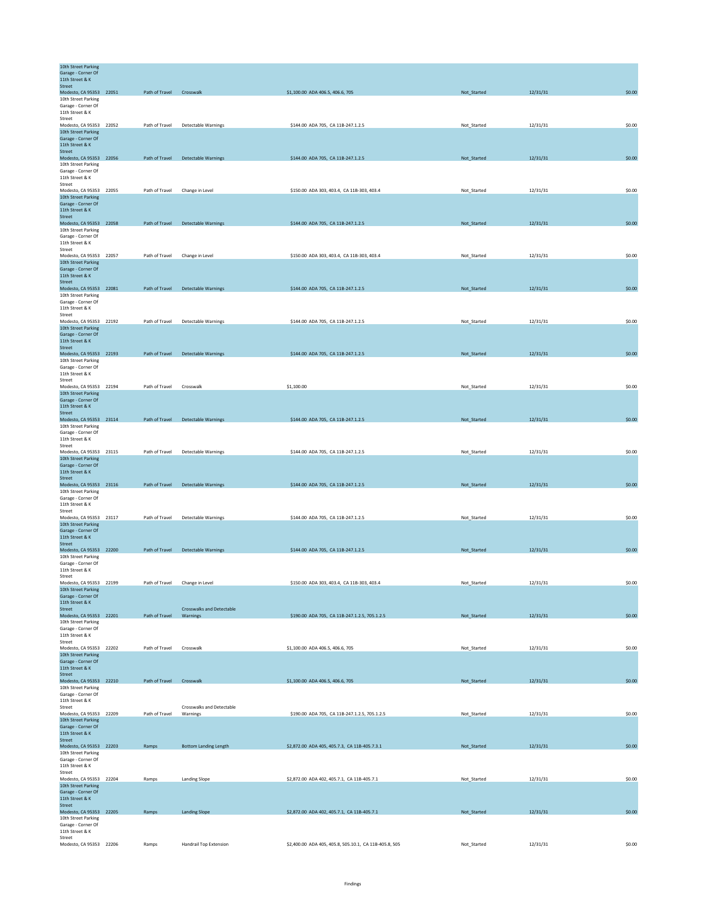| 10th Street Parking<br>Garage - Corner Of<br>11th Street & K |                          |                                              |                                                        |             |          |        |
|--------------------------------------------------------------|--------------------------|----------------------------------------------|--------------------------------------------------------|-------------|----------|--------|
| <b>Street</b><br>Modesto, CA 95353 22051                     | Path of Travel Crosswalk |                                              | \$1,100.00 ADA 406.5, 406.6, 705                       | Not_Started | 12/31/31 | \$0.00 |
| 10th Street Parking                                          |                          |                                              |                                                        |             |          |        |
| Garage - Corner Of<br>11th Street & K                        |                          |                                              |                                                        |             |          |        |
| Street                                                       |                          |                                              |                                                        |             |          |        |
| Modesto, CA 95353 22052<br>10th Street Parking               | Path of Travel           | Detectable Warnings                          | \$144.00 ADA 705, CA 11B-247.1.2.5                     | Not_Started | 12/31/31 | \$0.00 |
| Garage - Corner Of<br>11th Street & K                        |                          |                                              |                                                        |             |          |        |
| Street                                                       |                          |                                              |                                                        |             |          |        |
| Modesto, CA 95353 22056<br>10th Street Parking               | Path of Travel           | <b>Detectable Warnings</b>                   | \$144.00 ADA 705, CA 11B-247.1.2.5                     | Not_Started | 12/31/31 | \$0.00 |
| Garage - Corner Of                                           |                          |                                              |                                                        |             |          |        |
| 11th Street & K<br>Street                                    |                          |                                              |                                                        |             |          |        |
| Modesto, CA 95353 22055                                      | Path of Travel           | Change in Level                              | \$150.00 ADA 303, 403.4, CA 11B-303, 403.4             | Not_Started | 12/31/31 | \$0.00 |
| 10th Street Parking<br>Garage - Corner Of                    |                          |                                              |                                                        |             |          |        |
| 11th Street & K                                              |                          |                                              |                                                        |             |          |        |
| Street<br>Modesto, CA 95353 22058                            | Path of Travel           | <b>Detectable Warnings</b>                   | \$144.00 ADA 705, CA 11B-247.1.2.5                     | Not_Started | 12/31/31 | \$0.00 |
| 10th Street Parking                                          |                          |                                              |                                                        |             |          |        |
| Garage - Corner Of<br>11th Street & K                        |                          |                                              |                                                        |             |          |        |
| Street                                                       |                          |                                              |                                                        |             |          |        |
| Modesto, CA 95353 22057<br>10th Street Parking               | Path of Travel           | Change in Level                              | \$150.00 ADA 303, 403.4, CA 11B-303, 403.4             | Not_Started | 12/31/31 | \$0.00 |
| Garage - Corner Of<br>11th Street & K                        |                          |                                              |                                                        |             |          |        |
| Street                                                       |                          |                                              |                                                        |             |          |        |
| Modesto, CA 95353 22081<br>10th Street Parking               | Path of Travel           | <b>Detectable Warnings</b>                   | \$144.00 ADA 705, CA 11B-247.1.2.5                     | Not_Started | 12/31/31 | \$0.00 |
| Garage - Corner Of                                           |                          |                                              |                                                        |             |          |        |
| 11th Street & K<br>Street                                    |                          |                                              |                                                        |             |          |        |
| Modesto, CA 95353 22192                                      | Path of Travel           | Detectable Warnings                          | \$144.00 ADA 705, CA 11B-247.1.2.5                     | Not_Started | 12/31/31 | \$0.00 |
| 10th Street Parking<br>Garage - Corner Of                    |                          |                                              |                                                        |             |          |        |
| 11th Street & K                                              |                          |                                              |                                                        |             |          |        |
| <b>Street</b><br>Modesto, CA 95353 22193                     | Path of Travel           | Detectable Warnings                          | \$144.00 ADA 705, CA 11B-247.1.2.5                     | Not_Started | 12/31/31 | \$0.00 |
| 10th Street Parking                                          |                          |                                              |                                                        |             |          |        |
| Garage - Corner Of<br>11th Street & K                        |                          |                                              |                                                        |             |          |        |
| Street<br>Modesto, CA 95353 22194                            | Path of Travel           | Crosswalk                                    | \$1,100.00                                             | Not Started | 12/31/31 | \$0.00 |
| 10th Street Parking                                          |                          |                                              |                                                        |             |          |        |
| Garage - Corner Of<br>11th Street & K                        |                          |                                              |                                                        |             |          |        |
| Street                                                       |                          |                                              |                                                        |             |          |        |
| Modesto, CA 95353 23114<br>10th Street Parking               | Path of Travel           | Detectable Warnings                          | \$144.00 ADA 705, CA 11B-247.1.2.5                     | Not_Started | 12/31/31 | \$0.00 |
| Garage - Corner Of                                           |                          |                                              |                                                        |             |          |        |
| 11th Street & K<br>Street                                    |                          |                                              |                                                        |             |          |        |
| Modesto, CA 95353 23115                                      | Path of Travel           | Detectable Warnings                          | \$144.00 ADA 705, CA 11B-247.1.2.5                     | Not_Started | 12/31/31 | \$0.00 |
| 10th Street Parking<br>Garage - Corner Of                    |                          |                                              |                                                        |             |          |        |
| 11th Street & K<br>Street                                    |                          |                                              |                                                        |             |          |        |
| Modesto, CA 95353 23116                                      | Path of Travel           | <b>Detectable Warnings</b>                   | \$144.00 ADA 705, CA 11B-247.1.2.5                     | Not_Started | 12/31/31 | \$0.00 |
| 10th Street Parking                                          |                          |                                              |                                                        |             |          |        |
| Garage - Corner Of<br>11th Street & K                        |                          |                                              |                                                        |             |          |        |
| Street<br>Modesto, CA 95353 23117                            | Path of Travel           | Detectable Warnings                          | \$144.00 ADA 705, CA 11B-247.1.2.5                     | Not_Started | 12/31/31 | \$0.00 |
| 10th Street Parking                                          |                          |                                              |                                                        |             |          |        |
| Garage - Corner Of<br>11th Street & K                        |                          |                                              |                                                        |             |          |        |
| Street                                                       |                          |                                              |                                                        |             |          |        |
| Modesto, CA 95353 22200<br>10th Street Parking               | Path of Travel           | Detectable Warnings                          | \$144.00 ADA 705, CA 11B-247.1.2.5                     | Not_Started | 12/31/31 | \$0.00 |
| Garage - Corner Of                                           |                          |                                              |                                                        |             |          |        |
| 11th Street & K<br>Street                                    |                          |                                              |                                                        |             |          |        |
| Modesto, CA 95353 22199                                      | Path of Travel           | Change in Level                              | \$150.00 ADA 303, 403.4, CA 11B-303, 403.4             | Not_Started | 12/31/31 | \$0.00 |
| 10th Street Parking<br>Garage - Corner Of                    |                          |                                              |                                                        |             |          |        |
| 11th Street & K                                              |                          |                                              |                                                        |             |          |        |
| <b>Street</b><br>Modesto, CA 95353 22201                     | Path of Travel           | <b>Crosswalks and Detectable</b><br>Warnings | \$190.00 ADA 705, CA 11B-247.1.2.5, 705.1.2.5          | Not_Started | 12/31/31 | \$0.00 |
| 10th Street Parking<br>Garage - Corner Of                    |                          |                                              |                                                        |             |          |        |
| 11th Street & K                                              |                          |                                              |                                                        |             |          |        |
| Street<br>Modesto, CA 95353 22202                            | Path of Travel           | Crosswalk                                    | \$1,100.00 ADA 406.5, 406.6, 705                       | Not_Started | 12/31/31 | \$0.00 |
| 10th Street Parking                                          |                          |                                              |                                                        |             |          |        |
| Garage - Corner Of<br>11th Street & K                        |                          |                                              |                                                        |             |          |        |
| Street                                                       |                          |                                              |                                                        |             |          |        |
| Modesto, CA 95353 22210<br>10th Street Parking               | Path of Travel Crosswalk |                                              | \$1,100.00 ADA 406.5, 406.6, 705                       | Not_Started | 12/31/31 | \$0.00 |
| Garage - Corner Of                                           |                          |                                              |                                                        |             |          |        |
| 11th Street & K<br>Street                                    |                          | Crosswalks and Detectable                    |                                                        |             |          |        |
| Modesto, CA 95353 22209                                      | Path of Travel           | Warnings                                     | \$190.00 ADA 705, CA 11B-247.1.2.5, 705.1.2.5          | Not_Started | 12/31/31 | \$0.00 |
| 10th Street Parking<br>Garage - Corner Of                    |                          |                                              |                                                        |             |          |        |
| 11th Street & K<br>Street                                    |                          |                                              |                                                        |             |          |        |
| Modesto, CA 95353 22203                                      | Ramps                    | <b>Bottom Landing Length</b>                 | \$2,872.00 ADA 405, 405.7.3, CA 11B-405.7.3.1          | Not_Started | 12/31/31 | \$0.00 |
| 10th Street Parking                                          |                          |                                              |                                                        |             |          |        |
| Garage - Corner Of<br>11th Street & K                        |                          |                                              |                                                        |             |          |        |
| Street<br>Modesto, CA 95353 22204                            | Ramps                    | <b>Landing Slope</b>                         | \$2,872.00 ADA 402, 405.7.1, CA 11B-405.7.1            | Not_Started | 12/31/31 | \$0.00 |
| 10th Street Parking                                          |                          |                                              |                                                        |             |          |        |
| Garage - Corner Of<br>11th Street & K                        |                          |                                              |                                                        |             |          |        |
| Street                                                       |                          |                                              |                                                        |             |          |        |
| Modesto, CA 95353 22205<br>10th Street Parking               | Ramps                    | <b>Landing Slope</b>                         | \$2,872.00 ADA 402, 405.7.1, CA 11B-405.7.1            | Not_Started | 12/31/31 | \$0.00 |
| Garage - Corner Of                                           |                          |                                              |                                                        |             |          |        |
| 11th Street & K<br>Street                                    |                          |                                              |                                                        |             |          |        |
| Modesto, CA 95353 22206                                      | Ramps                    | Handrail Top Extension                       | \$2,400.00 ADA 405, 405.8, 505.10.1, CA 11B-405.8, 505 | Not_Started | 12/31/31 | \$0.00 |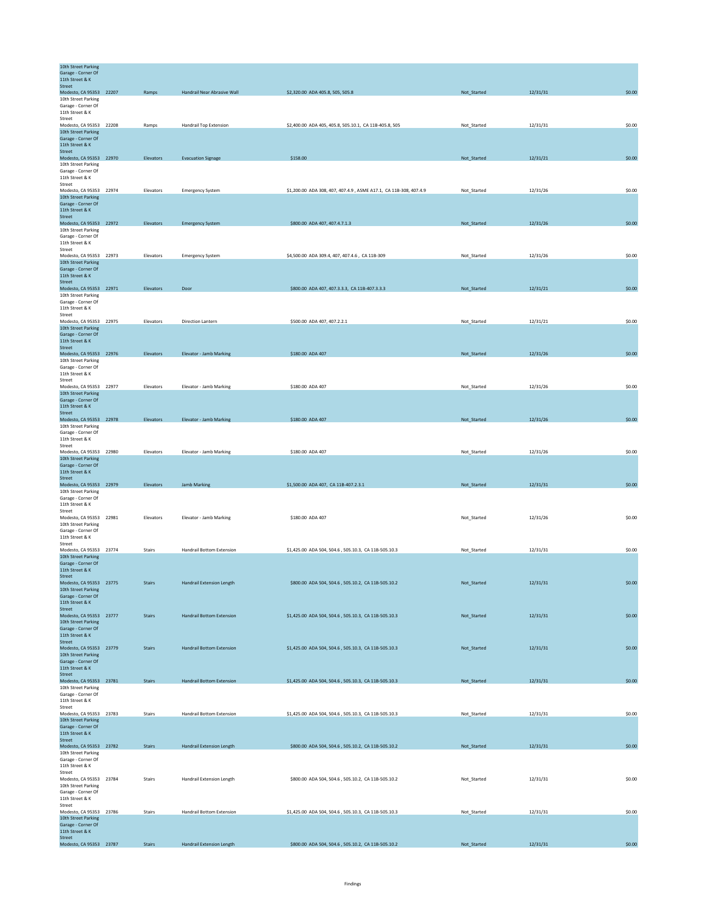| 10th Street Parking<br>Garage - Corner Of      |               |                                  |                                                                   |             |          |        |
|------------------------------------------------|---------------|----------------------------------|-------------------------------------------------------------------|-------------|----------|--------|
| 11th Street & K                                |               |                                  |                                                                   |             |          |        |
| Street                                         |               |                                  |                                                                   |             |          |        |
| Modesto, CA 95353 22207                        | Ramps         | Handrail Near Abrasive Wall      | \$2,320.00 ADA 405.8, 505, 505.8                                  | Not_Started | 12/31/31 | \$0.00 |
| 10th Street Parking                            |               |                                  |                                                                   |             |          |        |
| Garage - Corner Of<br>11th Street & K          |               |                                  |                                                                   |             |          |        |
| Street                                         |               |                                  |                                                                   |             |          |        |
| Modesto, CA 95353 22208                        | Ramps         | <b>Handrail Top Extension</b>    | \$2,400.00 ADA 405, 405.8, 505.10.1, CA 11B-405.8, 505            | Not_Started | 12/31/31 | \$0.00 |
| 10th Street Parking                            |               |                                  |                                                                   |             |          |        |
| Garage - Corner Of                             |               |                                  |                                                                   |             |          |        |
| 11th Street & K<br><b>Street</b>               |               |                                  |                                                                   |             |          |        |
| Modesto, CA 95353 22970                        | Elevators     | <b>Evacuation Signage</b>        | \$158.00                                                          | Not_Started | 12/31/21 | \$0.00 |
| 10th Street Parking                            |               |                                  |                                                                   |             |          |        |
| Garage - Corner Of                             |               |                                  |                                                                   |             |          |        |
| 11th Street & K                                |               |                                  |                                                                   |             |          |        |
| Street                                         |               |                                  |                                                                   |             |          |        |
| Modesto, CA 95353 22974                        | Elevators     | <b>Emergency System</b>          | \$1,200.00 ADA 308, 407, 407.4.9, ASME A17.1, CA 11B-308, 407.4.9 | Not_Started | 12/31/26 | \$0.00 |
| 10th Street Parking                            |               |                                  |                                                                   |             |          |        |
| Garage - Corner Of<br>11th Street & K          |               |                                  |                                                                   |             |          |        |
| Street                                         |               |                                  |                                                                   |             |          |        |
| Modesto, CA 95353 22972                        | Elevators     | <b>Emergency System</b>          | \$800.00 ADA 407, 407.4.7.1.3                                     | Not_Started | 12/31/26 | \$0.00 |
| 10th Street Parking                            |               |                                  |                                                                   |             |          |        |
| Garage - Corner Of                             |               |                                  |                                                                   |             |          |        |
| 11th Street & K                                |               |                                  |                                                                   |             |          |        |
| Street<br>Modesto, CA 95353 22973              | Elevators     |                                  | \$4,500.00 ADA 309.4, 407, 407.4.6, CA 11B-309                    | Not_Started | 12/31/26 | \$0.00 |
| 10th Street Parking                            |               | <b>Emergency System</b>          |                                                                   |             |          |        |
| Garage - Corner Of                             |               |                                  |                                                                   |             |          |        |
| 11th Street & K                                |               |                                  |                                                                   |             |          |        |
| Street                                         |               |                                  |                                                                   |             |          |        |
| Modesto, CA 95353 22971                        | Elevators     | Door                             | \$800.00 ADA 407, 407.3.3.3, CA 11B-407.3.3.3                     | Not_Started | 12/31/21 | \$0.00 |
| 10th Street Parking<br>Garage - Corner Of      |               |                                  |                                                                   |             |          |        |
| 11th Street & K                                |               |                                  |                                                                   |             |          |        |
| Street                                         |               |                                  |                                                                   |             |          |        |
| Modesto, CA 95353 22975                        | Elevators     | Direction Lantern                | \$500.00 ADA 407, 407.2.2.1                                       | Not_Started | 12/31/21 | \$0.00 |
| 10th Street Parking                            |               |                                  |                                                                   |             |          |        |
| Garage - Corner Of                             |               |                                  |                                                                   |             |          |        |
| 11th Street & K<br>Street                      |               |                                  |                                                                   |             |          |        |
| Modesto, CA 95353 22976                        | Elevators     | Elevator - Jamb Marking          | \$180.00 ADA 407                                                  | Not_Started | 12/31/26 | \$0.00 |
| 10th Street Parking                            |               |                                  |                                                                   |             |          |        |
| Garage - Corner Of                             |               |                                  |                                                                   |             |          |        |
| 11th Street & K                                |               |                                  |                                                                   |             |          |        |
| Street                                         |               |                                  |                                                                   |             |          |        |
| Modesto, CA 95353 22977                        | Elevators     | Elevator - Jamb Marking          | \$180,00 ADA 407                                                  | Not_Started | 12/31/26 | \$0.00 |
| 10th Street Parking<br>Garage - Corner Of      |               |                                  |                                                                   |             |          |        |
| 11th Street & K                                |               |                                  |                                                                   |             |          |        |
| <b>Street</b>                                  |               |                                  |                                                                   |             |          |        |
| Modesto, CA 95353 22978                        | Elevators     | <b>Elevator - Jamb Marking</b>   | \$180.00 ADA 407                                                  | Not_Started | 12/31/26 | \$0.00 |
| 10th Street Parking                            |               |                                  |                                                                   |             |          |        |
| Garage - Corner Of                             |               |                                  |                                                                   |             |          |        |
| 11th Street & K                                |               |                                  |                                                                   |             |          |        |
| Street<br>Modesto, CA 95353 22980              | Elevators     | Elevator - Jamb Marking          | \$180.00 ADA 407                                                  | Not Started | 12/31/26 | \$0.00 |
| 10th Street Parking                            |               |                                  |                                                                   |             |          |        |
| Garage - Corner Of                             |               |                                  |                                                                   |             |          |        |
| 11th Street & K                                |               |                                  |                                                                   |             |          |        |
| Street                                         |               |                                  |                                                                   |             |          |        |
| Modesto, CA 95353 22979                        | Elevators     | <b>Jamb Marking</b>              | \$1,500.00 ADA 407, CA 11B-407.2.3.1                              | Not_Started | 12/31/31 | \$0.00 |
| 10th Street Parking                            |               |                                  |                                                                   |             |          |        |
| Garage - Corner Of<br>11th Street & K          |               |                                  |                                                                   |             |          |        |
| Street                                         |               |                                  |                                                                   |             |          |        |
| Modesto, CA 95353 22981                        | Elevators     | Elevator - Jamb Marking          | \$180.00 ADA 407                                                  | Not_Started | 12/31/26 | \$0.00 |
| 10th Street Parking                            |               |                                  |                                                                   |             |          |        |
| Garage - Corner Of                             |               |                                  |                                                                   |             |          |        |
| 11th Street & K                                |               |                                  |                                                                   |             |          |        |
| Street<br>Modesto, CA 95353 23774              | Stairs        | Handrail Bottom Extension        | \$1,425.00 ADA 504, 504.6, 505.10.3, CA 11B-505.10.3              | Not_Started | 12/31/31 | \$0.00 |
| 10th Street Parking                            |               |                                  |                                                                   |             |          |        |
| Garage - Corner Of                             |               |                                  |                                                                   |             |          |        |
| 11th Street & K                                |               |                                  |                                                                   |             |          |        |
| Street                                         |               |                                  |                                                                   |             |          |        |
| Modesto, CA 95353 23775<br>10th Street Parking | Stairs        | Handrail Extension Length        | \$800.00 ADA 504, 504.6, 505.10.2, CA 11B-505.10.2                | Not_Started | 12/31/31 | \$0.00 |
| Garage - Corner Of                             |               |                                  |                                                                   |             |          |        |
| 11th Street & K                                |               |                                  |                                                                   |             |          |        |
| Street                                         |               |                                  |                                                                   |             |          |        |
| Modesto, CA 95353 23777                        | <b>Stairs</b> | <b>Handrail Bottom Extension</b> | \$1,425.00 ADA 504, 504.6, 505.10.3, CA 11B-505.10.3              | Not_Started | 12/31/31 | \$0.00 |
| 10th Street Parking                            |               |                                  |                                                                   |             |          |        |
| Garage - Corner Of<br>11th Street & K          |               |                                  |                                                                   |             |          |        |
| Street                                         |               |                                  |                                                                   |             |          |        |
| Modesto, CA 95353 23779                        | <b>Stairs</b> | <b>Handrail Bottom Extension</b> | \$1,425.00 ADA 504, 504.6, 505.10.3, CA 11B-505.10.3              | Not_Started | 12/31/31 | \$0.00 |
| 10th Street Parking                            |               |                                  |                                                                   |             |          |        |
| Garage - Corner Of                             |               |                                  |                                                                   |             |          |        |
| 11th Street & K                                |               |                                  |                                                                   |             |          |        |
| Street<br>Modesto, CA 95353 23781              | <b>Stairs</b> | <b>Handrail Bottom Extension</b> | \$1,425.00 ADA 504, 504.6, 505.10.3, CA 11B-505.10.3              | Not_Started | 12/31/31 | \$0.00 |
| 10th Street Parking                            |               |                                  |                                                                   |             |          |        |
| Garage - Corner Of                             |               |                                  |                                                                   |             |          |        |
| 11th Street & K                                |               |                                  |                                                                   |             |          |        |
| Street                                         |               |                                  |                                                                   |             |          |        |
| Modesto, CA 95353 23783                        | Stairs        | <b>Handrail Bottom Extension</b> | \$1,425.00 ADA 504, 504.6, 505.10.3, CA 11B-505.10.3              | Not_Started | 12/31/31 | \$0.00 |
| 10th Street Parking<br>Garage - Corner Of      |               |                                  |                                                                   |             |          |        |
| 11th Street & K                                |               |                                  |                                                                   |             |          |        |
| Street                                         |               |                                  |                                                                   |             |          |        |
| Modesto, CA 95353 23782                        | <b>Stairs</b> | <b>Handrail Extension Length</b> | \$800.00 ADA 504, 504.6, 505.10.2, CA 11B-505.10.2                | Not_Started | 12/31/31 | \$0.00 |
| 10th Street Parking                            |               |                                  |                                                                   |             |          |        |
| Garage - Corner Of                             |               |                                  |                                                                   |             |          |        |
| 11th Street & K<br>Street                      |               |                                  |                                                                   |             |          |        |
| Modesto, CA 95353 23784                        | Stairs        | Handrail Extension Length        | \$800.00 ADA 504, 504.6, 505.10.2, CA 11B-505.10.2                | Not_Started | 12/31/31 | \$0.00 |
| 10th Street Parking                            |               |                                  |                                                                   |             |          |        |
| Garage - Corner Of                             |               |                                  |                                                                   |             |          |        |
| 11th Street & K                                |               |                                  |                                                                   |             |          |        |
| Street                                         |               |                                  |                                                                   |             |          |        |
| Modesto, CA 95353 23786<br>10th Street Parking | Stairs        | <b>Handrail Bottom Extension</b> | \$1,425.00 ADA 504, 504.6, 505.10.3, CA 11B-505.10.3              | Not_Started | 12/31/31 | \$0.00 |
| Garage - Corner Of                             |               |                                  |                                                                   |             |          |        |
| 11th Street & K                                |               |                                  |                                                                   |             |          |        |
|                                                |               |                                  |                                                                   |             |          |        |
| Street<br>Modesto, CA 95353 23787              | <b>Stairs</b> | Handrail Extension Length        | \$800.00 ADA 504, 504.6, 505.10.2, CA 11B-505.10.2                | Not_Started | 12/31/31 | \$0.00 |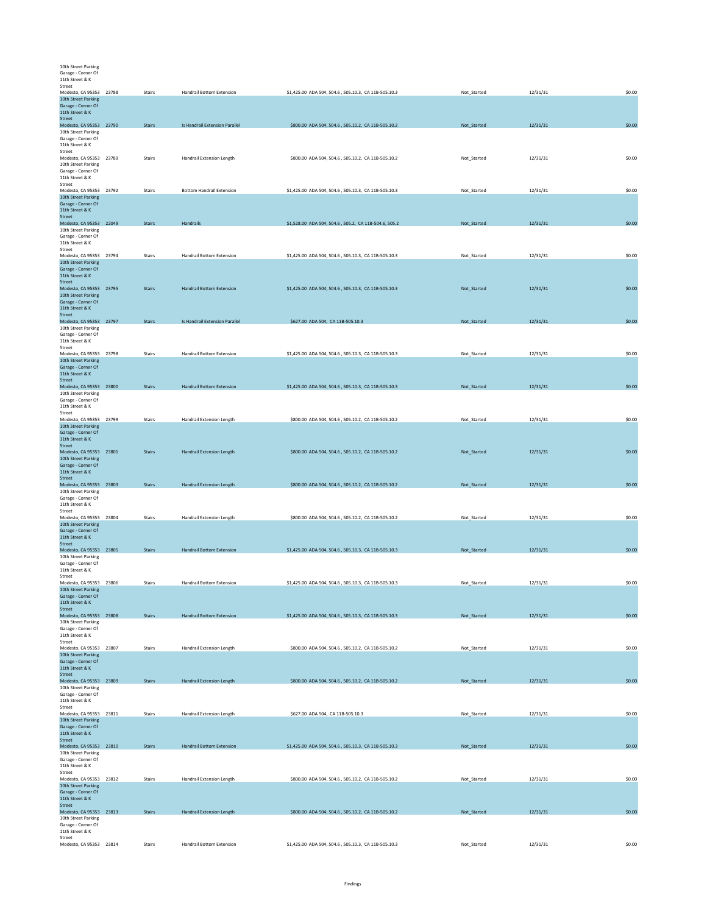| 10th Street Parking                            |               |                                  |                                                       |             |          |        |
|------------------------------------------------|---------------|----------------------------------|-------------------------------------------------------|-------------|----------|--------|
| Garage - Corner Of                             |               |                                  |                                                       |             |          |        |
| 11th Street & K<br>Street                      |               |                                  |                                                       |             |          |        |
| Modesto, CA 95353 23788                        | Stairs        | Handrail Bottom Extension        | \$1,425.00 ADA 504, 504.6, 505.10.3, CA 11B-505.10.3  | Not_Started | 12/31/31 | \$0.00 |
| 10th Street Parking                            |               |                                  |                                                       |             |          |        |
| Garage - Corner Of<br>11th Street & K          |               |                                  |                                                       |             |          |        |
| Street                                         |               |                                  |                                                       |             |          |        |
| Modesto, CA 95353 23790<br>10th Street Parking | <b>Stairs</b> | Is Handrail Extension Parallel   | \$800.00 ADA 504, 504.6, 505.10.2, CA 11B-505.10.2    | Not_Started | 12/31/31 | \$0.00 |
| Garage - Corner Of                             |               |                                  |                                                       |             |          |        |
| 11th Street & K<br>Street                      |               |                                  |                                                       |             |          |        |
| Modesto, CA 95353 23789                        | Stairs        | Handrail Extension Length        | \$800.00 ADA 504, 504.6, 505.10.2, CA 11B-505.10.2    | Not_Started | 12/31/31 | \$0.00 |
| 10th Street Parking                            |               |                                  |                                                       |             |          |        |
| Garage - Corner Of<br>11th Street & K          |               |                                  |                                                       |             |          |        |
| Street                                         |               |                                  |                                                       |             |          |        |
| Modesto, CA 95353 23792<br>10th Street Parking | Stairs        | <b>Bottom Handrail Extension</b> | \$1,425.00 ADA 504, 504.6, 505.10.3, CA 11B-505.10.3  | Not_Started | 12/31/31 | \$0.00 |
| Garage - Corner Of                             |               |                                  |                                                       |             |          |        |
| 11th Street & K                                |               |                                  |                                                       |             |          |        |
| Street<br>Modesto, CA 95353 22049              | <b>Stairs</b> | Handrails                        | \$1,528.00 ADA 504, 504.6, 505.2, CA 11B-504.6, 505.2 | Not_Started | 12/31/31 | \$0.00 |
| 10th Street Parking                            |               |                                  |                                                       |             |          |        |
| Garage - Corner Of<br>11th Street & K          |               |                                  |                                                       |             |          |        |
| Street                                         |               |                                  |                                                       |             |          |        |
| Modesto, CA 95353 23794                        | Stairs        | Handrail Bottom Extension        | \$1,425.00 ADA 504, 504.6, 505.10.3, CA 11B-505.10.3  | Not_Started | 12/31/31 | \$0.00 |
| 10th Street Parking<br>Garage - Corner Of      |               |                                  |                                                       |             |          |        |
| 11th Street & K                                |               |                                  |                                                       |             |          |        |
| Street<br>Modesto, CA 95353 23795              | <b>Stairs</b> | <b>Handrail Bottom Extension</b> | \$1,425.00 ADA 504, 504.6, 505.10.3, CA 11B-505.10.3  | Not_Started | 12/31/31 | \$0.00 |
| 10th Street Parking                            |               |                                  |                                                       |             |          |        |
| Garage - Corner Of                             |               |                                  |                                                       |             |          |        |
| 11th Street & K<br><b>Street</b>               |               |                                  |                                                       |             |          |        |
| Modesto, CA 95353 23797                        | <b>Stairs</b> | Is Handrail Extension Parallel   | \$627.00 ADA 504, CA 11B-505.10.3                     | Not_Started | 12/31/31 | \$0.00 |
| 10th Street Parking<br>Garage - Corner Of      |               |                                  |                                                       |             |          |        |
| 11th Street & K                                |               |                                  |                                                       |             |          |        |
| Street<br>Modesto, CA 95353 23798              | Stairs        | Handrail Bottom Extension        | \$1,425.00 ADA 504, 504.6, 505.10.3, CA 11B-505.10.3  | Not_Started | 12/31/31 | \$0.00 |
| 10th Street Parking                            |               |                                  |                                                       |             |          |        |
| Garage - Corner Of                             |               |                                  |                                                       |             |          |        |
| 11th Street & K<br>Street                      |               |                                  |                                                       |             |          |        |
| Modesto, CA 95353 23800                        | <b>Stairs</b> | <b>Handrail Bottom Extension</b> | \$1,425.00 ADA 504, 504.6, 505.10.3, CA 11B-505.10.3  | Not_Started | 12/31/31 | \$0.00 |
| 10th Street Parking<br>Garage - Corner Of      |               |                                  |                                                       |             |          |        |
| 11th Street & K                                |               |                                  |                                                       |             |          |        |
| Street                                         | Stairs        |                                  |                                                       |             | 12/31/31 | \$0.00 |
| Modesto, CA 95353 23799<br>10th Street Parking |               | Handrail Extension Length        | \$800.00 ADA 504, 504.6, 505.10.2, CA 11B-505.10.2    | Not_Started |          |        |
| Garage - Corner Of                             |               |                                  |                                                       |             |          |        |
| 11th Street & K<br>Street                      |               |                                  |                                                       |             |          |        |
| Modesto, CA 95353 23801                        | <b>Stairs</b> | Handrail Extension Length        | \$800.00 ADA 504, 504.6, 505.10.2, CA 11B-505.10.2    | Not_Started | 12/31/31 | \$0.00 |
| 10th Street Parking<br>Garage - Corner Of      |               |                                  |                                                       |             |          |        |
| 11th Street & K                                |               |                                  |                                                       |             |          |        |
| Street                                         |               |                                  |                                                       |             |          |        |
| Modesto, CA 95353 23803<br>10th Street Parking | <b>Stairs</b> | Handrail Extension Length        | \$800.00 ADA 504, 504.6, 505.10.2, CA 11B-505.10.2    | Not_Started | 12/31/31 | \$0.00 |
| Garage - Corner Of                             |               |                                  |                                                       |             |          |        |
| 11th Street & K<br>Street                      |               |                                  |                                                       |             |          |        |
| Modesto, CA 95353 23804                        | Stairs        | Handrail Extension Length        | \$800.00 ADA 504, 504.6, 505.10.2, CA 11B-505.10.2    | Not_Started | 12/31/31 | \$0.00 |
| 10th Street Parking                            |               |                                  |                                                       |             |          |        |
| Garage - Corner Of<br>11th Street & K          |               |                                  |                                                       |             |          |        |
| <b>Street</b>                                  |               |                                  |                                                       |             |          |        |
| Modesto, CA 95353 23805<br>10th Street Parking | <b>Stairs</b> | <b>Handrail Bottom Extension</b> | \$1,425.00 ADA 504, 504.6, 505.10.3, CA 11B-505.10.3  | Not_Started | 12/31/31 | \$0.00 |
| Garage - Corner Of                             |               |                                  |                                                       |             |          |        |
| 11th Street & K                                |               |                                  |                                                       |             |          |        |
| Stree<br>Modesto, CA 95353 23806               | Stairs        | Handrail Bottom Extension        | \$1,425.00 ADA 504, 504.6, 505.10.3, CA 11B-505.10.3  | Not_Started | 12/31/31 | \$0.00 |
| 10th Street Parking                            |               |                                  |                                                       |             |          |        |
| Garage - Corner Of<br>11th Street & K          |               |                                  |                                                       |             |          |        |
| Street                                         |               |                                  |                                                       |             |          |        |
| Modesto, CA 95353 23808<br>10th Street Parking | <b>Stairs</b> | <b>Handrail Bottom Extension</b> | \$1,425.00 ADA 504, 504.6, 505.10.3, CA 11B-505.10.3  | Not_Started | 12/31/31 | \$0.00 |
| Garage - Corner Of                             |               |                                  |                                                       |             |          |        |
| 11th Street & K<br>Street                      |               |                                  |                                                       |             |          |        |
| Modesto, CA 95353 23807                        | Stairs        | Handrail Extension Length        | \$800.00 ADA 504, 504.6, 505.10.2, CA 11B-505.10.2    | Not_Started | 12/31/31 | \$0.00 |
| 10th Street Parking                            |               |                                  |                                                       |             |          |        |
| Garage - Corner Of<br>11th Street & K          |               |                                  |                                                       |             |          |        |
| Street                                         |               |                                  |                                                       |             |          |        |
| Modesto, CA 95353 23809                        | <b>Stairs</b> | Handrail Extension Length        | \$800.00 ADA 504, 504.6, 505.10.2, CA 11B-505.10.2    | Not_Started | 12/31/31 | \$0.00 |
| 10th Street Parking<br>Garage - Corner Of      |               |                                  |                                                       |             |          |        |
| 11th Street & K                                |               |                                  |                                                       |             |          |        |
| Street<br>Modesto, CA 95353 23811              | Stairs        | Handrail Extension Length        | \$627.00 ADA 504, CA 11B-505.10.3                     | Not_Started | 12/31/31 | \$0.00 |
| 10th Street Parking                            |               |                                  |                                                       |             |          |        |
| Garage - Corner Of<br>11th Street & K          |               |                                  |                                                       |             |          |        |
| Street                                         |               |                                  |                                                       |             |          |        |
| Modesto, CA 95353 23810                        | <b>Stairs</b> | <b>Handrail Bottom Extension</b> | \$1,425.00 ADA 504, 504.6, 505.10.3, CA 11B-505.10.3  | Not_Started | 12/31/31 | \$0.00 |
| 10th Street Parking<br>Garage - Corner Of      |               |                                  |                                                       |             |          |        |
| 11th Street & K                                |               |                                  |                                                       |             |          |        |
| Street<br>Modesto, CA 95353 23812              | Stairs        | Handrail Extension Length        | \$800.00 ADA 504, 504.6, 505.10.2, CA 11B-505.10.2    | Not_Started | 12/31/31 | \$0.00 |
| 10th Street Parking                            |               |                                  |                                                       |             |          |        |
| Garage - Corner Of<br>11th Street & K          |               |                                  |                                                       |             |          |        |
| Street                                         |               |                                  |                                                       |             |          |        |
| Modesto, CA 95353 23813<br>10th Street Parking | <b>Stairs</b> | Handrail Extension Length        | \$800.00 ADA 504, 504.6, 505.10.2, CA 11B-505.10.2    | Not_Started | 12/31/31 | \$0.00 |
| Garage - Corner Of                             |               |                                  |                                                       |             |          |        |
| 11th Street & K                                |               |                                  |                                                       |             |          |        |
| Street<br>Modesto, CA 95353 23814              | Stairs        | <b>Handrail Bottom Extension</b> | \$1,425.00 ADA 504, 504.6, 505.10.3, CA 11B-505.10.3  | Not_Started | 12/31/31 | \$0.00 |
|                                                |               |                                  |                                                       |             |          |        |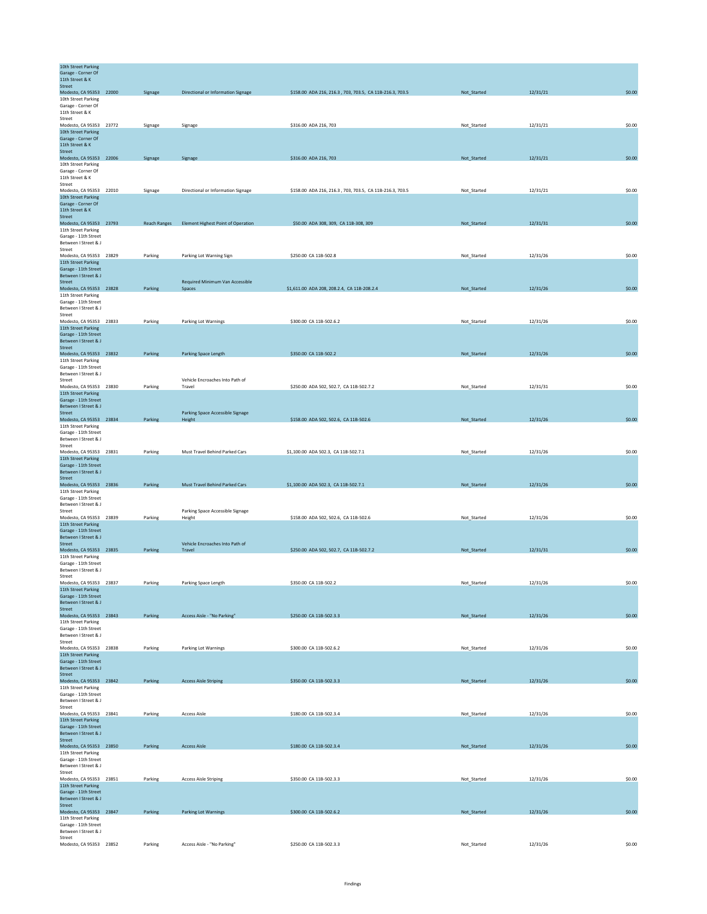| 10th Street Parking<br>Garage - Corner Of<br>11th Street & K |                     |                                            |                                                          |             |          |        |
|--------------------------------------------------------------|---------------------|--------------------------------------------|----------------------------------------------------------|-------------|----------|--------|
| Street<br>Modesto, CA 95353 22000                            | Signage             | Directional or Information Signage         | \$158.00 ADA 216, 216.3, 703, 703.5, CA 11B-216.3, 703.5 | Not_Started | 12/31/21 | \$0.00 |
| 10th Street Parking<br>Garage - Corner Of                    |                     |                                            |                                                          |             |          |        |
| 11th Street & K<br>Street                                    |                     |                                            |                                                          |             |          |        |
| Modesto, CA 95353 23772<br>10th Street Parking               | Signage             | Signage                                    | \$316.00 ADA 216, 703                                    | Not_Started | 12/31/21 | \$0.00 |
| Garage - Corner Of<br>11th Street & K                        |                     |                                            |                                                          |             |          |        |
| Street<br>Modesto, CA 95353 22006                            | Signage             | Signage                                    | \$316.00 ADA 216, 703                                    | Not_Started | 12/31/21 | \$0.00 |
| 10th Street Parking<br>Garage - Corner Of                    |                     |                                            |                                                          |             |          |        |
| 11th Street & K<br>Street                                    |                     |                                            |                                                          |             |          |        |
| Modesto, CA 95353 22010<br>10th Street Parking               | Signage             | Directional or Information Signage         | \$158.00 ADA 216, 216.3, 703, 703.5, CA 11B-216.3, 703.5 | Not_Started | 12/31/21 | \$0.00 |
| Garage - Corner Of<br>11th Street & K                        |                     |                                            |                                                          |             |          |        |
| <b>Street</b><br>Modesto, CA 95353 23793                     |                     |                                            | \$50.00 ADA 308, 309, CA 11B-308, 309                    | Not Started | 12/31/31 | \$0.00 |
| 11th Street Parking                                          | <b>Reach Ranges</b> | <b>Element Highest Point of Operation</b>  |                                                          |             |          |        |
| Garage - 11th Street<br>Between I Street & J                 |                     |                                            |                                                          |             |          |        |
| Street<br>Modesto, CA 95353 23829                            | Parking             | Parking Lot Warning Sign                   | \$250.00 CA 11B-502.8                                    | Not_Started | 12/31/26 | \$0.00 |
| 11th Street Parking<br>Garage - 11th Street                  |                     |                                            |                                                          |             |          |        |
| Between I Street & J<br>Street                               |                     | Required Minimum Van Accessible            |                                                          |             |          |        |
| Modesto, CA 95353 23828<br>11th Street Parking               | Parking             | Spaces                                     | \$1,611.00 ADA 208, 208.2.4, CA 11B-208.2.4              | Not_Started | 12/31/26 | \$0.00 |
| Garage - 11th Street<br>Between I Street & J                 |                     |                                            |                                                          |             |          |        |
| Street<br>Modesto, CA 95353 23833                            | Parking             | Parking Lot Warnings                       | \$300.00 CA 11B-502.6.2                                  | Not_Started | 12/31/26 | \$0.00 |
| 11th Street Parking<br>Garage - 11th Street                  |                     |                                            |                                                          |             |          |        |
| Between I Street & J                                         |                     |                                            |                                                          |             |          |        |
| Street<br>Modesto, CA 95353 23832                            | Parking             | Parking Space Length                       | \$350.00 CA 11B-502.2                                    | Not_Started | 12/31/26 | \$0.00 |
| 11th Street Parking<br>Garage - 11th Street                  |                     |                                            |                                                          |             |          |        |
| <b>Between I Street &amp; I</b><br>Street                    |                     | Vehicle Encroaches Into Path of            |                                                          |             |          |        |
| Modesto, CA 95353 23830<br>11th Street Parking               | Parking             | Travel                                     | \$250.00 ADA 502, 502.7, CA 11B-502.7.2                  | Not_Started | 12/31/31 | \$0.00 |
| Garage - 11th Street<br>Between I Street & J                 |                     |                                            |                                                          |             |          |        |
| Street<br>Modesto, CA 95353 23834                            | Parking             | Parking Space Accessible Signage<br>Height | \$158.00 ADA 502, 502.6, CA 11B-502.6                    | Not_Started | 12/31/26 | \$0.00 |
| 11th Street Parking<br>Garage - 11th Street                  |                     |                                            |                                                          |             |          |        |
| Between I Street & J<br>Street                               |                     |                                            |                                                          |             |          |        |
| Modesto, CA 95353 23831<br>11th Street Parking               | Parking             | Must Travel Behind Parked Cars             | \$1,100.00 ADA 502.3, CA 11B-502.7.1                     | Not_Started | 12/31/26 | \$0.00 |
| Garage - 11th Street<br>Between I Street & J                 |                     |                                            |                                                          |             |          |        |
| <b>Street</b><br>Modesto, CA 95353 23836                     | Parking             | Must Travel Behind Parked Cars             | \$1,100.00 ADA 502.3, CA 11B-502.7.1                     | Not_Started | 12/31/26 | \$0.00 |
| 11th Street Parking                                          |                     |                                            |                                                          |             |          |        |
| Garage - 11th Street<br>Between I Street & J                 |                     |                                            |                                                          |             |          |        |
| Street<br>Modesto, CA 95353 23839                            | Parking             | Parking Space Accessible Signage<br>Height | \$158.00 ADA 502, 502.6, CA 11B-502.6                    | Not_Started | 12/31/26 | \$0.00 |
| 11th Street Parking<br>Garage - 11th Street                  |                     |                                            |                                                          |             |          |        |
| Between I Street & J<br>Street                               |                     | Vehicle Encroaches Into Path of            |                                                          |             |          |        |
| Modesto, CA 95353 23835<br>11th Street Parking               | Parking             | Travel                                     | \$250.00 ADA 502, 502.7, CA 11B-502.7.2                  | Not_Started | 12/31/31 | \$0.00 |
| Garage - 11th Street<br>Between I Street & J                 |                     |                                            |                                                          |             |          |        |
| Street<br>Modesto, CA 95353 23837                            | Parking             | Parking Space Length                       | \$350.00 CA 11B-502.2                                    | Not_Started | 12/31/26 | \$0.00 |
| 11th Street Parking<br>Garage - 11th Street                  |                     |                                            |                                                          |             |          |        |
| Between I Street & J<br>Street                               |                     |                                            |                                                          |             |          |        |
| Modesto, CA 95353 23843<br>11th Street Parking               | Parking             | Access Aisle - "No Parking"                | \$250.00 CA 11B-502.3.3                                  | Not_Started | 12/31/26 | \$0.00 |
| Garage - 11th Street<br>Between I Street & J                 |                     |                                            |                                                          |             |          |        |
| Street<br>Modesto, CA 95353 23838                            | Parking             | Parking Lot Warnings                       | \$300.00 CA 11B-502.6.2                                  | Not_Started | 12/31/26 | \$0.00 |
| 11th Street Parking<br>Garage - 11th Street                  |                     |                                            |                                                          |             |          |        |
| Between I Street & J<br>Street                               |                     |                                            |                                                          |             |          |        |
| Modesto, CA 95353 23842                                      | Parking             | <b>Access Aisle Striping</b>               | \$350.00 CA 11B-502.3.3                                  | Not_Started | 12/31/26 | \$0.00 |
| 11th Street Parking<br>Garage - 11th Street                  |                     |                                            |                                                          |             |          |        |
| Between I Street & J<br>Street                               |                     |                                            |                                                          |             |          |        |
| Modesto, CA 95353 23841<br>11th Street Parking               | Parking             | <b>Access Aisle</b>                        | \$180.00 CA 11B-502.3.4                                  | Not_Started | 12/31/26 | \$0.00 |
| Garage - 11th Street<br>Between I Street & J                 |                     |                                            |                                                          |             |          |        |
| Street<br>Modesto, CA 95353 23850                            | Parking             | <b>Access Aisle</b>                        | \$180.00 CA 11B-502.3.4                                  | Not_Started | 12/31/26 | \$0.00 |
| 11th Street Parking<br>Garage - 11th Street                  |                     |                                            |                                                          |             |          |        |
| Between I Street & J<br>Street                               |                     |                                            |                                                          |             |          |        |
| Modesto, CA 95353 23851<br>11th Street Parking               | Parking             | <b>Access Aisle Striping</b>               | \$350.00 CA 11B-502.3.3                                  | Not_Started | 12/31/26 | \$0.00 |
| Garage - 11th Street<br>Between I Street & J                 |                     |                                            |                                                          |             |          |        |
| Street<br>Modesto, CA 95353 23847                            | Parking             | Parking Lot Warnings                       | \$300.00 CA 11B-502.6.2                                  | Not_Started | 12/31/26 | \$0.00 |
| 11th Street Parking<br>Garage - 11th Street                  |                     |                                            |                                                          |             |          |        |
| Between I Street & J<br>Street                               |                     |                                            |                                                          |             |          |        |
| Modesto, CA 95353 23852                                      | Parking             | Access Aisle - "No Parking"                | \$250.00 CA 11B-502.3.3                                  | Not_Started | 12/31/26 | \$0.00 |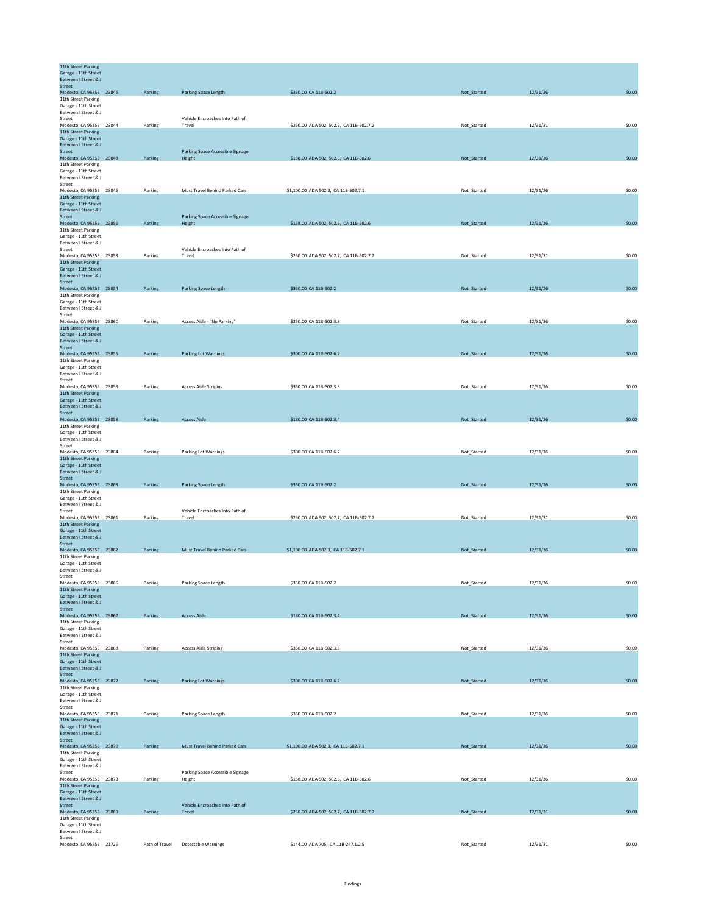| 11th Street Parking<br>Garage - 11th Street<br>Between I Street & J |         |                                            |                                         |             |          |        |
|---------------------------------------------------------------------|---------|--------------------------------------------|-----------------------------------------|-------------|----------|--------|
| <b>Street</b>                                                       |         |                                            |                                         |             |          |        |
| Modesto, CA 95353 23846                                             | Parking | Parking Space Length                       | \$350.00 CA 11B-502.2                   | Not_Started | 12/31/26 | \$0.00 |
| 11th Street Parking<br>Garage - 11th Street                         |         |                                            |                                         |             |          |        |
| Between I Street & J                                                |         |                                            |                                         |             |          |        |
| Street                                                              |         | Vehicle Encroaches Into Path of            |                                         | Not Started |          |        |
| Modesto, CA 95353 23844<br>11th Street Parking                      | Parking | Travel                                     | \$250.00 ADA 502, 502.7, CA 11B-502.7.2 |             | 12/31/31 | \$0.00 |
| Garage - 11th Street                                                |         |                                            |                                         |             |          |        |
| Between I Street & J<br>Street                                      |         | Parking Space Accessible Signage           |                                         |             |          |        |
| Modesto, CA 95353 23848                                             | Parking | Height                                     | \$158.00 ADA 502, 502.6, CA 11B-502.6   | Not_Started | 12/31/26 | \$0.00 |
| 11th Street Parking                                                 |         |                                            |                                         |             |          |        |
| Garage - 11th Street<br><b>Between I Street &amp; I</b>             |         |                                            |                                         |             |          |        |
| Street                                                              |         |                                            |                                         |             |          |        |
| Modesto, CA 95353 23845<br>11th Street Parking                      | Parking | Must Travel Behind Parked Cars             | \$1,100.00 ADA 502.3, CA 11B-502.7.1    | Not_Started | 12/31/26 | \$0.00 |
| Garage - 11th Street                                                |         |                                            |                                         |             |          |        |
| Between I Street & J                                                |         |                                            |                                         |             |          |        |
| Street<br>Modesto, CA 95353 23856                                   | Parking | Parking Space Accessible Signage<br>Height | \$158.00 ADA 502, 502.6, CA 11B-502.6   | Not_Started | 12/31/26 | \$0.00 |
| 11th Street Parking                                                 |         |                                            |                                         |             |          |        |
| Garage - 11th Street<br>Between I Street & J                        |         |                                            |                                         |             |          |        |
| Street                                                              |         | Vehicle Encroaches Into Path of            |                                         |             |          |        |
| Modesto, CA 95353 23853                                             | Parking | Travel                                     | \$250.00 ADA 502, 502.7, CA 11B-502.7.2 | Not_Started | 12/31/31 | \$0.00 |
| 11th Street Parking<br>Garage - 11th Street                         |         |                                            |                                         |             |          |        |
| Between I Street & J                                                |         |                                            |                                         |             |          |        |
| Street<br>Modesto, CA 95353 23854                                   | Parking | Parking Space Length                       | \$350.00 CA 11B-502.2                   | Not_Started | 12/31/26 | \$0.00 |
| 11th Street Parking                                                 |         |                                            |                                         |             |          |        |
| Garage - 11th Street<br>Between I Street & J                        |         |                                            |                                         |             |          |        |
| Street                                                              |         |                                            |                                         |             |          |        |
| Modesto, CA 95353 23860<br>11th Street Parking                      | Parking | Access Aisle - "No Parking"                | \$250.00 CA 11B-502.3.3                 | Not_Started | 12/31/26 | \$0.00 |
| Garage - 11th Street                                                |         |                                            |                                         |             |          |        |
| Between I Street & J                                                |         |                                            |                                         |             |          |        |
| Street<br>Modesto, CA 95353 23855                                   | Parking | <b>Parking Lot Warnings</b>                | \$300.00 CA 11B-502.6.2                 | Not_Started | 12/31/26 | \$0.00 |
| 11th Street Parking                                                 |         |                                            |                                         |             |          |        |
| Garage - 11th Street<br>Between I Street & J                        |         |                                            |                                         |             |          |        |
| Street                                                              |         |                                            |                                         |             |          |        |
| Modesto, CA 95353 23859<br>11th Street Parking                      | Parking | <b>Access Aisle Striping</b>               | \$350.00 CA 11B-502.3.3                 | Not Started | 12/31/26 | \$0.00 |
| Garage - 11th Street                                                |         |                                            |                                         |             |          |        |
| Between I Street & J<br>Street                                      |         |                                            |                                         |             |          |        |
| Modesto, CA 95353 23858                                             | Parking | <b>Access Aisle</b>                        | \$180.00 CA 11B-502.3.4                 | Not_Started | 12/31/26 | \$0.00 |
| 11th Street Parking                                                 |         |                                            |                                         |             |          |        |
| Garage - 11th Street<br>Between I Street & J                        |         |                                            |                                         |             |          |        |
| Street                                                              |         |                                            |                                         |             |          |        |
| Modesto, CA 95353 23864<br>11th Street Parking                      | Parking | Parking Lot Warnings                       | \$300.00 CA 11B-502.6.2                 | Not_Started | 12/31/26 | \$0.00 |
| Garage - 11th Street                                                |         |                                            |                                         |             |          |        |
| Between I Street & J<br>Street                                      |         |                                            |                                         |             |          |        |
| Modesto, CA 95353 23863                                             | Parking | Parking Space Length                       | \$350.00 CA 11B-502.2                   | Not_Started | 12/31/26 | \$0.00 |
| 11th Street Parking<br>Garage - 11th Street                         |         |                                            |                                         |             |          |        |
| Between I Street & J                                                |         |                                            |                                         |             |          |        |
| Street                                                              |         | Vehicle Encroaches Into Path of<br>Travel  | \$250.00 ADA 502, 502.7, CA 11B-502.7.2 |             |          | \$0.00 |
| Modesto, CA 95353 23861<br>11th Street Parking                      | Parking |                                            |                                         | Not_Started | 12/31/31 |        |
| Garage - 11th Street                                                |         |                                            |                                         |             |          |        |
| Between I Street & J<br>Street                                      |         |                                            |                                         |             |          |        |
| Modesto, CA 95353 23862                                             | Parking | Must Travel Behind Parked Cars             | \$1,100.00 ADA 502.3, CA 11B-502.7.1    | Not_Started | 12/31/26 | \$0.00 |
| 11th Street Parking<br>Garage - 11th Street                         |         |                                            |                                         |             |          |        |
| Between I Street & J                                                |         |                                            |                                         |             |          |        |
| Street<br>Modesto, CA 95353 23865                                   | Parking |                                            | \$350.00 CA 11B-502.2                   | Not_Started | 12/31/26 | \$0.00 |
| 11th Street Parking                                                 |         | Parking Space Length                       |                                         |             |          |        |
| Garage - 11th Street                                                |         |                                            |                                         |             |          |        |
| Between I Street & J<br>Street                                      |         |                                            |                                         |             |          |        |
| Modesto, CA 95353 23867                                             | Parking | <b>Access Aisle</b>                        | \$180.00 CA 11B-502.3.4                 | Not_Started | 12/31/26 | \$0.00 |
| 11th Street Parking<br>Garage - 11th Street                         |         |                                            |                                         |             |          |        |
| Between I Street & J                                                |         |                                            |                                         |             |          |        |
| Street<br>Modesto, CA 95353 23868                                   | Parking | <b>Access Aisle Striping</b>               | \$350.00 CA 11B-502.3.3                 | Not_Started | 12/31/26 | \$0.00 |
| 11th Street Parking                                                 |         |                                            |                                         |             |          |        |
| Garage - 11th Street<br>Between I Street & J                        |         |                                            |                                         |             |          |        |
| <b>Street</b>                                                       |         |                                            |                                         |             |          |        |
| Modesto, CA 95353 23872<br>11th Street Parking                      | Parking | <b>Parking Lot Warnings</b>                | \$300.00 CA 11B-502.6.2                 | Not_Started | 12/31/26 | \$0.00 |
| Garage - 11th Street                                                |         |                                            |                                         |             |          |        |
| Between I Street & J<br>Street                                      |         |                                            |                                         |             |          |        |
| Modesto, CA 95353 23871                                             | Parking | Parking Space Length                       | \$350.00 CA 11B-502.2                   | Not_Started | 12/31/26 | \$0.00 |
| 11th Street Parking                                                 |         |                                            |                                         |             |          |        |
| Garage - 11th Street<br>Between I Street & J                        |         |                                            |                                         |             |          |        |
| Street                                                              |         |                                            |                                         |             |          |        |
| Modesto, CA 95353 23870<br>11th Street Parking                      | Parking | Must Travel Behind Parked Cars             | \$1,100.00 ADA 502.3, CA 11B-502.7.1    | Not_Started | 12/31/26 | \$0.00 |
| Garage - 11th Street                                                |         |                                            |                                         |             |          |        |
| Between I Street & J<br>Street                                      |         | Parking Space Accessible Signage           |                                         |             |          |        |
| Modesto, CA 95353 23873                                             | Parking | Height                                     | \$158.00 ADA 502, 502.6, CA 11B-502.6   | Not_Started | 12/31/26 | \$0.00 |
| 11th Street Parking<br>Garage - 11th Street                         |         |                                            |                                         |             |          |        |
| Between I Street & J                                                |         |                                            |                                         |             |          |        |
| Street                                                              |         | Vehicle Encroaches Into Path of            |                                         |             |          |        |
| Modesto, CA 95353 23869<br>11th Street Parking                      | Parking | Travel                                     | \$250.00 ADA 502, 502.7, CA 11B-502.7.2 | Not_Started | 12/31/31 | \$0.00 |
| Garage - 11th Street<br>Between I Street & J                        |         |                                            |                                         |             |          |        |
| Street                                                              |         |                                            |                                         |             |          |        |
| Modesto, CA 95353 21726                                             |         | Path of Travel Detectable Warnings         | \$144.00 ADA 705, CA 11B-247.1.2.5      | Not_Started | 12/31/31 | \$0.00 |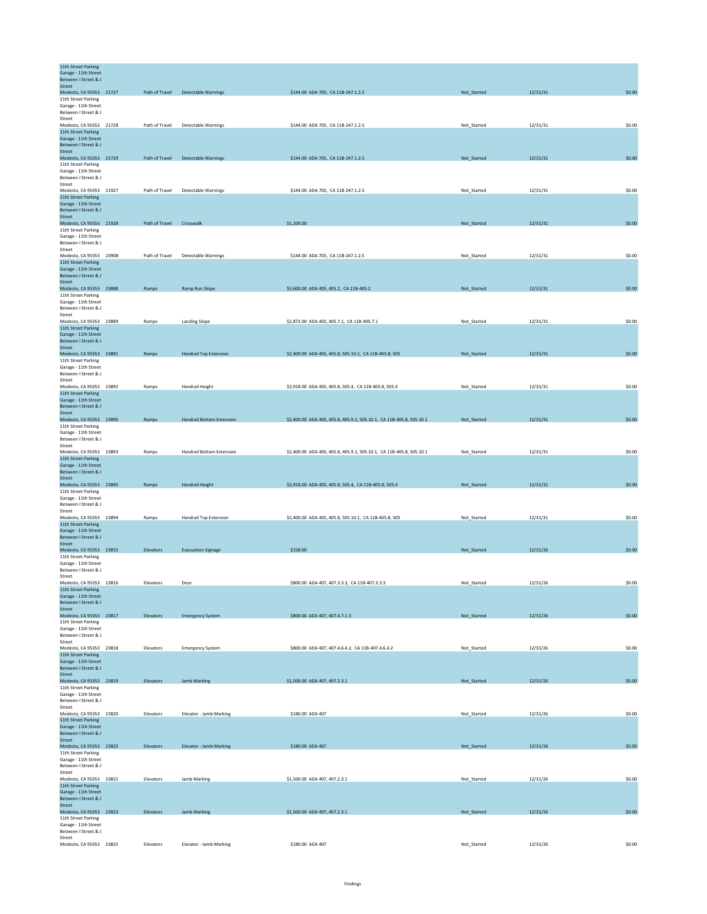| 11th Street Parking<br>Garage - 11th Street    |                          |                                    |                                                                      |             |          |        |
|------------------------------------------------|--------------------------|------------------------------------|----------------------------------------------------------------------|-------------|----------|--------|
| Between I Street & J<br>Street                 |                          |                                    |                                                                      |             |          |        |
| Modesto, CA 95353 21727                        |                          | Path of Travel Detectable Warnings | \$144.00 ADA 705, CA 11B-247.1.2.5                                   | Not_Started | 12/31/31 | \$0.00 |
| 11th Street Parking<br>Garage - 11th Street    |                          |                                    |                                                                      |             |          |        |
| Between I Street & J<br>Street                 |                          |                                    |                                                                      |             |          |        |
| Modesto, CA 95353 21728                        | Path of Travel           | Detectable Warnings                | \$144.00 ADA 705, CA 11B-247.1.2.5                                   | Not_Started | 12/31/31 | \$0.00 |
| 11th Street Parking<br>Garage - 11th Street    |                          |                                    |                                                                      |             |          |        |
| Between I Street & J<br>Street                 |                          |                                    |                                                                      |             |          |        |
| Modesto, CA 95353 21729                        | Path of Travel           | <b>Detectable Warnings</b>         | \$144.00 ADA 705, CA 11B-247.1.2.5                                   | Not_Started | 12/31/31 | \$0.00 |
| 11th Street Parking<br>Garage - 11th Street    |                          |                                    |                                                                      |             |          |        |
| Between I Street & J                           |                          |                                    |                                                                      |             |          |        |
| Street<br>Modesto, CA 95353 21927              | Path of Travel           | Detectable Warnings                | \$144.00 ADA 705, CA 11B-247.1.2.5                                   | Not_Started | 12/31/31 | \$0.00 |
| 11th Street Parking<br>Garage - 11th Street    |                          |                                    |                                                                      |             |          |        |
| Between I Street & J                           |                          |                                    |                                                                      |             |          |        |
| Street<br>Modesto, CA 95353 21928              | Path of Travel Crosswalk |                                    | \$1,100.00                                                           | Not_Started | 12/31/31 | \$0.00 |
| 11th Street Parking                            |                          |                                    |                                                                      |             |          |        |
| Garage - 11th Street<br>Between I Street & J   |                          |                                    |                                                                      |             |          |        |
| Street                                         |                          |                                    |                                                                      |             |          |        |
| Modesto, CA 95353 23908<br>11th Street Parking | Path of Travel           | <b>Detectable Warnings</b>         | \$144.00 ADA 705, CA 11B-247.1.2.5                                   | Not_Started | 12/31/31 | \$0.00 |
| Garage - 11th Street<br>Between I Street & J   |                          |                                    |                                                                      |             |          |        |
| <b>Street</b>                                  |                          |                                    |                                                                      |             |          |        |
| Modesto, CA 95353 23888<br>11th Street Parking | Ramps                    | Ramp Run Slope                     | \$3,600.00 ADA 405, 405.2, CA 11B-405.2                              | Not_Started | 12/31/31 | \$0.00 |
| Garage - 11th Street                           |                          |                                    |                                                                      |             |          |        |
| Between I Street & J<br>Street                 |                          |                                    |                                                                      |             |          |        |
| Modesto, CA 95353 23889<br>11th Street Parking | Ramps                    | Landing Slope                      | \$2,872.00 ADA 402, 405.7.1, CA 11B-405.7.1                          | Not Started | 12/31/31 | \$0.00 |
| Garage - 11th Street                           |                          |                                    |                                                                      |             |          |        |
| Between I Street & J<br>Street                 |                          |                                    |                                                                      |             |          |        |
| Modesto, CA 95353 23891                        | Ramps                    | <b>Handrail Top Extension</b>      | \$2,400.00 ADA 405, 405.8, 505.10.1, CA 11B-405.8, 505               | Not_Started | 12/31/31 | \$0.00 |
| 11th Street Parking<br>Garage - 11th Street    |                          |                                    |                                                                      |             |          |        |
| Between I Street & J<br>Street                 |                          |                                    |                                                                      |             |          |        |
| Modesto, CA 95353 23892                        | Ramps                    | Handrail Height                    | \$3,918.00 ADA 405, 405.8, 505.4, CA 11B-405.8, 505.4                | Not_Started | 12/31/31 | \$0.00 |
| 11th Street Parking<br>Garage - 11th Street    |                          |                                    |                                                                      |             |          |        |
| Between I Street & J                           |                          |                                    |                                                                      |             |          |        |
| Street<br>Modesto, CA 95353 23890              | Ramps                    | Handrail Bottom Extension          | \$2,400.00 ADA 405, 405.8, 405.9.1, 505.10.1, CA 11B-405.8, 505.10.1 | Not_Started | 12/31/31 | \$0.00 |
| 11th Street Parking                            |                          |                                    |                                                                      |             |          |        |
| Garage - 11th Street<br>Between I Street & J   |                          |                                    |                                                                      |             |          |        |
| Street<br>Modesto, CA 95353 23893              | Ramps                    | Handrail Bottom Extension          | \$2,400.00 ADA 405, 405.8, 405.9.1, 505.10.1, CA 11B-405.8, 505.10.1 | Not_Started | 12/31/31 | \$0.00 |
| 11th Street Parking                            |                          |                                    |                                                                      |             |          |        |
| Garage - 11th Street<br>Between I Street & J   |                          |                                    |                                                                      |             |          |        |
| Street                                         |                          |                                    |                                                                      |             |          |        |
| Modesto, CA 95353 23895<br>11th Street Parking | Ramps                    | Handrail Height                    | \$3,918.00 ADA 405, 405.8, 505.4, CA 11B-405.8, 505.4                | Not Started | 12/31/31 | \$0.00 |
| Garage - 11th Street                           |                          |                                    |                                                                      |             |          |        |
| Between I Street & J<br>Street                 |                          |                                    |                                                                      |             |          |        |
| Modesto, CA 95353 23894<br>11th Street Parking | Ramps                    | Handrail Top Extension             | \$2,400.00 ADA 405, 405.8, 505.10.1, CA 11B-405.8, 505               | Not_Started | 12/31/31 | \$0.00 |
| Garage - 11th Street                           |                          |                                    |                                                                      |             |          |        |
| Between I Street & J<br><b>Street</b>          |                          |                                    |                                                                      |             |          |        |
| Modesto, CA 95353 23815                        | Elevators                | <b>Evacuation Signage</b>          | \$158.00                                                             | Not_Started | 12/31/26 | \$0.00 |
| 11th Street Parking<br>Garage - 11th Street    |                          |                                    |                                                                      |             |          |        |
| Between I Street & J<br>Street                 |                          |                                    |                                                                      |             |          |        |
| Modesto, CA 95353 23816                        | Elevators                | Door                               | \$800.00 ADA 407, 407.3.3.3, CA 11B-407.3.3.3                        | Not_Started | 12/31/26 | \$0.00 |
| 11th Street Parking<br>Garage - 11th Street    |                          |                                    |                                                                      |             |          |        |
| Between I Street & J                           |                          |                                    |                                                                      |             |          |        |
| Street<br>Modesto, CA 95353 23817              | Elevators                | <b>Emergency System</b>            | \$800.00 ADA 407, 407.4.7.1.3                                        | Not_Started | 12/31/26 | \$0.00 |
| 11th Street Parking                            |                          |                                    |                                                                      |             |          |        |
| Garage - 11th Street<br>Between I Street & J   |                          |                                    |                                                                      |             |          |        |
| Street<br>Modesto, CA 95353 23818              | Elevators                | <b>Emergency System</b>            | \$800.00 ADA 407, 407.4.6.4.2, CA 11B-407.4.6.4.2                    | Not_Started | 12/31/26 | \$0.00 |
| 11th Street Parking                            |                          |                                    |                                                                      |             |          |        |
| Garage - 11th Street<br>Between I Street & J   |                          |                                    |                                                                      |             |          |        |
| Street                                         |                          |                                    |                                                                      |             |          |        |
| Modesto, CA 95353 23819<br>11th Street Parking | Elevators                | Jamb Marking                       | \$1,500.00 ADA 407, 407.2.3.1                                        | Not_Started | 12/31/26 | \$0.00 |
| Garage - 11th Street<br>Between I Street & J   |                          |                                    |                                                                      |             |          |        |
| Street                                         |                          |                                    |                                                                      |             |          |        |
| Modesto, CA 95353 23820<br>11th Street Parking | Elevators                | Elevator - Jamb Marking            | \$180.00 ADA 407                                                     | Not_Started | 12/31/26 | \$0.00 |
| Garage - 11th Street                           |                          |                                    |                                                                      |             |          |        |
| Between I Street & J<br>Street                 |                          |                                    |                                                                      |             |          |        |
| Modesto, CA 95353 23822                        | Elevators                | Elevator - Jamb Marking            | \$180.00 ADA 407                                                     | Not_Started | 12/31/26 | \$0.00 |
| 11th Street Parking<br>Garage - 11th Street    |                          |                                    |                                                                      |             |          |        |
| Between I Street & J<br>Street                 |                          |                                    |                                                                      |             |          |        |
| Modesto, CA 95353 23821                        | Elevators                | Jamb Marking                       | \$1,500.00 ADA 407, 407.2.3.1                                        | Not_Started | 12/31/26 | \$0.00 |
| 11th Street Parking<br>Garage - 11th Street    |                          |                                    |                                                                      |             |          |        |
| Between I Street & J                           |                          |                                    |                                                                      |             |          |        |
| Street<br>Modesto, CA 95353 23823              | Elevators                | Jamb Marking                       | \$1,500.00 ADA 407, 407.2.3.1                                        | Not_Started | 12/31/26 | \$0.00 |
| 11th Street Parking<br>Garage - 11th Street    |                          |                                    |                                                                      |             |          |        |
| Between I Street & J                           |                          |                                    |                                                                      |             |          |        |
| Street<br>Modesto, CA 95353 23825              | Elevators                | Elevator - Jamb Marking            | \$180.00 ADA 407                                                     | Not_Started | 12/31/26 | \$0.00 |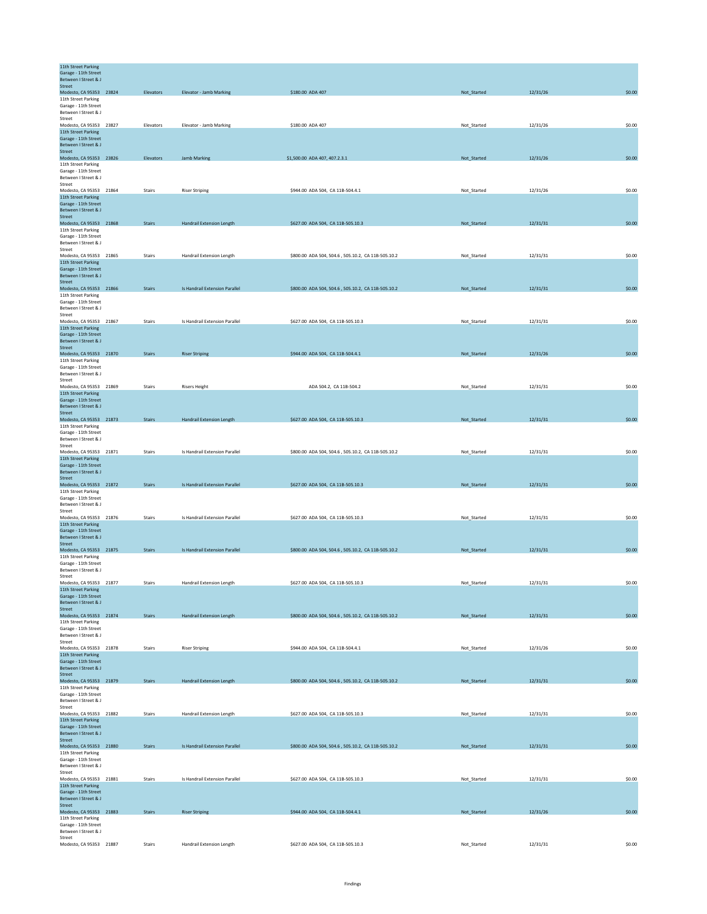| 11th Street Parking<br>Garage - 11th Street             |               |                                  |                                                    |             |          |        |
|---------------------------------------------------------|---------------|----------------------------------|----------------------------------------------------|-------------|----------|--------|
| Between I Street & J<br><b>Street</b>                   |               |                                  |                                                    |             |          |        |
| Modesto, CA 95353 23824<br>11th Street Parking          | Elevators     | Elevator - Jamb Marking          | \$180.00 ADA 407                                   | Not_Started | 12/31/26 | \$0.00 |
| Garage - 11th Street                                    |               |                                  |                                                    |             |          |        |
| Between I Street & J<br>Street                          |               |                                  |                                                    |             |          |        |
| Modesto, CA 95353 23827                                 | Elevators     | Elevator - Jamb Marking          | \$180.00 ADA 407                                   | Not_Started | 12/31/26 | \$0.00 |
| 11th Street Parking<br>Garage - 11th Street             |               |                                  |                                                    |             |          |        |
| Between I Street & J                                    |               |                                  |                                                    |             |          |        |
| Street<br>Modesto, CA 95353 23826                       | Elevators     | Jamb Marking                     | \$1,500.00 ADA 407, 407.2.3.1                      | Not_Started | 12/31/26 | \$0.00 |
| 11th Street Parking                                     |               |                                  |                                                    |             |          |        |
| Garage - 11th Street<br><b>Between I Street &amp; I</b> |               |                                  |                                                    |             |          |        |
| Street                                                  |               |                                  |                                                    |             |          |        |
| Modesto, CA 95353 21864<br>11th Street Parking          | Stairs        | <b>Riser Striping</b>            | \$944.00 ADA 504, CA 11B-504.4.1                   | Not_Started | 12/31/26 | \$0.00 |
| Garage - 11th Street                                    |               |                                  |                                                    |             |          |        |
| Between I Street & J<br>Street                          |               |                                  |                                                    |             |          |        |
| Modesto, CA 95353 21868                                 | <b>Stairs</b> | <b>Handrail Extension Length</b> | \$627.00 ADA 504, CA 11B-505.10.3                  | Not_Started | 12/31/31 | \$0.00 |
| 11th Street Parking<br>Garage - 11th Street             |               |                                  |                                                    |             |          |        |
| Between I Street & J                                    |               |                                  |                                                    |             |          |        |
| Street<br>Modesto, CA 95353 21865                       | Stairs        | Handrail Extension Length        | \$800.00 ADA 504, 504.6, 505.10.2, CA 11B-505.10.2 | Not_Started | 12/31/31 | \$0.00 |
| 11th Street Parking                                     |               |                                  |                                                    |             |          |        |
| Garage - 11th Street<br>Between I Street & J            |               |                                  |                                                    |             |          |        |
| Street<br>Modesto, CA 95353 21866                       | <b>Stairs</b> | Is Handrail Extension Parallel   |                                                    | Not_Started | 12/31/31 | \$0.00 |
| 11th Street Parking                                     |               |                                  | \$800.00 ADA 504, 504.6, 505.10.2, CA 11B-505.10.2 |             |          |        |
| Garage - 11th Street<br>Between I Street & J            |               |                                  |                                                    |             |          |        |
| Street                                                  |               |                                  |                                                    |             |          |        |
| Modesto, CA 95353 21867<br>11th Street Parking          | <b>Stairs</b> | Is Handrail Extension Parallel   | \$627.00 ADA 504, CA 11B-505.10.3                  | Not_Started | 12/31/31 | \$0.00 |
| Garage - 11th Street                                    |               |                                  |                                                    |             |          |        |
| Between I Street & J<br>Street                          |               |                                  |                                                    |             |          |        |
| Modesto, CA 95353 21870                                 | <b>Stairs</b> | <b>Riser Striping</b>            | \$944.00 ADA 504, CA 11B-504.4.1                   | Not_Started | 12/31/26 | \$0.00 |
| 11th Street Parking<br>Garage - 11th Street             |               |                                  |                                                    |             |          |        |
| Between I Street & J                                    |               |                                  |                                                    |             |          |        |
| Street<br>Modesto, CA 95353 21869                       | <b>Stairs</b> | <b>Risers Height</b>             | ADA 504.2. CA 11B-504.2                            | Not Started | 12/31/31 | \$0.00 |
| 11th Street Parking                                     |               |                                  |                                                    |             |          |        |
| Garage - 11th Street<br>Between I Street & J            |               |                                  |                                                    |             |          |        |
| Street<br>Modesto, CA 95353 21873                       | <b>Stairs</b> | Handrail Extension Length        | \$627.00 ADA 504, CA 11B-505.10.3                  | Not_Started | 12/31/31 | \$0.00 |
| 11th Street Parking                                     |               |                                  |                                                    |             |          |        |
| Garage - 11th Street<br>Between I Street & J            |               |                                  |                                                    |             |          |        |
| Street                                                  |               |                                  |                                                    |             |          |        |
| Modesto, CA 95353 21871<br>11th Street Parking          | Stairs        | Is Handrail Extension Parallel   | \$800.00 ADA 504, 504.6, 505.10.2, CA 11B-505.10.2 | Not_Started | 12/31/31 | \$0.00 |
| Garage - 11th Street                                    |               |                                  |                                                    |             |          |        |
| Between I Street & J<br>Street                          |               |                                  |                                                    |             |          |        |
| Modesto, CA 95353 21872                                 | <b>Stairs</b> | Is Handrail Extension Parallel   | \$627.00 ADA 504, CA 11B-505.10.3                  | Not_Started | 12/31/31 | \$0.00 |
| 11th Street Parking<br>Garage - 11th Street             |               |                                  |                                                    |             |          |        |
| Between I Street & J                                    |               |                                  |                                                    |             |          |        |
| Street<br>Modesto, CA 95353 21876                       | Stairs        | Is Handrail Extension Parallel   | \$627.00 ADA 504, CA 11B-505.10.3                  | Not_Started | 12/31/31 | \$0.00 |
| 11th Street Parking<br>Garage - 11th Street             |               |                                  |                                                    |             |          |        |
| Between I Street & J                                    |               |                                  |                                                    |             |          |        |
| Street<br>Modesto, CA 95353 21875                       | <b>Stairs</b> | Is Handrail Extension Parallel   | \$800.00 ADA 504, 504.6, 505.10.2, CA 11B-505.10.2 | Not_Started | 12/31/31 | \$0.00 |
| 11th Street Parking                                     |               |                                  |                                                    |             |          |        |
| Garage - 11th Street<br>Between I Street & J            |               |                                  |                                                    |             |          |        |
| Street                                                  |               |                                  |                                                    |             |          |        |
| Modesto, CA 95353 21877<br>11th Street Parking          | Stairs        | Handrail Extension Length        | \$627.00 ADA 504, CA 11B-505.10.3                  | Not_Started | 12/31/31 | \$0.00 |
| Garage - 11th Street                                    |               |                                  |                                                    |             |          |        |
| Between I Street & J<br><b>Street</b>                   |               |                                  |                                                    |             |          |        |
| Modesto, CA 95353 21874                                 | <b>Stairs</b> | <b>Handrail Extension Length</b> | \$800.00 ADA 504, 504.6, 505.10.2, CA 11B-505.10.2 | Not_Started | 12/31/31 | \$0.00 |
| 11th Street Parking<br>Garage - 11th Street             |               |                                  |                                                    |             |          |        |
| Between I Street & J                                    |               |                                  |                                                    |             |          |        |
| Street<br>Modesto, CA 95353 21878                       | <b>Stairs</b> | <b>Riser Striping</b>            | \$944.00 ADA 504, CA 11B-504.4.1                   | Not_Started | 12/31/26 | \$0.00 |
| 11th Street Parking                                     |               |                                  |                                                    |             |          |        |
| Garage - 11th Street<br>Between I Street & J            |               |                                  |                                                    |             |          |        |
| <b>Street</b><br>Modesto, CA 95353 21879                | <b>Stairs</b> | <b>Handrail Extension Length</b> | \$800.00 ADA 504, 504.6, 505.10.2, CA 11B-505.10.2 | Not_Started | 12/31/31 | \$0.00 |
| 11th Street Parking                                     |               |                                  |                                                    |             |          |        |
| Garage - 11th Street<br>Between I Street & J            |               |                                  |                                                    |             |          |        |
| Street                                                  |               |                                  |                                                    |             |          |        |
| Modesto, CA 95353 21882<br>11th Street Parking          | Stairs        | Handrail Extension Length        | \$627.00 ADA 504, CA 11B-505.10.3                  | Not_Started | 12/31/31 | \$0.00 |
| Garage - 11th Street                                    |               |                                  |                                                    |             |          |        |
| Between I Street & J<br>Street                          |               |                                  |                                                    |             |          |        |
| Modesto, CA 95353 21880                                 | <b>Stairs</b> | Is Handrail Extension Parallel   | \$800.00 ADA 504, 504.6, 505.10.2, CA 11B-505.10.2 | Not_Started | 12/31/31 | \$0.00 |
| 11th Street Parking<br>Garage - 11th Street             |               |                                  |                                                    |             |          |        |
| Between I Street & J                                    |               |                                  |                                                    |             |          |        |
| Street<br>Modesto, CA 95353 21881                       | Stairs        | Is Handrail Extension Parallel   | \$627.00 ADA 504, CA 11B-505.10.3                  | Not_Started | 12/31/31 | \$0.00 |
| 11th Street Parking                                     |               |                                  |                                                    |             |          |        |
| Garage - 11th Street<br>Between I Street & J            |               |                                  |                                                    |             |          |        |
| Street<br>Modesto, CA 95353 21883                       | <b>Stairs</b> | <b>Riser Striping</b>            | \$944.00 ADA 504, CA 11B-504.4.1                   | Not_Started | 12/31/26 | \$0.00 |
| 11th Street Parking                                     |               |                                  |                                                    |             |          |        |
| Garage - 11th Street<br>Between I Street & J            |               |                                  |                                                    |             |          |        |
| Street<br>Modesto, CA 95353 21887                       | Stairs        | Handrail Extension Length        | \$627.00 ADA 504, CA 11B-505.10.3                  | Not_Started | 12/31/31 | \$0.00 |
|                                                         |               |                                  |                                                    |             |          |        |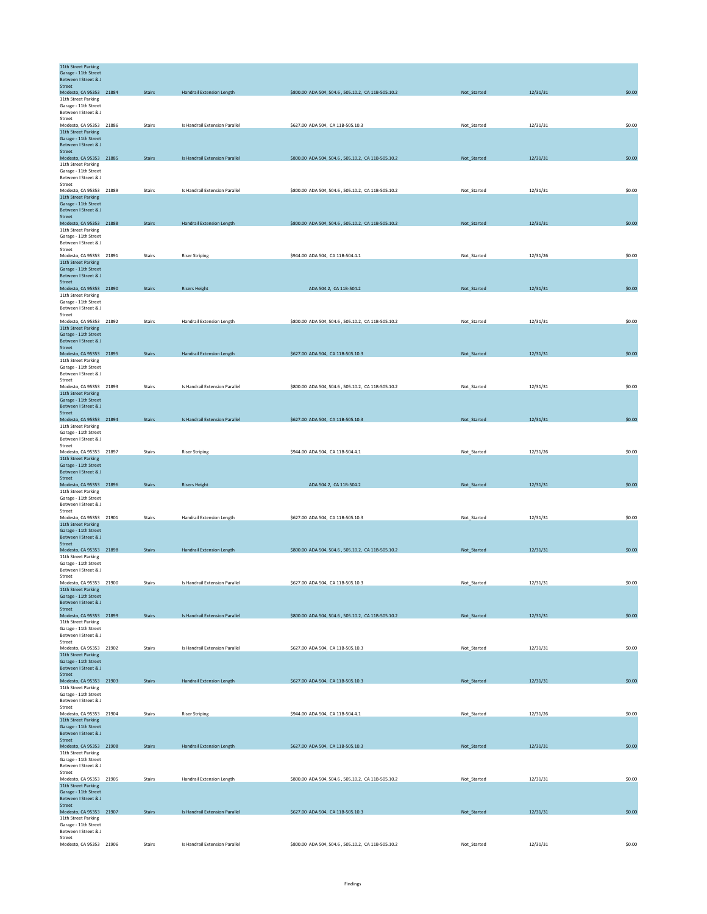| 11th Street Parking                            |               |                                  |                                                    |             |          |        |
|------------------------------------------------|---------------|----------------------------------|----------------------------------------------------|-------------|----------|--------|
|                                                |               |                                  |                                                    |             |          |        |
| Garage - 11th Street<br>Between I Street & J   |               |                                  |                                                    |             |          |        |
| Street                                         |               |                                  |                                                    |             |          |        |
| Modesto, CA 95353 21884                        | <b>Stairs</b> | <b>Handrail Extension Length</b> | \$800.00 ADA 504, 504.6, 505.10.2, CA 11B-505.10.2 | Not_Started | 12/31/31 | \$0.00 |
| 11th Street Parking<br>Garage - 11th Street    |               |                                  |                                                    |             |          |        |
| Between I Street & J                           |               |                                  |                                                    |             |          |        |
| Street                                         |               |                                  |                                                    |             |          |        |
| Modesto, CA 95353 21886<br>11th Street Parking | Stairs        | Is Handrail Extension Parallel   | \$627.00 ADA 504, CA 11B-505.10.3                  | Not_Started | 12/31/31 | \$0.00 |
| Garage - 11th Street                           |               |                                  |                                                    |             |          |        |
| Between I Street & J                           |               |                                  |                                                    |             |          |        |
| Street                                         | <b>Stairs</b> | Is Handrail Extension Parallel   |                                                    |             | 12/31/31 | \$0.00 |
| Modesto, CA 95353 21885<br>11th Street Parking |               |                                  | \$800.00 ADA 504, 504.6, 505.10.2, CA 11B-505.10.2 | Not_Started |          |        |
| Garage - 11th Street                           |               |                                  |                                                    |             |          |        |
| Between I Street & J                           |               |                                  |                                                    |             |          |        |
| Street                                         |               |                                  |                                                    | Not Started |          |        |
| Modesto, CA 95353 21889<br>11th Street Parking | Stairs        | Is Handrail Extension Parallel   | \$800.00 ADA 504, 504.6, 505.10.2, CA 11B-505.10.2 |             | 12/31/31 | \$0.00 |
| Garage - 11th Street                           |               |                                  |                                                    |             |          |        |
| Between I Street & J                           |               |                                  |                                                    |             |          |        |
| Street<br>Modesto, CA 95353 21888              | <b>Stairs</b> | Handrail Extension Length        | \$800.00 ADA 504, 504.6, 505.10.2, CA 11B-505.10.2 | Not_Started | 12/31/31 | \$0.00 |
| 11th Street Parking                            |               |                                  |                                                    |             |          |        |
| Garage - 11th Street                           |               |                                  |                                                    |             |          |        |
| Between I Street & J                           |               |                                  |                                                    |             |          |        |
| Street<br>Modesto, CA 95353 21891              | <b>Stairs</b> |                                  | \$944.00 ADA 504, CA 11B-504.4.1                   | Not_Started | 12/31/26 | \$0.00 |
| 11th Street Parking                            |               | <b>Riser Striping</b>            |                                                    |             |          |        |
| Garage - 11th Street                           |               |                                  |                                                    |             |          |        |
| Between I Street & J                           |               |                                  |                                                    |             |          |        |
| <b>Street</b><br>Modesto, CA 95353 21890       | <b>Stairs</b> | <b>Risers Height</b>             | ADA 504.2, CA 11B-504.2                            | Not_Started | 12/31/31 | \$0.00 |
| 11th Street Parking                            |               |                                  |                                                    |             |          |        |
| Garage - 11th Street                           |               |                                  |                                                    |             |          |        |
| Between I Street & J                           |               |                                  |                                                    |             |          |        |
| Street<br>Modesto, CA 95353 21892              | Stairs        | Handrail Extension Length        | \$800.00 ADA 504, 504.6, 505.10.2, CA 11B-505.10.2 | Not Started | 12/31/31 | \$0.00 |
| 11th Street Parking                            |               |                                  |                                                    |             |          |        |
| Garage - 11th Street                           |               |                                  |                                                    |             |          |        |
| Between I Street & J<br>Street                 |               |                                  |                                                    |             |          |        |
| Modesto, CA 95353 21895                        | <b>Stairs</b> | <b>Handrail Extension Length</b> | \$627.00 ADA 504, CA 11B-505.10.3                  | Not_Started | 12/31/31 | \$0.00 |
| 11th Street Parking                            |               |                                  |                                                    |             |          |        |
| Garage - 11th Street                           |               |                                  |                                                    |             |          |        |
| Between I Street & J<br>Street                 |               |                                  |                                                    |             |          |        |
| Modesto, CA 95353 21893                        | Stairs        | Is Handrail Extension Parallel   | \$800.00 ADA 504, 504.6, 505.10.2, CA 11B-505.10.2 | Not_Started | 12/31/31 | \$0.00 |
| 11th Street Parking                            |               |                                  |                                                    |             |          |        |
| Garage - 11th Street                           |               |                                  |                                                    |             |          |        |
| Between I Street & J<br>Street                 |               |                                  |                                                    |             |          |        |
| Modesto, CA 95353 21894                        | <b>Stairs</b> | Is Handrail Extension Parallel   | \$627.00 ADA 504, CA 11B-505.10.3                  | Not_Started | 12/31/31 | \$0.00 |
| 11th Street Parking                            |               |                                  |                                                    |             |          |        |
| Garage - 11th Street                           |               |                                  |                                                    |             |          |        |
| Between I Street & J<br>Street                 |               |                                  |                                                    |             |          |        |
| Modesto, CA 95353 21897                        | Stairs        | <b>Riser Striping</b>            | \$944.00 ADA 504, CA 11B-504.4.1                   | Not_Started | 12/31/26 | \$0.00 |
| 11th Street Parking                            |               |                                  |                                                    |             |          |        |
| Garage - 11th Street                           |               |                                  |                                                    |             |          |        |
| Between I Street & J<br>Street                 |               |                                  |                                                    |             |          |        |
| Modesto, CA 95353 21896                        | <b>Stairs</b> | <b>Risers Height</b>             | ADA 504.2, CA 11B-504.2                            | Not_Started | 12/31/31 | \$0.00 |
| 11th Street Parking                            |               |                                  |                                                    |             |          |        |
| Garage - 11th Street                           |               |                                  |                                                    |             |          |        |
| Between I Street & J<br>Street                 |               |                                  |                                                    |             |          |        |
| Modesto, CA 95353 21901                        | <b>Stairs</b> | Handrail Extension Length        | \$627.00 ADA 504, CA 11B-505.10.3                  | Not_Started | 12/31/31 | \$0.00 |
| 11th Street Parking                            |               |                                  |                                                    |             |          |        |
| Garage - 11th Street                           |               |                                  |                                                    |             |          |        |
| Between I Street & J<br><b>Street</b>          |               |                                  |                                                    |             |          |        |
| Modesto, CA 95353 21898                        |               |                                  |                                                    |             |          |        |
| 11th Street Parking                            | <b>Stairs</b> | <b>Handrail Extension Length</b> |                                                    | Not_Started | 12/31/31 | \$0.00 |
| Garage - 11th Street                           |               |                                  | \$800.00 ADA 504, 504.6, 505.10.2, CA 11B-505.10.2 |             |          |        |
|                                                |               |                                  |                                                    |             |          |        |
| Between I Street & J                           |               |                                  |                                                    |             |          |        |
| Street<br>Modesto, CA 95353 21900              | Stairs        | Is Handrail Extension Parallel   | \$627.00 ADA 504, CA 11B-505.10.3                  | Not_Started | 12/31/31 | \$0.00 |
| 11th Street Parking                            |               |                                  |                                                    |             |          |        |
| Garage - 11th Street                           |               |                                  |                                                    |             |          |        |
| Between I Street & J<br>Street                 |               |                                  |                                                    |             |          |        |
| Modesto, CA 95353 21899                        | <b>Stairs</b> | Is Handrail Extension Parallel   | \$800.00 ADA 504, 504.6, 505.10.2, CA 11B-505.10.2 | Not_Started | 12/31/31 | \$0.00 |
| 11th Street Parking                            |               |                                  |                                                    |             |          |        |
| Garage - 11th Street                           |               |                                  |                                                    |             |          |        |
| Between I Street & J<br>Street                 |               |                                  |                                                    |             |          |        |
| Modesto, CA 95353 21902                        | Stairs        | Is Handrail Extension Parallel   | \$627.00 ADA 504, CA 11B-505.10.3                  | Not_Started | 12/31/31 | \$0.00 |
| 11th Street Parking                            |               |                                  |                                                    |             |          |        |
| Garage - 11th Street<br>Between I Street & J   |               |                                  |                                                    |             |          |        |
| Street                                         |               |                                  |                                                    |             |          |        |
| Modesto, CA 95353 21903                        | <b>Stairs</b> | <b>Handrail Extension Length</b> | \$627.00 ADA 504, CA 11B-505.10.3                  | Not_Started | 12/31/31 | \$0.00 |
| 11th Street Parking                            |               |                                  |                                                    |             |          |        |
| Garage - 11th Street<br>Between I Street & J   |               |                                  |                                                    |             |          |        |
| Street                                         |               |                                  |                                                    |             |          |        |
| Modesto, CA 95353 21904                        | Stairs        | <b>Riser Striping</b>            | \$944.00 ADA 504, CA 11B-504.4.1                   | Not_Started | 12/31/26 | \$0.00 |
| 11th Street Parking                            |               |                                  |                                                    |             |          |        |
| Garage - 11th Street<br>Between I Street & J   |               |                                  |                                                    |             |          |        |
| Street                                         |               |                                  |                                                    |             |          |        |
| Modesto, CA 95353 21908                        | <b>Stairs</b> | <b>Handrail Extension Length</b> | \$627.00 ADA 504, CA 11B-505.10.3                  | Not_Started | 12/31/31 | \$0.00 |
| 11th Street Parking                            |               |                                  |                                                    |             |          |        |
| Garage - 11th Street<br>Between I Street & J   |               |                                  |                                                    |             |          |        |
| Street                                         |               |                                  |                                                    |             |          |        |
| Modesto, CA 95353 21905                        | <b>Stairs</b> | Handrail Extension Length        | \$800.00 ADA 504, 504.6, 505.10.2, CA 11B-505.10.2 | Not_Started | 12/31/31 | \$0.00 |
| 11th Street Parking                            |               |                                  |                                                    |             |          |        |
| Garage - 11th Street<br>Between I Street & J   |               |                                  |                                                    |             |          |        |
| Street                                         |               |                                  |                                                    |             |          |        |
| Modesto, CA 95353 21907                        | <b>Stairs</b> | Is Handrail Extension Parallel   | \$627.00 ADA 504, CA 11B-505.10.3                  | Not_Started | 12/31/31 | \$0.00 |
| 11th Street Parking<br>Garage - 11th Street    |               |                                  |                                                    |             |          |        |
| Between I Street & J<br>Street                 |               |                                  |                                                    |             |          |        |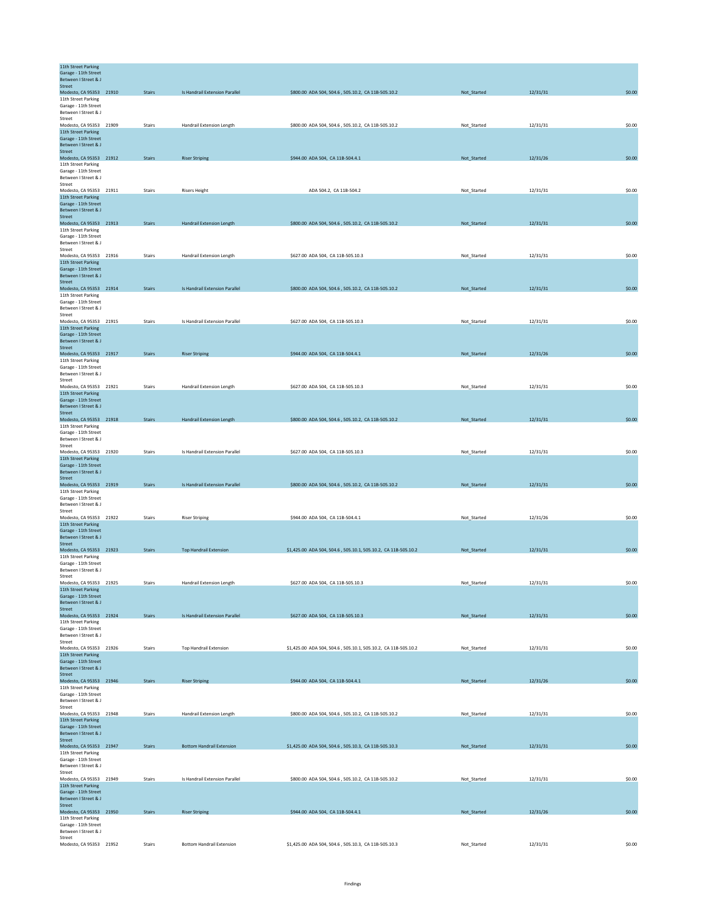| 11th Street Parking<br>Garage - 11th Street    |               |                                  |                                                                |             |          |        |
|------------------------------------------------|---------------|----------------------------------|----------------------------------------------------------------|-------------|----------|--------|
| Between I Street & J<br>Street                 |               |                                  |                                                                |             |          |        |
| Modesto, CA 95353 21910                        | <b>Stairs</b> | Is Handrail Extension Parallel   | \$800.00 ADA 504, 504.6, 505.10.2, CA 11B-505.10.2             | Not_Started | 12/31/31 | \$0.00 |
| 11th Street Parking<br>Garage - 11th Street    |               |                                  |                                                                |             |          |        |
| Between I Street & J                           |               |                                  |                                                                |             |          |        |
| Street<br>Modesto, CA 95353 21909              | Stairs        | Handrail Extension Length        | \$800.00 ADA 504, 504.6, 505.10.2, CA 11B-505.10.2             | Not_Started | 12/31/31 | \$0.00 |
| 11th Street Parking<br>Garage - 11th Street    |               |                                  |                                                                |             |          |        |
| Between I Street & J                           |               |                                  |                                                                |             |          |        |
| Street<br>Modesto, CA 95353 21912              | <b>Stairs</b> | <b>Riser Striping</b>            | \$944.00 ADA 504, CA 11B-504.4.1                               | Not_Started | 12/31/26 | \$0.00 |
| 11th Street Parking<br>Garage - 11th Street    |               |                                  |                                                                |             |          |        |
| Between I Street & J                           |               |                                  |                                                                |             |          |        |
| Street<br>Modesto, CA 95353 21911              | Stairs        | <b>Risers Height</b>             | ADA 504.2, CA 11B-504.2                                        | Not_Started | 12/31/31 | \$0.00 |
| 11th Street Parking                            |               |                                  |                                                                |             |          |        |
| Garage - 11th Street<br>Between I Street & J   |               |                                  |                                                                |             |          |        |
| Street<br>Modesto, CA 95353 21913              |               |                                  |                                                                |             |          | \$0.00 |
| 11th Street Parking                            | <b>Stairs</b> | Handrail Extension Length        | \$800.00 ADA 504, 504.6, 505.10.2, CA 11B-505.10.2             | Not_Started | 12/31/31 |        |
| Garage - 11th Street<br>Between I Street & J   |               |                                  |                                                                |             |          |        |
| Street                                         |               |                                  |                                                                |             |          |        |
| Modesto, CA 95353 21916<br>11th Street Parking | <b>Stairs</b> | Handrail Extension Length        | \$627.00 ADA 504, CA 11B-505.10.3                              | Not_Started | 12/31/31 | \$0.00 |
| Garage - 11th Street<br>Between I Street & J   |               |                                  |                                                                |             |          |        |
| <b>Street</b>                                  |               |                                  |                                                                |             |          |        |
| Modesto, CA 95353 21914<br>11th Street Parking | <b>Stairs</b> | Is Handrail Extension Parallel   | \$800.00 ADA 504, 504.6, 505.10.2, CA 11B-505.10.2             | Not_Started | 12/31/31 | \$0.00 |
| Garage - 11th Street                           |               |                                  |                                                                |             |          |        |
| Between I Street & J<br>Street                 |               |                                  |                                                                |             |          |        |
| Modesto, CA 95353 21915<br>11th Street Parking | Stairs        | Is Handrail Extension Parallel   | \$627.00 ADA 504, CA 11B-505.10.3                              | Not Started | 12/31/31 | \$0.00 |
| Garage - 11th Street                           |               |                                  |                                                                |             |          |        |
| Between I Street & J<br>Street                 |               |                                  |                                                                |             |          |        |
| Modesto, CA 95353 21917<br>11th Street Parking | <b>Stairs</b> | <b>Riser Striping</b>            | \$944.00 ADA 504, CA 11B-504.4.1                               | Not_Started | 12/31/26 | \$0.00 |
| Garage - 11th Street                           |               |                                  |                                                                |             |          |        |
| Between I Street & J<br>Street                 |               |                                  |                                                                |             |          |        |
| Modesto, CA 95353 21921                        | Stairs        | Handrail Extension Length        | \$627.00 ADA 504, CA 11B-505.10.3                              | Not_Started | 12/31/31 | \$0.00 |
| 11th Street Parking<br>Garage - 11th Street    |               |                                  |                                                                |             |          |        |
| Between I Street & J<br>Street                 |               |                                  |                                                                |             |          |        |
| Modesto, CA 95353 21918                        | <b>Stairs</b> | <b>Handrail Extension Length</b> | \$800.00 ADA 504, 504.6, 505.10.2, CA 11B-505.10.2             | Not_Started | 12/31/31 | \$0.00 |
| 11th Street Parking<br>Garage - 11th Street    |               |                                  |                                                                |             |          |        |
| Between I Street & J                           |               |                                  |                                                                |             |          |        |
| Street<br>Modesto, CA 95353 21920              | Stairs        | Is Handrail Extension Parallel   | \$627.00 ADA 504, CA 11B-505.10.3                              | Not_Started | 12/31/31 | \$0.00 |
| 11th Street Parking<br>Garage - 11th Street    |               |                                  |                                                                |             |          |        |
| Between I Street & J                           |               |                                  |                                                                |             |          |        |
| Street<br>Modesto, CA 95353 21919              | <b>Stairs</b> | Is Handrail Extension Parallel   | \$800.00 ADA 504, 504.6, 505.10.2, CA 11B-505.10.2             | Not_Started | 12/31/31 | \$0.00 |
| 11th Street Parking<br>Garage - 11th Street    |               |                                  |                                                                |             |          |        |
| Between I Street & J                           |               |                                  |                                                                |             |          |        |
| Street<br>Modesto, CA 95353 21922              | <b>Stairs</b> | <b>Riser Striping</b>            | \$944.00 ADA 504, CA 11B-504.4.1                               | Not_Started | 12/31/26 | \$0.00 |
| 11th Street Parking<br>Garage - 11th Street    |               |                                  |                                                                |             |          |        |
| Between I Street & J                           |               |                                  |                                                                |             |          |        |
| <b>Street</b><br>Modesto, CA 95353 21923       | <b>Stairs</b> | <b>Top Handrail Extension</b>    | \$1,425.00 ADA 504, 504.6, 505.10.1, 505.10.2, CA 11B-505.10.2 | Not_Started | 12/31/31 | \$0.00 |
| 11th Street Parking                            |               |                                  |                                                                |             |          |        |
| Garage - 11th Street<br>Between I Street & J   |               |                                  |                                                                |             |          |        |
| Street<br>Modesto, CA 95353 21925              | Stairs        | Handrail Extension Length        |                                                                | Not_Started | 12/31/31 | \$0.00 |
| 11th Street Parking                            |               |                                  | \$627.00 ADA 504, CA 11B-505.10.3                              |             |          |        |
| Garage - 11th Street<br>Between I Street & J   |               |                                  |                                                                |             |          |        |
| Street<br>Modesto, CA 95353 21924              |               | Is Handrail Extension Parallel   |                                                                |             |          |        |
| 11th Street Parking                            | <b>Stairs</b> |                                  | \$627.00 ADA 504, CA 11B-505.10.3                              | Not_Started | 12/31/31 | \$0.00 |
| Garage - 11th Street<br>Between I Street & J   |               |                                  |                                                                |             |          |        |
| Street                                         |               |                                  |                                                                |             |          |        |
| Modesto, CA 95353 21926<br>11th Street Parking | Stairs        | <b>Top Handrail Extension</b>    | \$1,425.00 ADA 504, 504.6, 505.10.1, 505.10.2, CA 11B-505.10.2 | Not_Started | 12/31/31 | \$0.00 |
| Garage - 11th Street<br>Between I Street & J   |               |                                  |                                                                |             |          |        |
| Street                                         |               |                                  |                                                                |             |          |        |
| Modesto, CA 95353 21946<br>11th Street Parking | <b>Stairs</b> | <b>Riser Striping</b>            | \$944.00 ADA 504, CA 11B-504.4.1                               | Not_Started | 12/31/26 | \$0.00 |
| Garage - 11th Street<br>Between I Street & J   |               |                                  |                                                                |             |          |        |
| Street                                         |               |                                  |                                                                |             |          |        |
| Modesto, CA 95353 21948<br>11th Street Parking | Stairs        | Handrail Extension Length        | \$800.00 ADA 504, 504.6, 505.10.2, CA 11B-505.10.2             | Not_Started | 12/31/31 | \$0.00 |
| Garage - 11th Street                           |               |                                  |                                                                |             |          |        |
| Between I Street & J<br>Street                 |               |                                  |                                                                |             |          |        |
| Modesto, CA 95353 21947                        | <b>Stairs</b> | <b>Bottom Handrail Extension</b> | \$1,425.00 ADA 504, 504.6, 505.10.3, CA 11B-505.10.3           | Not_Started | 12/31/31 | \$0.00 |
| 11th Street Parking<br>Garage - 11th Street    |               |                                  |                                                                |             |          |        |
| Between I Street & J<br>Street                 |               |                                  |                                                                |             |          |        |
| Modesto, CA 95353 21949                        | <b>Stairs</b> | Is Handrail Extension Parallel   | \$800.00 ADA 504, 504.6, 505.10.2, CA 11B-505.10.2             | Not_Started | 12/31/31 | \$0.00 |
| 11th Street Parking<br>Garage - 11th Street    |               |                                  |                                                                |             |          |        |
| Between I Street & J<br>Street                 |               |                                  |                                                                |             |          |        |
| Modesto, CA 95353 21950                        | <b>Stairs</b> | <b>Riser Striping</b>            | \$944.00 ADA 504, CA 11B-504.4.1                               | Not_Started | 12/31/26 | \$0.00 |
| 11th Street Parking<br>Garage - 11th Street    |               |                                  |                                                                |             |          |        |
| Between I Street & J<br>Street                 |               |                                  |                                                                |             |          |        |
| Modesto, CA 95353 21952                        | Stairs        | <b>Bottom Handrail Extension</b> | \$1,425.00 ADA 504, 504.6, 505.10.3, CA 11B-505.10.3           | Not_Started | 12/31/31 | \$0.00 |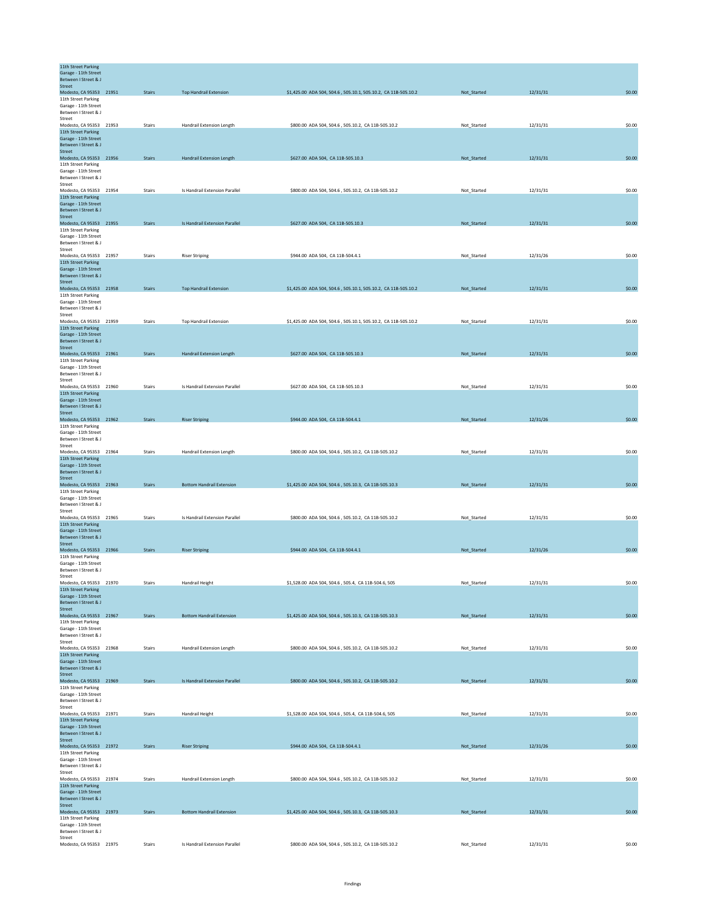| 11th Street Parking<br>Garage - 11th Street    |               |                                  |                                                                |             |          |        |
|------------------------------------------------|---------------|----------------------------------|----------------------------------------------------------------|-------------|----------|--------|
| Between I Street & J                           |               |                                  |                                                                |             |          |        |
| Street<br>Modesto, CA 95353 21951              | <b>Stairs</b> | <b>Top Handrail Extension</b>    | \$1,425.00 ADA 504, 504.6, 505.10.1, 505.10.2, CA 11B-505.10.2 | Not_Started | 12/31/31 | \$0.00 |
| 11th Street Parking                            |               |                                  |                                                                |             |          |        |
| Garage - 11th Street<br>Between I Street & J   |               |                                  |                                                                |             |          |        |
| Street                                         |               |                                  |                                                                |             |          |        |
| Modesto, CA 95353 21953<br>11th Street Parking | Stairs        | Handrail Extension Length        | \$800.00 ADA 504, 504.6, 505.10.2, CA 11B-505.10.2             | Not_Started | 12/31/31 | \$0.00 |
| Garage - 11th Street                           |               |                                  |                                                                |             |          |        |
| Between I Street & J<br>Street                 |               |                                  |                                                                |             |          |        |
| Modesto, CA 95353 21956                        | <b>Stairs</b> | Handrail Extension Length        | \$627.00 ADA 504, CA 11B-505.10.3                              | Not_Started | 12/31/31 | \$0.00 |
| 11th Street Parking<br>Garage - 11th Street    |               |                                  |                                                                |             |          |        |
| Between I Street & J                           |               |                                  |                                                                |             |          |        |
| Street<br>Modesto, CA 95353 21954              | Stairs        | Is Handrail Extension Parallel   | \$800.00 ADA 504, 504.6, 505.10.2, CA 11B-505.10.2             | Not_Started | 12/31/31 | \$0.00 |
| 11th Street Parking                            |               |                                  |                                                                |             |          |        |
| Garage - 11th Street<br>Between I Street & J   |               |                                  |                                                                |             |          |        |
| Street                                         |               |                                  |                                                                |             |          |        |
| Modesto, CA 95353 21955                        | <b>Stairs</b> | Is Handrail Extension Parallel   | \$627.00 ADA 504, CA 11B-505.10.3                              | Not_Started | 12/31/31 | \$0.00 |
| 11th Street Parking<br>Garage - 11th Street    |               |                                  |                                                                |             |          |        |
| Between I Street & J                           |               |                                  |                                                                |             |          |        |
| Street<br>Modesto, CA 95353 21957              | <b>Stairs</b> | <b>Riser Striping</b>            | \$944.00 ADA 504, CA 11B-504.4.1                               | Not_Started | 12/31/26 | \$0.00 |
| 11th Street Parking                            |               |                                  |                                                                |             |          |        |
| Garage - 11th Street<br>Between I Street & J   |               |                                  |                                                                |             |          |        |
| <b>Street</b>                                  |               |                                  |                                                                |             |          |        |
| Modesto, CA 95353 21958<br>11th Street Parking | <b>Stairs</b> | <b>Top Handrail Extension</b>    | \$1,425.00 ADA 504, 504.6, 505.10.1, 505.10.2, CA 11B-505.10.2 | Not_Started | 12/31/31 | \$0.00 |
| Garage - 11th Street                           |               |                                  |                                                                |             |          |        |
| Between I Street & J<br>Street                 |               |                                  |                                                                |             |          |        |
| Modesto, CA 95353 21959                        | <b>Stairs</b> | <b>Top Handrail Extension</b>    | \$1,425.00 ADA 504, 504.6, 505.10.1, 505.10.2, CA 11B-505.10.2 | Not Started | 12/31/31 | \$0.00 |
| 11th Street Parking<br>Garage - 11th Street    |               |                                  |                                                                |             |          |        |
| Between I Street & J                           |               |                                  |                                                                |             |          |        |
| Street<br>Modesto, CA 95353 21961              | <b>Stairs</b> | <b>Handrail Extension Length</b> | \$627.00 ADA 504, CA 11B-505.10.3                              | Not_Started | 12/31/31 | \$0.00 |
| 11th Street Parking                            |               |                                  |                                                                |             |          |        |
| Garage - 11th Street<br>Between I Street & J   |               |                                  |                                                                |             |          |        |
| Street                                         |               |                                  |                                                                |             |          |        |
| Modesto, CA 95353 21960                        | Stairs        | Is Handrail Extension Parallel   | \$627.00 ADA 504, CA 11B-505.10.3                              | Not_Started | 12/31/31 | \$0.00 |
| 11th Street Parking<br>Garage - 11th Street    |               |                                  |                                                                |             |          |        |
| Between I Street & J                           |               |                                  |                                                                |             |          |        |
| Street<br>Modesto, CA 95353 21962              | <b>Stairs</b> | <b>Riser Striping</b>            | \$944.00 ADA 504, CA 11B-504.4.1                               | Not_Started | 12/31/26 | \$0.00 |
| 11th Street Parking                            |               |                                  |                                                                |             |          |        |
| Garage - 11th Street<br>Between I Street & J   |               |                                  |                                                                |             |          |        |
| Street                                         |               |                                  |                                                                |             |          |        |
| Modesto, CA 95353 21964<br>11th Street Parking | Stairs        | Handrail Extension Length        | \$800.00 ADA 504, 504.6, 505.10.2, CA 11B-505.10.2             | Not_Started | 12/31/31 | \$0.00 |
| Garage - 11th Street                           |               |                                  |                                                                |             |          |        |
| Between I Street & J<br>Street                 |               |                                  |                                                                |             |          |        |
| Modesto, CA 95353 21963                        | <b>Stairs</b> | <b>Bottom Handrail Extension</b> | \$1,425.00 ADA 504, 504.6, 505.10.3, CA 11B-505.10.3           | Not Started | 12/31/31 | \$0.00 |
| 11th Street Parking<br>Garage - 11th Street    |               |                                  |                                                                |             |          |        |
| Between I Street & J                           |               |                                  |                                                                |             |          |        |
| Street<br>Modesto, CA 95353 21965              | <b>Stairs</b> | Is Handrail Extension Parallel   | \$800.00 ADA 504, 504.6, 505.10.2, CA 11B-505.10.2             |             |          | \$0.00 |
| 11th Street Parking                            |               |                                  |                                                                | Not_Started | 12/31/31 |        |
| Garage - 11th Street                           |               |                                  |                                                                |             |          |        |
| Between I Street & J<br><b>Street</b>          |               |                                  |                                                                |             |          |        |
| Modesto, CA 95353 21966                        | <b>Stairs</b> | <b>Riser Striping</b>            | \$944.00 ADA 504, CA 11B-504.4.1                               | Not_Started | 12/31/26 | \$0.00 |
| 11th Street Parking<br>Garage - 11th Street    |               |                                  |                                                                |             |          |        |
| Between I Street & J                           |               |                                  |                                                                |             |          |        |
| Street<br>Modesto, CA 95353 21970              | Stairs        | Handrail Height                  | \$1,528.00 ADA 504, 504.6, 505.4, CA 11B-504.6, 505            | Not_Started | 12/31/31 | \$0.00 |
| 11th Street Parking                            |               |                                  |                                                                |             |          |        |
| Garage - 11th Street<br>Between I Street & J   |               |                                  |                                                                |             |          |        |
| Street                                         |               |                                  |                                                                |             |          |        |
| Modesto, CA 95353 21967<br>11th Street Parking | <b>Stairs</b> | <b>Bottom Handrail Extension</b> | \$1,425.00 ADA 504, 504.6, 505.10.3, CA 11B-505.10.3           | Not_Started | 12/31/31 | \$0.00 |
| Garage - 11th Street                           |               |                                  |                                                                |             |          |        |
| Between I Street & J<br>Street                 |               |                                  |                                                                |             |          |        |
| Modesto, CA 95353 21968                        | Stairs        | Handrail Extension Length        | \$800.00 ADA 504, 504.6, 505.10.2, CA 11B-505.10.2             | Not_Started | 12/31/31 | \$0.00 |
| 11th Street Parking                            |               |                                  |                                                                |             |          |        |
| Garage - 11th Street<br>Between I Street & J   |               |                                  |                                                                |             |          |        |
| Street                                         |               |                                  |                                                                |             |          |        |
| Modesto, CA 95353 21969<br>11th Street Parking | <b>Stairs</b> | Is Handrail Extension Parallel   | \$800.00 ADA 504, 504.6, 505.10.2, CA 11B-505.10.2             | Not_Started | 12/31/31 | \$0.00 |
| Garage - 11th Street                           |               |                                  |                                                                |             |          |        |
| Between I Street & J<br>Street                 |               |                                  |                                                                |             |          |        |
| Modesto, CA 95353 21971                        | Stairs        | Handrail Height                  | \$1,528.00 ADA 504, 504.6, 505.4, CA 11B-504.6, 505            | Not_Started | 12/31/31 | \$0.00 |
| 11th Street Parking<br>Garage - 11th Street    |               |                                  |                                                                |             |          |        |
| Between I Street & J                           |               |                                  |                                                                |             |          |        |
| Street<br>Modesto, CA 95353 21972              | <b>Stairs</b> | <b>Riser Striping</b>            | \$944.00 ADA 504, CA 11B-504.4.1                               | Not_Started | 12/31/26 | \$0.00 |
| 11th Street Parking                            |               |                                  |                                                                |             |          |        |
| Garage - 11th Street<br>Between I Street & J   |               |                                  |                                                                |             |          |        |
| Street                                         |               |                                  |                                                                |             |          |        |
| Modesto, CA 95353 21974<br>11th Street Parking | <b>Stairs</b> | Handrail Extension Length        | \$800.00 ADA 504, 504.6, 505.10.2, CA 11B-505.10.2             | Not_Started | 12/31/31 | \$0.00 |
| Garage - 11th Street                           |               |                                  |                                                                |             |          |        |
| Between I Street & J                           |               |                                  |                                                                |             |          |        |
| Street<br>Modesto, CA 95353 21973              | <b>Stairs</b> | <b>Bottom Handrail Extension</b> | \$1,425.00 ADA 504, 504.6, 505.10.3, CA 11B-505.10.3           | Not_Started | 12/31/31 | \$0.00 |
| 11th Street Parking<br>Garage - 11th Street    |               |                                  |                                                                |             |          |        |
| Between I Street & J                           |               |                                  |                                                                |             |          |        |
| Street<br>Modesto, CA 95353 21975              | Stairs        | Is Handrail Extension Parallel   | \$800.00 ADA 504, 504.6, 505.10.2, CA 11B-505.10.2             | Not_Started | 12/31/31 | \$0.00 |
|                                                |               |                                  |                                                                |             |          |        |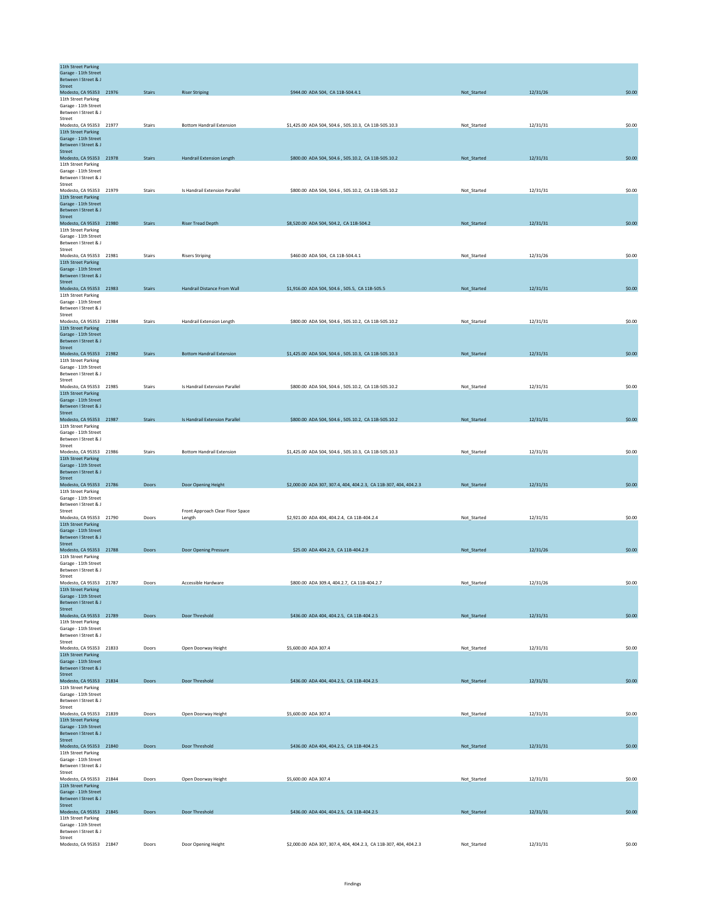| 11th Street Parking<br>Garage - 11th Street<br>Between I Street & J    |               |                                  |                                                                   |             |          |        |
|------------------------------------------------------------------------|---------------|----------------------------------|-------------------------------------------------------------------|-------------|----------|--------|
| Street<br>Modesto, CA 95353 21976                                      | <b>Stairs</b> | <b>Riser Striping</b>            | \$944.00 ADA 504, CA 11B-504.4.1                                  | Not_Started | 12/31/26 | \$0.00 |
| 11th Street Parking<br>Garage - 11th Street                            |               |                                  |                                                                   |             |          |        |
| Between I Street & J<br>Street<br>Modesto, CA 95353 21977              | Stairs        | <b>Bottom Handrail Extension</b> | \$1,425.00 ADA 504, 504.6, 505.10.3, CA 11B-505.10.3              | Not_Started | 12/31/31 | \$0.00 |
| 11th Street Parking<br>Garage - 11th Street                            |               |                                  |                                                                   |             |          |        |
| Between I Street & J<br>Street                                         |               |                                  |                                                                   |             |          |        |
| Modesto, CA 95353 21978<br>11th Street Parking                         | <b>Stairs</b> | Handrail Extension Length        | \$800.00 ADA 504, 504.6, 505.10.2, CA 11B-505.10.2                | Not_Started | 12/31/31 | \$0.00 |
| Garage - 11th Street<br>Between I Street & J                           |               |                                  |                                                                   |             |          |        |
| Street<br>Modesto, CA 95353 21979<br>11th Street Parking               | Stairs        | Is Handrail Extension Parallel   | \$800.00 ADA 504, 504.6, 505.10.2, CA 11B-505.10.2                | Not Started | 12/31/31 | \$0.00 |
| Garage - 11th Street<br>Between I Street & J                           |               |                                  |                                                                   |             |          |        |
| Street<br>Modesto, CA 95353 21980                                      | <b>Stairs</b> | <b>Riser Tread Depth</b>         | \$8,520.00 ADA 504, 504.2, CA 11B-504.2                           | Not_Started | 12/31/31 | \$0.00 |
| 11th Street Parking<br>Garage - 11th Street                            |               |                                  |                                                                   |             |          |        |
| Between I Street & J<br>Street                                         |               |                                  |                                                                   |             |          |        |
| Modesto, CA 95353 21981<br>11th Street Parking<br>Garage - 11th Street | <b>Stairs</b> | <b>Risers Striping</b>           | \$460.00 ADA 504, CA 11B-504.4.1                                  | Not_Started | 12/31/26 | \$0.00 |
| Between I Street & J<br><b>Street</b>                                  |               |                                  |                                                                   |             |          |        |
| Modesto, CA 95353 21983<br>11th Street Parking                         | <b>Stairs</b> | Handrail Distance From Wall      | \$1,916.00 ADA 504, 504.6, 505.5, CA 11B-505.5                    | Not_Started | 12/31/31 | \$0.00 |
| Garage - 11th Street<br>Between I Street & J                           |               |                                  |                                                                   |             |          |        |
| Street<br>Modesto, CA 95353 21984                                      | <b>Stairs</b> | Handrail Extension Length        | \$800.00 ADA 504, 504.6, 505.10.2, CA 11B-505.10.2                | Not Started | 12/31/31 | \$0.00 |
| 11th Street Parking<br>Garage - 11th Street<br>Between I Street & J    |               |                                  |                                                                   |             |          |        |
| Street<br>Modesto, CA 95353 21982                                      | <b>Stairs</b> | <b>Bottom Handrail Extension</b> | \$1,425.00 ADA 504, 504.6, 505.10.3, CA 11B-505.10.3              | Not_Started | 12/31/31 | \$0.00 |
| 11th Street Parking<br>Garage - 11th Street                            |               |                                  |                                                                   |             |          |        |
| Between I Street & J<br>Street                                         |               |                                  |                                                                   |             |          |        |
| Modesto, CA 95353 21985<br>11th Street Parking                         | Stairs        | Is Handrail Extension Parallel   | \$800.00 ADA 504, 504.6, 505.10.2, CA 11B-505.10.2                | Not_Started | 12/31/31 | \$0.00 |
| Garage - 11th Street<br>Between I Street & J<br>Street                 |               |                                  |                                                                   |             |          |        |
| Modesto, CA 95353 21987<br>11th Street Parking                         | <b>Stairs</b> | Is Handrail Extension Parallel   | \$800.00 ADA 504, 504.6, 505.10.2, CA 11B-505.10.2                | Not_Started | 12/31/31 | \$0.00 |
| Garage - 11th Street<br>Between I Street & J                           |               |                                  |                                                                   |             |          |        |
| Street<br>Modesto, CA 95353 21986                                      | Stairs        | <b>Bottom Handrail Extension</b> | \$1,425.00 ADA 504, 504.6, 505.10.3, CA 11B-505.10.3              | Not_Started | 12/31/31 | \$0.00 |
| 11th Street Parking<br>Garage - 11th Street                            |               |                                  |                                                                   |             |          |        |
| Between I Street & J<br>Street<br>Modesto, CA 95353 21786              | Doors         | Door Opening Height              | \$2,000.00 ADA 307, 307.4, 404, 404.2.3, CA 11B-307, 404, 404.2.3 | Not_Started | 12/31/31 | \$0.00 |
| 11th Street Parking<br>Garage - 11th Street                            |               |                                  |                                                                   |             |          |        |
| Between I Street & J<br>Street                                         |               | Front Approach Clear Floor Space |                                                                   |             |          |        |
| Modesto, CA 95353 21790<br>11th Street Parking                         | Doors         | Length                           | \$2,921.00 ADA 404, 404.2.4, CA 11B-404.2.4                       | Not_Started | 12/31/31 | \$0.00 |
| Garage - 11th Street<br>Between I Street & J                           |               |                                  |                                                                   |             |          |        |
| <b>Street</b><br>Modesto, CA 95353 21788<br>11th Street Parking        | Doors         | Door Opening Pressure            | \$25.00 ADA 404.2.9, CA 11B-404.2.9                               | Not_Started | 12/31/26 | \$0.00 |
| Garage - 11th Street<br>Between I Street & J                           |               |                                  |                                                                   |             |          |        |
| Street<br>Modesto, CA 95353 21787                                      | Doors         | Accessible Hardware              | \$800.00 ADA 309.4, 404.2.7, CA 11B-404.2.7                       | Not_Started | 12/31/26 | \$0.00 |
| 11th Street Parking<br>Garage - 11th Street                            |               |                                  |                                                                   |             |          |        |
| Between I Street & J<br>Street<br>Modesto, CA 95353 21789              | Doors         | Door Threshold                   | \$436.00 ADA 404, 404.2.5, CA 11B-404.2.5                         | Not_Started | 12/31/31 | \$0.00 |
| 11th Street Parking<br>Garage - 11th Street                            |               |                                  |                                                                   |             |          |        |
| Between I Street & J<br>Street                                         |               |                                  |                                                                   |             |          |        |
| Modesto, CA 95353 21833<br>11th Street Parking                         | Doors         | Open Doorway Height              | \$5,600.00 ADA 307.4                                              | Not_Started | 12/31/31 | \$0.00 |
| Garage - 11th Street<br>Between I Street & J<br>Street                 |               |                                  |                                                                   |             |          |        |
| Modesto, CA 95353 21834<br>11th Street Parking                         | Doors         | Door Threshold                   | \$436.00 ADA 404, 404.2.5, CA 11B-404.2.5                         | Not_Started | 12/31/31 | \$0.00 |
| Garage - 11th Street<br>Between I Street & J                           |               |                                  |                                                                   |             |          |        |
| Street<br>Modesto, CA 95353 21839                                      | Doors         | Open Doorway Height              | \$5,600.00 ADA 307.4                                              | Not_Started | 12/31/31 | \$0.00 |
| 11th Street Parking<br>Garage - 11th Street                            |               |                                  |                                                                   |             |          |        |
| Between I Street & J<br>Street                                         |               |                                  |                                                                   |             |          |        |
| Modesto, CA 95353 21840<br>11th Street Parking<br>Garage - 11th Street | Doors         | Door Threshold                   | \$436.00 ADA 404, 404.2.5, CA 11B-404.2.5                         | Not_Started | 12/31/31 | \$0.00 |
| Between I Street & J<br>Street                                         |               |                                  |                                                                   |             |          |        |
| Modesto, CA 95353 21844<br>11th Street Parking                         | Doors         | Open Doorway Height              | \$5,600,00 ADA 307.4                                              | Not_Started | 12/31/31 | \$0.00 |
| Garage - 11th Street<br>Between I Street & J                           |               |                                  |                                                                   |             |          |        |
| Street<br>Modesto, CA 95353 21845<br>11th Street Parking               | Doors         | Door Threshold                   | \$436.00 ADA 404, 404.2.5, CA 11B-404.2.5                         | Not_Started | 12/31/31 | \$0.00 |
| Garage - 11th Street<br>Between I Street & J                           |               |                                  |                                                                   |             |          |        |
| Street<br>Modesto, CA 95353 21847                                      | Doors         | Door Opening Height              | \$2,000.00 ADA 307, 307.4, 404, 404.2.3, CA 11B-307, 404, 404.2.3 | Not_Started | 12/31/31 | \$0.00 |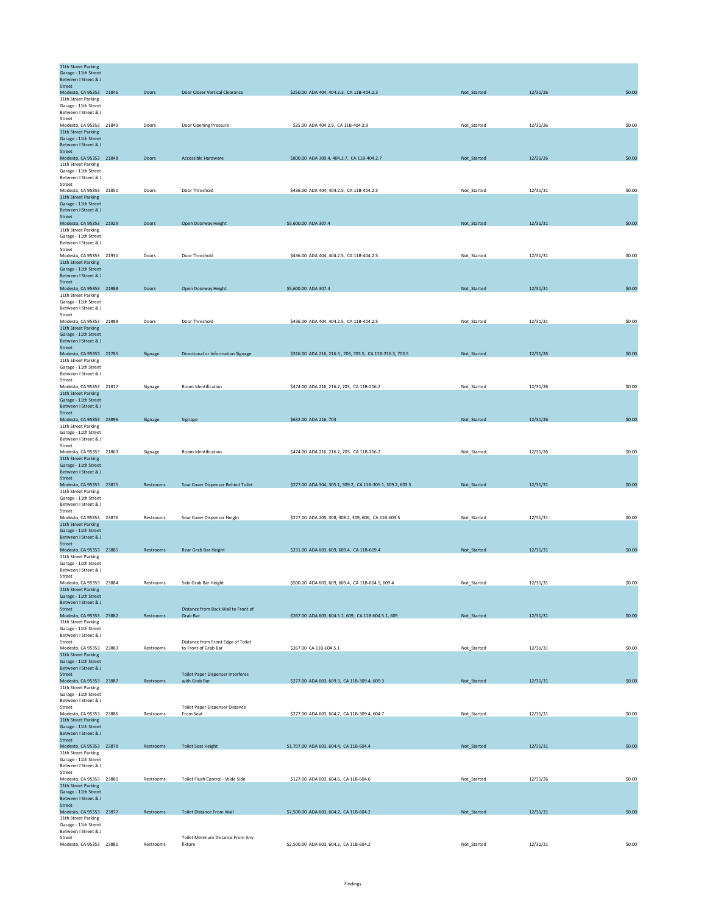| 11th Street Parking                            |              |                                          |                                                            |             |          |        |
|------------------------------------------------|--------------|------------------------------------------|------------------------------------------------------------|-------------|----------|--------|
| Garage - 11th Street<br>Between I Street & J   |              |                                          |                                                            |             |          |        |
| Street                                         |              |                                          |                                                            |             |          |        |
| Modesto, CA 95353 21846                        | Doors        | Door Closer Vertical Clearance           | \$250.00 ADA 404, 404.2.3, CA 11B-404.2.3                  | Not_Started | 12/31/26 | \$0.00 |
| 11th Street Parking<br>Garage - 11th Street    |              |                                          |                                                            |             |          |        |
| Between I Street & J                           |              |                                          |                                                            |             |          |        |
| Street                                         |              |                                          |                                                            |             |          |        |
| Modesto, CA 95353 21849<br>11th Street Parking | Doors        | Door Opening Pressure                    | \$25.00 ADA 404.2.9, CA 11B-404.2.9                        | Not_Started | 12/31/26 | \$0.00 |
| Garage - 11th Street                           |              |                                          |                                                            |             |          |        |
| <b>Between I Street &amp; I</b>                |              |                                          |                                                            |             |          |        |
| Street                                         |              |                                          |                                                            |             |          |        |
| Modesto, CA 95353 21848<br>11th Street Parking | Doors        | Accessible Hardware                      | \$800.00 ADA 309.4, 404.2.7, CA 11B-404.2.7                | Not_Started | 12/31/26 | \$0.00 |
| Garage - 11th Street                           |              |                                          |                                                            |             |          |        |
| Between I Street & J                           |              |                                          |                                                            |             |          |        |
| Street                                         |              |                                          |                                                            |             |          |        |
| Modesto, CA 95353 21850<br>11th Street Parking | Doors        | Door Threshold                           | \$436.00 ADA 404, 404.2.5, CA 11B-404.2.5                  | Not_Started | 12/31/31 | \$0.00 |
| Garage - 11th Street                           |              |                                          |                                                            |             |          |        |
| Between I Street & J                           |              |                                          |                                                            |             |          |        |
| Street                                         |              |                                          |                                                            |             |          |        |
| Modesto, CA 95353 21929<br>11th Street Parking | Doors        | Open Doorway Height                      | \$5,600.00 ADA 307.4                                       | Not_Started | 12/31/31 | \$0.00 |
| Garage - 11th Street                           |              |                                          |                                                            |             |          |        |
| Between I Street & J                           |              |                                          |                                                            |             |          |        |
| Street                                         |              | Door Threshold                           |                                                            |             |          | \$0.00 |
| Modesto, CA 95353 21930<br>11th Street Parking | Doors        |                                          | \$436.00 ADA 404, 404.2.5, CA 11B-404.2.5                  | Not_Started | 12/31/31 |        |
| Garage - 11th Street                           |              |                                          |                                                            |             |          |        |
| Between I Street & J                           |              |                                          |                                                            |             |          |        |
| <b>Street</b><br>Modesto, CA 95353 21988       | <b>Doors</b> | Open Doorway Height                      | \$5,600.00 ADA 307.4                                       | Not_Started | 12/31/31 | \$0.00 |
| 11th Street Parking                            |              |                                          |                                                            |             |          |        |
| Garage - 11th Street                           |              |                                          |                                                            |             |          |        |
| Between I Street & J                           |              |                                          |                                                            |             |          |        |
| Street<br>Modesto, CA 95353 21989              | Doors        | Door Threshold                           | \$436.00 ADA 404, 404.2.5, CA 11B-404.2.5                  | Not Started | 12/31/31 | \$0.00 |
| 11th Street Parking                            |              |                                          |                                                            |             |          |        |
| Garage - 11th Street                           |              |                                          |                                                            |             |          |        |
| Between I Street & J<br>Street                 |              |                                          |                                                            |             |          |        |
| Modesto, CA 95353 21785                        | Signage      | Directional or Information Signage       | \$316.00 ADA 216, 216.3, 703, 703.5, CA 11B-216.3, 703.5   | Not_Started | 12/31/26 | \$0.00 |
| 11th Street Parking                            |              |                                          |                                                            |             |          |        |
| Garage - 11th Street                           |              |                                          |                                                            |             |          |        |
| Between I Street & J<br>Street                 |              |                                          |                                                            |             |          |        |
| Modesto, CA 95353 21817                        | Signage      | Room Identification                      | \$474.00 ADA 216, 216.2, 703, CA 11B-216.2                 | Not_Started | 12/31/26 | \$0.00 |
| 11th Street Parking                            |              |                                          |                                                            |             |          |        |
| Garage - 11th Street                           |              |                                          |                                                            |             |          |        |
| Between I Street & J<br>Street                 |              |                                          |                                                            |             |          |        |
| Modesto, CA 95353 23896                        | Signage      | Signage                                  | \$632.00 ADA 216, 703                                      | Not_Started | 12/31/26 | \$0.00 |
| 11th Street Parking                            |              |                                          |                                                            |             |          |        |
| Garage - 11th Street                           |              |                                          |                                                            |             |          |        |
| Between I Street & J<br>Street                 |              |                                          |                                                            |             |          |        |
| Modesto, CA 95353 21863                        | Signage      | Room Identification                      | \$474.00 ADA 216, 216.2, 703, CA 11B-216.2                 | Not_Started | 12/31/26 | \$0.00 |
| 11th Street Parking                            |              |                                          |                                                            |             |          |        |
| Garage - 11th Street<br>Between I Street & J   |              |                                          |                                                            |             |          |        |
| Street                                         |              |                                          |                                                            |             |          |        |
| Modesto, CA 95353 23875                        | Restrooms    | Seat Cover Dispenser Behind Toilet       | \$277.00 ADA 304, 305.1, 309.2, CA 11B-305.1, 309.2, 603.5 | Not Started | 12/31/31 | \$0.00 |
| 11th Street Parking                            |              |                                          |                                                            |             |          |        |
| Garage - 11th Street<br>Between I Street & J   |              |                                          |                                                            |             |          |        |
| Street                                         |              |                                          |                                                            |             |          |        |
| Modesto, CA 95353 23876                        | Restrooms    | Seat Cover Dispenser Height              | \$277.00 ADA 205, 308, 308.2, 309, 606, CA 11B-603.5       | Not_Started | 12/31/31 | \$0.00 |
| 11th Street Parking                            |              |                                          |                                                            |             |          |        |
| Garage - 11th Street<br>Between I Street & J   |              |                                          |                                                            |             |          |        |
| <b>Street</b>                                  |              |                                          |                                                            |             |          |        |
| Modesto, CA 95353 23885                        | Restrooms    | Rear Grab Bar Height                     | \$231.00 ADA 603, 609, 609.4, CA 11B-609.4                 | Not_Started | 12/31/31 | \$0.00 |
| 11th Street Parking                            |              |                                          |                                                            |             |          |        |
| Garage - 11th Street<br>Between I Street & J   |              |                                          |                                                            |             |          |        |
| Street                                         |              |                                          |                                                            |             |          |        |
| Modesto, CA 95353 23884                        | Restrooms    | Side Grab Bar Height                     | \$500.00 ADA 603, 609, 609.4, CA 11B-604.5, 609.4          | Not_Started | 12/31/31 | \$0.00 |
| 11th Street Parking                            |              |                                          |                                                            |             |          |        |
| Garage - 11th Street<br>Between I Street & J   |              |                                          |                                                            |             |          |        |
| Street                                         |              | Distance from Back Wall to Front of      |                                                            |             |          |        |
| Modesto, CA 95353 23882                        | Restrooms    | Grab Bar                                 | \$267.00 ADA 603, 604.5.1, 609, CA 11B-604.5.1, 609        | Not_Started | 12/31/31 | \$0.00 |
| 11th Street Parking                            |              |                                          |                                                            |             |          |        |
| Garage - 11th Street<br>Between I Street & J   |              |                                          |                                                            |             |          |        |
| Street                                         |              | Distance from Front Edge of Toilet       |                                                            |             |          |        |
| Modesto, CA 95353 23883                        | Restrooms    | to Front of Grab Bar                     | \$267.00 CA 11B-604.5.1                                    | Not_Started | 12/31/31 | \$0.00 |
| 11th Street Parking<br>Garage - 11th Street    |              |                                          |                                                            |             |          |        |
| Between I Street & J                           |              |                                          |                                                            |             |          |        |
| Street                                         |              | <b>Toilet Paper Dispenser Interferes</b> |                                                            |             |          |        |
| Modesto, CA 95353 23887<br>11th Street Parking | Restrooms    | with Grab Bar                            | \$277.00 ADA 603, 609.3, CA 11B-309.4, 609.3               | Not_Started | 12/31/31 | \$0.00 |
| Garage - 11th Street                           |              |                                          |                                                            |             |          |        |
| Between I Street & J                           |              |                                          |                                                            |             |          |        |
| Street                                         |              | Toilet Paper Dispenser Distance          |                                                            |             |          |        |
| Modesto, CA 95353 23886<br>11th Street Parking | Restrooms    | From Seat                                | \$277.00 ADA 603, 604.7, CA 11B-309.4, 604.7               | Not_Started | 12/31/31 | \$0.00 |
| Garage - 11th Street                           |              |                                          |                                                            |             |          |        |
| Between I Street & J                           |              |                                          |                                                            |             |          |        |
| Street                                         | Restrooms    | <b>Toilet Seat Height</b>                |                                                            |             | 12/31/31 | \$0.00 |
| Modesto, CA 95353 23878<br>11th Street Parking |              |                                          | \$1,707.00 ADA 603, 604.4, CA 11B-604.4                    | Not_Started |          |        |
| Garage - 11th Street                           |              |                                          |                                                            |             |          |        |
| Between I Street & J                           |              |                                          |                                                            |             |          |        |
| Street<br>Modesto, CA 95353 23880              | Restrooms    | Toilet Flush Control - Wide Side         | \$127.00 ADA 603, 604.6, CA 11B-604.6                      | Not_Started | 12/31/26 | \$0.00 |
| 11th Street Parking                            |              |                                          |                                                            |             |          |        |
| Garage - 11th Street                           |              |                                          |                                                            |             |          |        |
| Between I Street & J                           |              |                                          |                                                            |             |          |        |
| Street<br>Modesto, CA 95353 23877              | Restrooms    | <b>Toilet Distance From Wall</b>         | \$2,500.00 ADA 603, 604.2, CA 11B-604.2                    | Not_Started | 12/31/31 | \$0.00 |
| 11th Street Parking                            |              |                                          |                                                            |             |          |        |
| Garage - 11th Street<br>Between I Street & J   |              |                                          |                                                            |             |          |        |
| Street                                         |              | Toilet Minimum Distance From Any         |                                                            |             |          |        |
| Modesto, CA 95353 23881                        | Restrooms    | fixture                                  | \$2,500.00 ADA 603, 604.2, CA 11B-604.2                    | Not_Started | 12/31/31 | \$0.00 |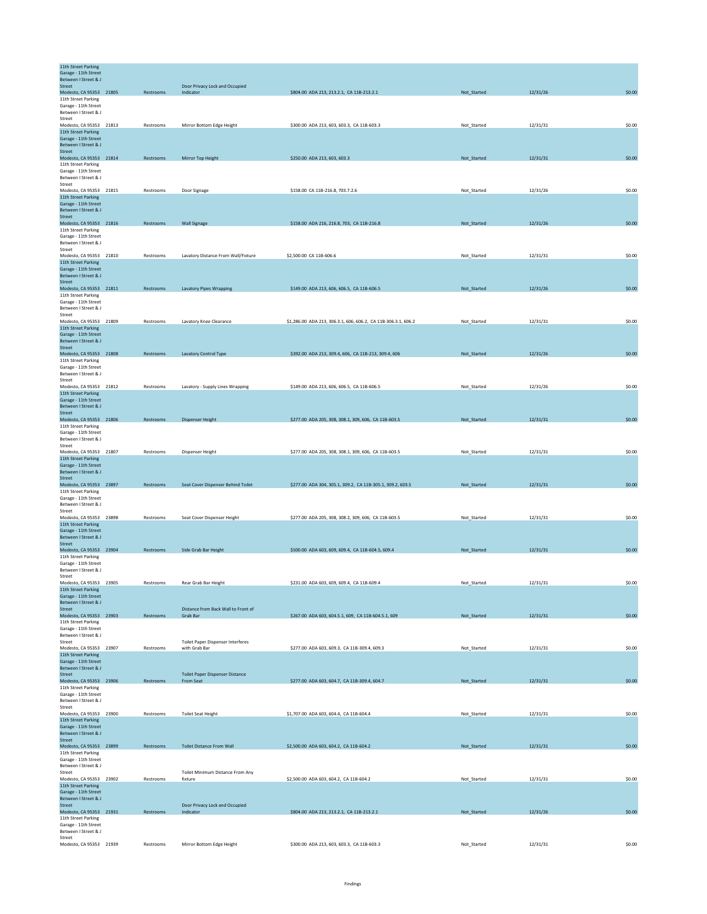| 11th Street Parking<br>Garage - 11th Street             |           |                                                 |                                                                |             |          |        |
|---------------------------------------------------------|-----------|-------------------------------------------------|----------------------------------------------------------------|-------------|----------|--------|
| Between I Street & J<br>Street                          |           | Door Privacy Lock and Occupied                  |                                                                |             |          |        |
| Modesto, CA 95353 21805                                 | Restrooms | Indicator                                       | \$804.00 ADA 213, 213.2.1, CA 11B-213.2.1                      | Not_Started | 12/31/26 | \$0.00 |
| 11th Street Parking<br>Garage - 11th Street             |           |                                                 |                                                                |             |          |        |
| Between I Street & J<br>Street                          |           |                                                 |                                                                |             |          |        |
| Modesto, CA 95353 21813                                 | Restrooms | Mirror Bottom Edge Height                       | \$300.00 ADA 213, 603, 603.3, CA 11B-603.3                     | Not_Started | 12/31/31 | \$0.00 |
| 11th Street Parking<br>Garage - 11th Street             |           |                                                 |                                                                |             |          |        |
| Between I Street & J                                    |           |                                                 |                                                                |             |          |        |
| Street<br>Modesto, CA 95353 21814                       | Restrooms | Mirror Top Height                               | \$250.00 ADA 213, 603, 603.3                                   | Not_Started | 12/31/31 | \$0.00 |
| 11th Street Parking                                     |           |                                                 |                                                                |             |          |        |
| Garage - 11th Street<br><b>Between I Street &amp; I</b> |           |                                                 |                                                                |             |          |        |
| Street<br>Modesto, CA 95353 21815                       | Restrooms | Door Signage                                    | \$158.00 CA 11B-216.8, 703.7.2.6                               | Not_Started | 12/31/26 | \$0.00 |
| 11th Street Parking                                     |           |                                                 |                                                                |             |          |        |
| Garage - 11th Street<br>Between I Street & J            |           |                                                 |                                                                |             |          |        |
| Street                                                  |           |                                                 |                                                                |             |          |        |
| Modesto, CA 95353 21816<br>11th Street Parking          | Restrooms | <b>Wall Signage</b>                             | \$158.00 ADA 216, 216.8, 703, CA 11B-216.8                     | Not_Started | 12/31/26 | \$0.00 |
| Garage - 11th Street<br>Between I Street & J            |           |                                                 |                                                                |             |          |        |
| Street                                                  |           |                                                 |                                                                |             |          |        |
| Modesto, CA 95353 21810<br>11th Street Parking          | Restrooms | Lavatory Distance From Wall/Fixture             | \$2,500.00 CA 11B-606.6                                        | Not_Started | 12/31/31 | \$0.00 |
| Garage - 11th Street                                    |           |                                                 |                                                                |             |          |        |
| Between I Street & J<br>Street                          |           |                                                 |                                                                |             |          |        |
| Modesto, CA 95353 21811<br>11th Street Parking          | Restrooms | <b>Lavatory Pipes Wrapping</b>                  | \$149.00 ADA 213, 606, 606.5, CA 11B-606.5                     | Not_Started | 12/31/26 | \$0.00 |
| Garage - 11th Street                                    |           |                                                 |                                                                |             |          |        |
| Between I Street & J<br>Street                          |           |                                                 |                                                                |             |          |        |
| Modesto, CA 95353 21809                                 | Restrooms | Lavatory Knee Clearance                         | \$1,286.00 ADA 213, 306.3.1, 606, 606.2, CA 11B-306.3.1, 606.2 | Not_Started | 12/31/31 | \$0.00 |
| 11th Street Parking<br>Garage - 11th Street             |           |                                                 |                                                                |             |          |        |
| Between I Street & J                                    |           |                                                 |                                                                |             |          |        |
| <b>Street</b><br>Modesto, CA 95353 21808                | Restrooms | Lavatory Control Type                           | \$392.00 ADA 213, 309.4, 606, CA 11B-213, 309.4, 606           | Not_Started | 12/31/26 | \$0.00 |
| 11th Street Parking<br>Garage - 11th Street             |           |                                                 |                                                                |             |          |        |
| Between I Street & J                                    |           |                                                 |                                                                |             |          |        |
| Street<br>Modesto, CA 95353 21812                       | Restrooms | Lavatory - Supply Lines Wrapping                | \$149.00 ADA 213, 606, 606.5, CA 11B-606.5                     | Not Started | 12/31/26 | \$0.00 |
| 11th Street Parking                                     |           |                                                 |                                                                |             |          |        |
| Garage - 11th Street<br>Between I Street & J            |           |                                                 |                                                                |             |          |        |
| Street<br>Modesto, CA 95353 21806                       | Restrooms | <b>Dispenser Height</b>                         | \$277.00 ADA 205, 308, 308.1, 309, 606, CA 11B-603.5           | Not_Started | 12/31/31 | \$0.00 |
| 11th Street Parking                                     |           |                                                 |                                                                |             |          |        |
| Garage - 11th Street<br>Between I Street & J            |           |                                                 |                                                                |             |          |        |
| Street                                                  |           |                                                 |                                                                |             |          |        |
| Modesto, CA 95353 21807<br>11th Street Parking          | Restrooms | Dispenser Height                                | \$277.00 ADA 205, 308, 308.1, 309, 606, CA 11B-603.5           | Not_Started | 12/31/31 | \$0.00 |
| Garage - 11th Street                                    |           |                                                 |                                                                |             |          |        |
| Between I Street & J<br>Street                          |           |                                                 |                                                                |             |          |        |
| Modesto, CA 95353 23897                                 | Restrooms | Seat Cover Dispenser Behind Toilet              | \$277.00 ADA 304, 305.1, 309.2, CA 11B-305.1, 309.2, 603.5     | Not_Started | 12/31/31 | \$0.00 |
| 11th Street Parking<br>Garage - 11th Street             |           |                                                 |                                                                |             |          |        |
| Between I Street & J<br>Street                          |           |                                                 |                                                                |             |          |        |
| Modesto, CA 95353 23898                                 | Restrooms | Seat Cover Dispenser Height                     | \$277.00 ADA 205, 308, 308.2, 309, 606, CA 11B-603.5           | Not_Started | 12/31/31 | \$0.00 |
| 11th Street Parking<br>Garage - 11th Street             |           |                                                 |                                                                |             |          |        |
| Between I Street & J                                    |           |                                                 |                                                                |             |          |        |
| Street<br>Modesto, CA 95353 23904                       | Restrooms | Side Grab Bar Height                            | \$500.00 ADA 603, 609, 609.4, CA 11B-604.5, 609.4              | Not_Started | 12/31/31 | \$0.00 |
| 11th Street Parking<br>Garage - 11th Street             |           |                                                 |                                                                |             |          |        |
| Between I Street & J                                    |           |                                                 |                                                                |             |          |        |
| Street<br>Modesto, CA 95353 23905                       | Restrooms | Rear Grab Bar Height                            | \$231.00 ADA 603, 609, 609.4, CA 11B-609.4                     | Not_Started | 12/31/31 | \$0.00 |
| 11th Street Parking                                     |           |                                                 |                                                                |             |          |        |
| Garage - 11th Street<br>Between I Street & J            |           |                                                 |                                                                |             |          |        |
| <b>Street</b><br>Modesto, CA 95353 23903                | Restrooms | Distance from Back Wall to Front of<br>Grab Bar | \$267.00 ADA 603, 604.5.1, 609, CA 11B-604.5.1, 609            | Not_Started | 12/31/31 | \$0.00 |
| 11th Street Parking                                     |           |                                                 |                                                                |             |          |        |
| Garage - 11th Street<br>Between I Street & J            |           |                                                 |                                                                |             |          |        |
| Street                                                  |           | Toilet Paper Dispenser Interferes               |                                                                |             |          |        |
| Modesto, CA 95353 23907<br>11th Street Parking          | Restrooms | with Grab Bar                                   | \$277.00 ADA 603, 609.3, CA 11B-309.4, 609.3                   | Not_Started | 12/31/31 | \$0.00 |
| Garage - 11th Street<br>Between I Street & J            |           |                                                 |                                                                |             |          |        |
| <b>Street</b>                                           |           | Toilet Paper Dispenser Distance                 |                                                                |             |          |        |
| Modesto, CA 95353 23906<br>11th Street Parking          | Restrooms | From Seat                                       | \$277.00 ADA 603, 604.7, CA 11B-309.4, 604.7                   | Not_Started | 12/31/31 | \$0.00 |
| Garage - 11th Street                                    |           |                                                 |                                                                |             |          |        |
| Between I Street & J<br>Street                          |           |                                                 |                                                                |             |          |        |
| Modesto, CA 95353 23900                                 | Restrooms | <b>Toilet Seat Height</b>                       | \$1,707.00 ADA 603, 604.4, CA 11B-604.4                        | Not_Started | 12/31/31 | \$0.00 |
| 11th Street Parking<br>Garage - 11th Street             |           |                                                 |                                                                |             |          |        |
| Between I Street & J<br>Street                          |           |                                                 |                                                                |             |          |        |
| Modesto, CA 95353 23899                                 | Restrooms | <b>Toilet Distance From Wall</b>                | \$2,500.00 ADA 603, 604.2, CA 11B-604.2                        | Not_Started | 12/31/31 | \$0.00 |
| 11th Street Parking<br>Garage - 11th Street             |           |                                                 |                                                                |             |          |        |
| Between I Street & J                                    |           |                                                 |                                                                |             |          |        |
| Street<br>Modesto, CA 95353 23902                       | Restrooms | Toilet Minimum Distance From Any<br>fixture     | \$2,500.00 ADA 603, 604.2, CA 11B-604.2                        | Not_Started | 12/31/31 | \$0.00 |
| 11th Street Parking                                     |           |                                                 |                                                                |             |          |        |
| Garage - 11th Street<br>Between I Street & J            |           |                                                 |                                                                |             |          |        |
| Street<br>Modesto, CA 95353 21931                       | Restrooms | Door Privacy Lock and Occupied<br>Indicator     | \$804.00 ADA 213, 213.2.1, CA 11B-213.2.1                      | Not_Started | 12/31/26 | \$0.00 |
| 11th Street Parking                                     |           |                                                 |                                                                |             |          |        |
| Garage - 11th Street<br>Between I Street & J            |           |                                                 |                                                                |             |          |        |
| Street<br>Modesto, CA 95353 21939                       | Restrooms | Mirror Bottom Edge Height                       | \$300.00 ADA 213, 603, 603.3, CA 11B-603.3                     | Not_Started | 12/31/31 | \$0.00 |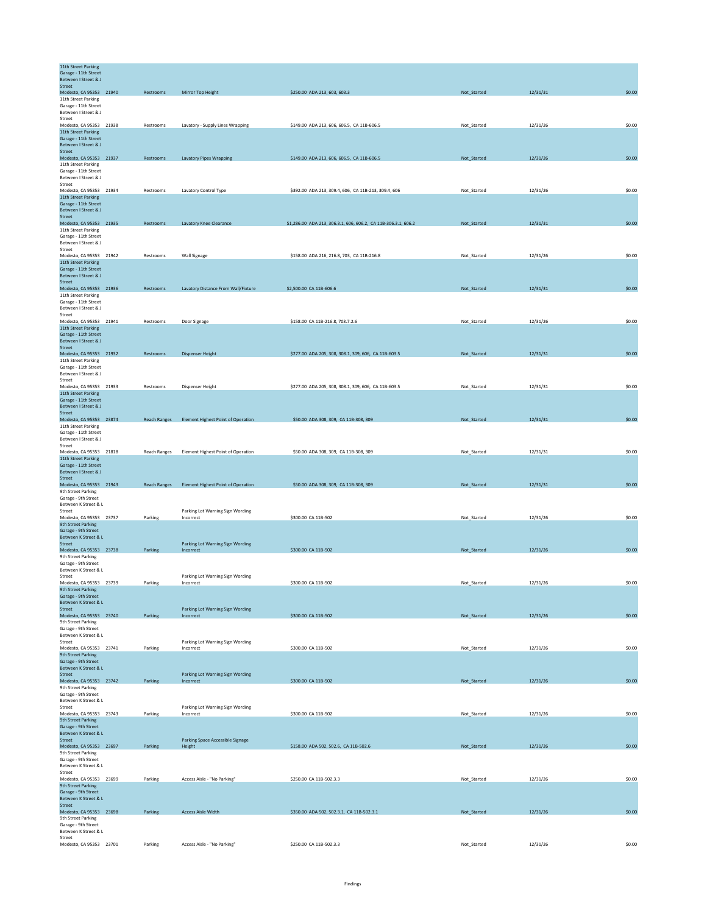| 11th Street Parking<br>Garage - 11th Street<br>Between I Street & J |                     |                                               |                                                                |             |          |        |
|---------------------------------------------------------------------|---------------------|-----------------------------------------------|----------------------------------------------------------------|-------------|----------|--------|
| Street<br>Modesto, CA 95353 21940                                   | Restrooms           | Mirror Top Height                             | \$250.00 ADA 213, 603, 603.3                                   | Not_Started | 12/31/31 | \$0.00 |
| 11th Street Parking<br>Garage - 11th Street                         |                     |                                               |                                                                |             |          |        |
| Between I Street & J<br>Street                                      |                     |                                               |                                                                |             |          |        |
| Modesto, CA 95353 21938                                             | Restrooms           | Lavatory - Supply Lines Wrapping              | \$149.00 ADA 213, 606, 606.5, CA 11B-606.5                     | Not_Started | 12/31/26 | \$0.00 |
| 11th Street Parking<br>Garage - 11th Street<br>Between I Street & J |                     |                                               |                                                                |             |          |        |
| Street                                                              |                     |                                               |                                                                |             |          |        |
| Modesto, CA 95353 21937<br>11th Street Parking                      | Restrooms           | <b>Lavatory Pipes Wrapping</b>                | \$149.00 ADA 213, 606, 606.5, CA 11B-606.5                     | Not_Started | 12/31/26 | \$0.00 |
| Garage - 11th Street                                                |                     |                                               |                                                                |             |          |        |
| Between I Street & J<br>Street                                      |                     |                                               |                                                                |             |          |        |
| Modesto, CA 95353 21934<br>11th Street Parking                      | Restrooms           | Lavatory Control Type                         | \$392.00 ADA 213, 309.4, 606, CA 11B-213, 309.4, 606           | Not_Started | 12/31/26 | \$0.00 |
| Garage - 11th Street                                                |                     |                                               |                                                                |             |          |        |
| Between I Street & J<br><b>Street</b>                               |                     |                                               |                                                                |             |          |        |
| Modesto, CA 95353 21935                                             | Restrooms           | Lavatory Knee Clearance                       | \$1,286.00 ADA 213, 306.3.1, 606, 606.2, CA 11B-306.3.1, 606.2 | Not_Started | 12/31/31 | \$0.00 |
| 11th Street Parking<br>Garage - 11th Street                         |                     |                                               |                                                                |             |          |        |
| Between I Street & J<br>Street                                      |                     |                                               |                                                                |             |          |        |
| Modesto, CA 95353 21942                                             | Restrooms           | Wall Signage                                  | \$158.00 ADA 216, 216.8, 703, CA 11B-216.8                     | Not_Started | 12/31/26 | \$0.00 |
| 11th Street Parking<br>Garage - 11th Street                         |                     |                                               |                                                                |             |          |        |
| Between I Street & J<br>Street                                      |                     |                                               |                                                                |             |          |        |
| Modesto, CA 95353 21936                                             | Restrooms           | Lavatory Distance From Wall/Fixture           | \$2,500.00 CA 11B-606.6                                        | Not_Started | 12/31/31 | \$0.00 |
| 11th Street Parking<br>Garage - 11th Street                         |                     |                                               |                                                                |             |          |        |
| Between I Street & J<br>Street                                      |                     |                                               |                                                                |             |          |        |
| Modesto, CA 95353 21941                                             | Restrooms           | Door Signage                                  | \$158.00 CA 11B-216.8, 703.7.2.6                               | Not_Started | 12/31/26 | \$0.00 |
| 11th Street Parking<br>Garage - 11th Street                         |                     |                                               |                                                                |             |          |        |
| Between I Street & J<br>Street                                      |                     |                                               |                                                                |             |          |        |
| Modesto, CA 95353 21932                                             | Restrooms           | <b>Dispenser Height</b>                       | \$277.00 ADA 205, 308, 308.1, 309, 606, CA 11B-603.5           | Not_Started | 12/31/31 | \$0.00 |
| 11th Street Parking<br>Garage - 11th Street                         |                     |                                               |                                                                |             |          |        |
| Between I Street & J<br>Street                                      |                     |                                               |                                                                |             |          |        |
| Modesto, CA 95353 21933                                             | Restrooms           | Dispenser Height                              | \$277.00 ADA 205, 308, 308.1, 309, 606, CA 11B-603.5           | Not_Started | 12/31/31 | \$0.00 |
| 11th Street Parking<br>Garage - 11th Street                         |                     |                                               |                                                                |             |          |        |
| Between I Street & J<br>Street                                      |                     |                                               |                                                                |             |          |        |
| Modesto, CA 95353 23874                                             | <b>Reach Ranges</b> | Element Highest Point of Operation            | \$50.00 ADA 308, 309, CA 11B-308, 309                          | Not_Started | 12/31/31 | \$0.00 |
| 11th Street Parking<br>Garage - 11th Street                         |                     |                                               |                                                                |             |          |        |
| Between I Street & J<br>Street                                      |                     |                                               |                                                                |             |          |        |
| Modesto, CA 95353 21818                                             | Reach Ranges        | Element Highest Point of Operation            | \$50.00 ADA 308, 309, CA 11B-308, 309                          | Not_Started | 12/31/31 | \$0.00 |
| 11th Street Parking<br>Garage - 11th Street                         |                     |                                               |                                                                |             |          |        |
| Between I Street & J<br><b>Street</b>                               |                     |                                               |                                                                |             |          |        |
| Modesto, CA 95353 21943                                             | <b>Reach Ranges</b> | <b>Element Highest Point of Operation</b>     | \$50.00 ADA 308, 309, CA 11B-308, 309                          | Not_Started | 12/31/31 | \$0.00 |
| 9th Street Parking<br>Garage - 9th Street                           |                     |                                               |                                                                |             |          |        |
| Between K Street & L<br>Street                                      |                     |                                               |                                                                |             |          |        |
| Modesto, CA 95353 23737                                             | Parking             | Parking Lot Warning Sign Wording<br>Incorrect | \$300.00 CA 11B-502                                            | Not_Started | 12/31/26 | \$0.00 |
| <b>9th Street Parking</b><br>Garage - 9th Street                    |                     |                                               |                                                                |             |          |        |
| Between K Street & L<br>Street                                      |                     | Parking Lot Warning Sign Wording              |                                                                |             |          |        |
| Modesto, CA 95353 23738                                             | Parking             | Incorrect                                     | \$300.00 CA 11B-502                                            | Not_Started | 12/31/26 | \$0.00 |
| 9th Street Parking<br>Garage - 9th Street                           |                     |                                               |                                                                |             |          |        |
| Between K Street & L<br>Street                                      |                     | Parking Lot Warning Sign Wording              |                                                                |             |          |        |
| Modesto, CA 95353 23739                                             | Parking             | Incorrect                                     | \$300.00 CA 11B-502                                            | Not_Started | 12/31/26 | \$0.00 |
| 9th Street Parking<br>Garage - 9th Street                           |                     |                                               |                                                                |             |          |        |
| Between K Street & L<br>Street                                      |                     | Parking Lot Warning Sign Wording              |                                                                |             |          |        |
| Modesto, CA 95353 23740                                             | Parking             | Incorrect                                     | \$300.00 CA 11B-502                                            | Not_Started | 12/31/26 | \$0.00 |
| 9th Street Parking<br>Garage - 9th Street                           |                     |                                               |                                                                |             |          |        |
| Between K Street & L<br>Street                                      |                     | Parking Lot Warning Sign Wording              |                                                                |             |          |        |
| Modesto, CA 95353 23741                                             | Parking             | Incorrect                                     | \$300.00 CA 11B-502                                            | Not_Started | 12/31/26 | \$0.00 |
| <b>9th Street Parking</b><br>Garage - 9th Street                    |                     |                                               |                                                                |             |          |        |
| Between K Street & L<br>Street                                      |                     | Parking Lot Warning Sign Wording              |                                                                |             |          |        |
| Modesto, CA 95353 23742                                             | Parking             | Incorrect                                     | \$300.00 CA 11B-502                                            | Not_Started | 12/31/26 | \$0.00 |
| 9th Street Parking<br>Garage - 9th Street                           |                     |                                               |                                                                |             |          |        |
| Between K Street & L<br>Street                                      |                     | Parking Lot Warning Sign Wording              |                                                                |             |          |        |
| Modesto, CA 95353 23743                                             | Parking             | Incorrect                                     | \$300.00 CA 11B-502                                            | Not_Started | 12/31/26 | \$0.00 |
| 9th Street Parking<br>Garage - 9th Street                           |                     |                                               |                                                                |             |          |        |
| Between K Street & L<br>Street                                      |                     |                                               |                                                                |             |          |        |
| Modesto, CA 95353 23697                                             | Parking             | Parking Space Accessible Signage<br>Height    | \$158.00 ADA 502, 502.6, CA 11B-502.6                          | Not_Started | 12/31/26 | \$0.00 |
| 9th Street Parking<br>Garage - 9th Street                           |                     |                                               |                                                                |             |          |        |
| Between K Street & L<br>Street                                      |                     |                                               |                                                                |             |          |        |
| Modesto, CA 95353 23699                                             | Parking             | Access Aisle - "No Parking"                   | \$250.00 CA 11B-502.3.3                                        | Not Started | 12/31/26 | \$0.00 |
| 9th Street Parking<br>Garage - 9th Street                           |                     |                                               |                                                                |             |          |        |
| Between K Street & L<br>Street                                      |                     |                                               |                                                                |             |          |        |
| Modesto, CA 95353 23698                                             | Parking             | Access Aisle Width                            | \$350.00 ADA 502, 502.3.1, CA 11B-502.3.1                      | Not_Started | 12/31/26 | \$0.00 |
| 9th Street Parking<br>Garage - 9th Street                           |                     |                                               |                                                                |             |          |        |
| Between K Street & L<br>Street                                      |                     |                                               |                                                                |             |          |        |
| Modesto, CA 95353 23701                                             | Parking             | Access Aisle - "No Parking"                   | \$250.00 CA 11B-502.3.3                                        | Not_Started | 12/31/26 | \$0.00 |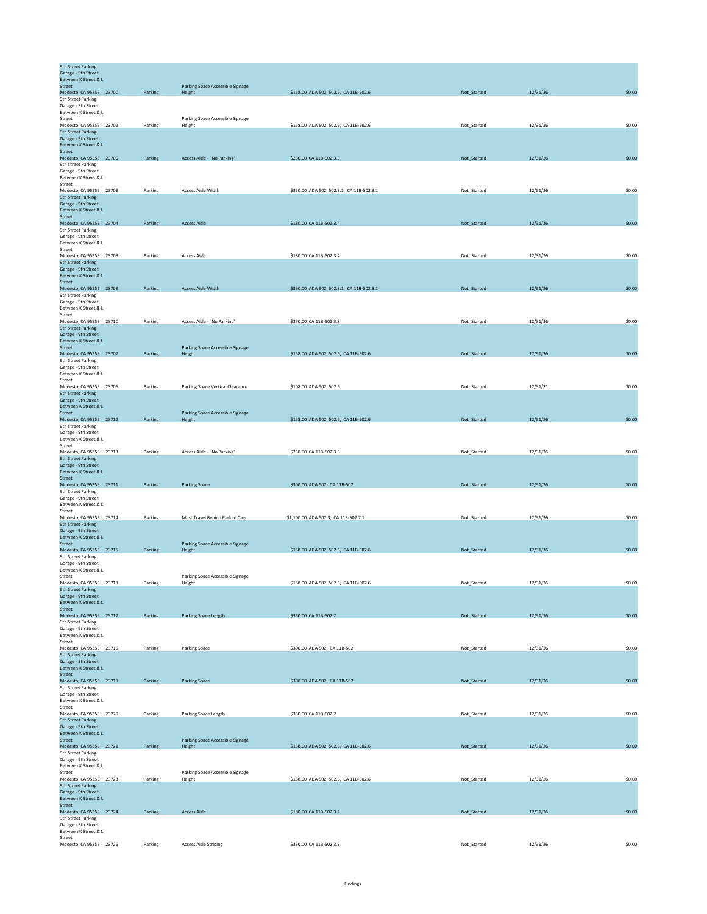| <b>9th Street Parking</b><br>Garage - 9th Street     |                         |         |                                            |                                           |             |          |        |
|------------------------------------------------------|-------------------------|---------|--------------------------------------------|-------------------------------------------|-------------|----------|--------|
| Between K Street & L<br>Street                       |                         |         | Parking Space Accessible Signage           |                                           |             |          |        |
| Modesto, CA 95353 23700<br>9th Street Parking        |                         | Parking | Height                                     | \$158.00 ADA 502, 502.6, CA 11B-502.6     | Not_Started | 12/31/26 | \$0.00 |
| Garage - 9th Street                                  |                         |         |                                            |                                           |             |          |        |
| Between K Street & L<br>Street                       |                         |         | Parking Space Accessible Signage           |                                           |             |          |        |
| Modesto, CA 95353 23702<br><b>9th Street Parking</b> |                         | Parking | Height                                     | \$158.00 ADA 502, 502.6, CA 11B-502.6     | Not_Started | 12/31/26 | \$0.00 |
| Garage - 9th Street                                  |                         |         |                                            |                                           |             |          |        |
| Between K Street & L<br>Street                       |                         |         |                                            |                                           |             |          |        |
| Modesto, CA 95353 23705<br>9th Street Parking        |                         | Parking | Access Aisle - "No Parking"                | \$250.00 CA 11B-502.3.3                   | Not_Started | 12/31/26 | \$0.00 |
| Garage - 9th Street                                  |                         |         |                                            |                                           |             |          |        |
| Between K Street & L<br>Street                       |                         |         |                                            |                                           |             |          |        |
| Modesto, CA 95353 23703<br>9th Street Parking        |                         | Parking | <b>Access Aisle Width</b>                  | \$350.00 ADA 502, 502.3.1, CA 11B-502.3.1 | Not_Started | 12/31/26 | \$0.00 |
| Garage - 9th Street                                  |                         |         |                                            |                                           |             |          |        |
| Between K Street & L<br><b>Street</b>                |                         |         |                                            |                                           |             |          |        |
| Modesto, CA 95353 23704<br>9th Street Parking        |                         | Parking | <b>Access Aisle</b>                        | \$180.00 CA 11B-502.3.4                   | Not_Started | 12/31/26 | \$0.00 |
| Garage - 9th Street<br>Between K Street & L          |                         |         |                                            |                                           |             |          |        |
| Street                                               |                         |         |                                            |                                           |             |          |        |
| Modesto, CA 95353 23709<br>9th Street Parking        |                         | Parking | <b>Access Aisle</b>                        | \$180.00 CA 11B-502.3.4                   | Not_Started | 12/31/26 | \$0.00 |
| Garage - 9th Street<br>Between K Street & L          |                         |         |                                            |                                           |             |          |        |
| <b>Street</b>                                        |                         |         |                                            |                                           |             |          |        |
| Modesto, CA 95353 23708<br>9th Street Parking        |                         | Parking | <b>Access Aisle Width</b>                  | \$350.00 ADA 502, 502.3.1, CA 11B-502.3.1 | Not_Started | 12/31/26 | \$0.00 |
| Garage - 9th Street<br>Between K Street & L          |                         |         |                                            |                                           |             |          |        |
| Street                                               |                         |         | Access Aisle - "No Parking"                | \$250.00 CA 11B-502.3.3                   |             |          |        |
| Modesto, CA 95353 23710<br>9th Street Parking        |                         | Parking |                                            |                                           | Not_Started | 12/31/26 | \$0.00 |
| Garage - 9th Street<br>Between K Street & L          |                         |         |                                            |                                           |             |          |        |
| Street<br>Modesto, CA 95353 23707                    |                         | Parking | Parking Space Accessible Signage<br>Height | \$158.00 ADA 502, 502.6, CA 11B-502.6     | Not_Started | 12/31/26 | \$0.00 |
| 9th Street Parking                                   |                         |         |                                            |                                           |             |          |        |
| Garage - 9th Street<br>Between K Street & L          |                         |         |                                            |                                           |             |          |        |
| Street<br>Modesto, CA 95353 23706                    |                         | Parking | Parking Space Vertical Clearance           | \$108.00 ADA 502, 502.5                   | Not_Started | 12/31/31 | \$0.00 |
| 9th Street Parking                                   |                         |         |                                            |                                           |             |          |        |
| Garage - 9th Street<br>Between K Street & L          |                         |         |                                            |                                           |             |          |        |
| Street<br>Modesto, CA 95353 23712                    |                         | Parking | Parking Space Accessible Signage<br>Height | \$158.00 ADA 502, 502.6, CA 11B-502.6     | Not_Started | 12/31/26 | \$0.00 |
| 9th Street Parking                                   |                         |         |                                            |                                           |             |          |        |
| Garage - 9th Street<br>Between K Street & L          |                         |         |                                            |                                           |             |          |        |
| Street<br>Modesto, CA 95353 23713                    |                         | Parking | Access Aisle - "No Parking"                | \$250.00 CA 11B-502.3.3                   | Not_Started | 12/31/26 | \$0.00 |
| 9th Street Parking<br>Garage - 9th Street            |                         |         |                                            |                                           |             |          |        |
| Between K Street & L                                 |                         |         |                                            |                                           |             |          |        |
| <b>Street</b><br>Modesto, CA 95353 23711             |                         | Parking | <b>Parking Space</b>                       | \$300.00 ADA 502, CA 11B-502              | Not_Started | 12/31/26 | \$0.00 |
| 9th Street Parking<br>Garage - 9th Street            |                         |         |                                            |                                           |             |          |        |
| Between K Street & L                                 |                         |         |                                            |                                           |             |          |        |
| Street<br>Modesto, CA 95353 23714                    |                         | Parking | Must Travel Behind Parked Cars             | \$1,100.00 ADA 502.3, CA 11B-502.7.1      | Not_Started | 12/31/26 | \$0.00 |
| 9th Street Parking<br>Garage - 9th Street            |                         |         |                                            |                                           |             |          |        |
| Between K Street & L<br>Street                       |                         |         |                                            |                                           |             |          |        |
| Modesto, CA 95353 23715                              |                         | Parking | Parking Space Accessible Signage<br>Height | \$158.00 ADA 502, 502.6, CA 11B-502.6     | Not_Started | 12/31/26 | \$0.00 |
| 9th Street Parking<br>Garage - 9th Street            |                         |         |                                            |                                           |             |          |        |
| Between K Street & L<br>Street                       |                         |         | Parking Space Accessible Signage           |                                           |             |          |        |
| Modesto, CA 95353 23718                              |                         | Parking | Height                                     | \$158.00 ADA 502, 502.6, CA 11B-502.6     | Not_Started | 12/31/26 | \$0.00 |
| 9th Street Parking<br>Garage - 9th Street            |                         |         |                                            |                                           |             |          |        |
| Between K Street & L<br>Street                       |                         |         |                                            |                                           |             |          |        |
| Modesto, CA 95353 23717                              |                         | Parking | Parking Space Length                       | \$350.00 CA 11B-502.2                     | Not_Started | 12/31/26 | \$0.00 |
| 9th Street Parking<br>Garage - 9th Street            |                         |         |                                            |                                           |             |          |        |
| Between K Street & L<br>Street                       |                         |         |                                            |                                           |             |          |        |
| Modesto, CA 95353 23716<br>9th Street Parking        |                         | Parking | Parking Space                              | \$300.00 ADA 502, CA 11B-502              | Not_Started | 12/31/26 | \$0.00 |
| Garage - 9th Street                                  |                         |         |                                            |                                           |             |          |        |
| Between K Street & L<br>Street                       |                         |         |                                            |                                           |             |          |        |
| Modesto, CA 95353 23719<br>9th Street Parking        |                         | Parking | <b>Parking Space</b>                       | \$300.00 ADA 502, CA 11B-502              | Not_Started | 12/31/26 | \$0.00 |
| Garage - 9th Street                                  |                         |         |                                            |                                           |             |          |        |
| Between K Street & L<br>Street                       |                         |         |                                            |                                           |             |          |        |
| Modesto, CA 95353 23720<br>9th Street Parking        |                         | Parking | Parking Space Length                       | \$350.00 CA 11B-502.2                     | Not_Started | 12/31/26 | \$0.00 |
| Garage - 9th Street                                  |                         |         |                                            |                                           |             |          |        |
| Between K Street & L<br>Street                       |                         |         | Parking Space Accessible Signage           |                                           |             |          |        |
| Modesto, CA 95353 23721<br>9th Street Parking        |                         | Parking | Height                                     | \$158.00 ADA 502, 502.6, CA 11B-502.6     | Not_Started | 12/31/26 | \$0.00 |
| Garage - 9th Street<br>Between K Street & L          |                         |         |                                            |                                           |             |          |        |
| Street                                               |                         |         | Parking Space Accessible Signage           |                                           |             |          |        |
| Modesto, CA 95353 23723<br>9th Street Parking        |                         | Parking | Height                                     | \$158.00 ADA 502, 502.6, CA 11B-502.6     | Not_Started | 12/31/26 | \$0.00 |
| Garage - 9th Street<br>Between K Street & L          |                         |         |                                            |                                           |             |          |        |
| <b>Street</b>                                        |                         |         |                                            |                                           |             |          |        |
| Modesto, CA 95353 23724<br>9th Street Parking        |                         | Parking | <b>Access Aisle</b>                        | \$180.00 CA 11B-502.3.4                   | Not_Started | 12/31/26 | \$0.00 |
| Garage - 9th Street<br>Between K Street & L          |                         |         |                                            |                                           |             |          |        |
| Street                                               | Modesto, CA 95353 23725 | Parking | <b>Access Aisle Striping</b>               | \$350.00 CA 11B-502.3.3                   | Not_Started | 12/31/26 | \$0.00 |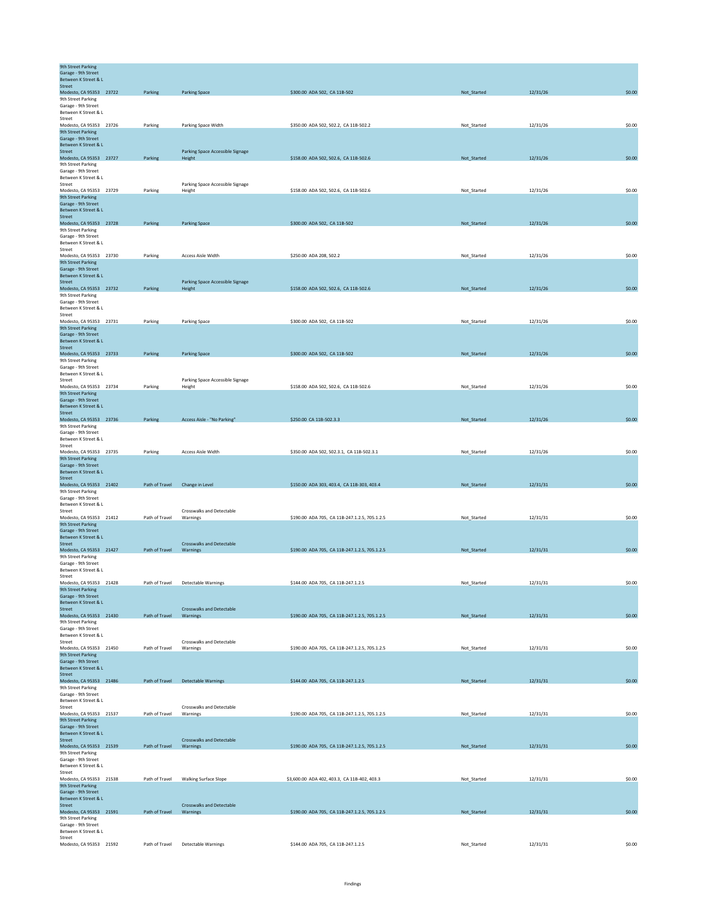| <b>9th Street Parking</b><br>Garage - 9th Street<br>Between K Street & L |                |                                              |                                               |             |          |        |
|--------------------------------------------------------------------------|----------------|----------------------------------------------|-----------------------------------------------|-------------|----------|--------|
| <b>Street</b>                                                            |                |                                              |                                               |             |          |        |
| Modesto, CA 95353 23722                                                  | Parking        | <b>Parking Space</b>                         | \$300.00 ADA 502, CA 11B-502                  | Not_Started | 12/31/26 | \$0.00 |
| 9th Street Parking<br>Garage - 9th Street                                |                |                                              |                                               |             |          |        |
| Between K Street & L                                                     |                |                                              |                                               |             |          |        |
| Street<br>Modesto, CA 95353 23726                                        | Parking        | Parking Space Width                          | \$350.00 ADA 502, 502.2, CA 11B-502.2         | Not_Started | 12/31/26 | \$0.00 |
| 9th Street Parking                                                       |                |                                              |                                               |             |          |        |
| Garage - 9th Street                                                      |                |                                              |                                               |             |          |        |
| Between K Street & L<br>Street                                           |                | Parking Space Accessible Signage             |                                               |             |          |        |
| Modesto, CA 95353 23727                                                  | Parking        | Height                                       | \$158.00 ADA 502, 502.6, CA 11B-502.6         | Not_Started | 12/31/26 | \$0.00 |
| 9th Street Parking                                                       |                |                                              |                                               |             |          |        |
| Garage - 9th Street<br>Between K Street & L                              |                |                                              |                                               |             |          |        |
| Street                                                                   |                | Parking Space Accessible Signage             |                                               |             |          |        |
| Modesto, CA 95353 23729                                                  | Parking        | Height                                       | \$158.00 ADA 502, 502.6, CA 11B-502.6         | Not_Started | 12/31/26 | \$0.00 |
| 9th Street Parking<br>Garage - 9th Street                                |                |                                              |                                               |             |          |        |
| Between K Street & L                                                     |                |                                              |                                               |             |          |        |
| Street                                                                   |                |                                              |                                               |             |          |        |
| Modesto, CA 95353 23728                                                  | Parking        | <b>Parking Space</b>                         | \$300.00 ADA 502, CA 11B-502                  | Not_Started | 12/31/26 | \$0.00 |
| 9th Street Parking<br>Garage - 9th Street                                |                |                                              |                                               |             |          |        |
| Between K Street & L                                                     |                |                                              |                                               |             |          |        |
| Street<br>Modesto, CA 95353 23730                                        | Parking        | Access Aisle Width                           | \$250.00 ADA 208, 502.2                       | Not_Started | 12/31/26 | \$0.00 |
| 9th Street Parking                                                       |                |                                              |                                               |             |          |        |
| Garage - 9th Street                                                      |                |                                              |                                               |             |          |        |
| Between K Street & L<br>Street                                           |                | Parking Space Accessible Signage             |                                               |             |          |        |
| Modesto, CA 95353 23732                                                  | Parking        | Height                                       | \$158.00 ADA 502, 502.6, CA 11B-502.6         | Not_Started | 12/31/26 | \$0.00 |
| 9th Street Parking                                                       |                |                                              |                                               |             |          |        |
| Garage - 9th Street<br>Between K Street & L                              |                |                                              |                                               |             |          |        |
| Street                                                                   |                |                                              |                                               |             |          |        |
| Modesto, CA 95353 23731                                                  | Parking        | <b>Parking Space</b>                         | \$300.00 ADA 502, CA 11B-502                  | Not_Started | 12/31/26 | \$0.00 |
| <b>9th Street Parking</b><br>Garage - 9th Street                         |                |                                              |                                               |             |          |        |
| Between K Street & L                                                     |                |                                              |                                               |             |          |        |
| <b>Street</b>                                                            |                |                                              |                                               |             |          |        |
| Modesto, CA 95353 23733<br>9th Street Parking                            | Parking        | <b>Parking Space</b>                         | \$300.00 ADA 502, CA 11B-502                  | Not_Started | 12/31/26 | \$0.00 |
| Garage - 9th Street                                                      |                |                                              |                                               |             |          |        |
| Between K Street & L                                                     |                |                                              |                                               |             |          |        |
| Street<br>Modesto, CA 95353 23734                                        | Parking        | Parking Space Accessible Signage<br>Height   | \$158,00 ADA 502, 502.6, CA 11B-502.6         | Not Started | 12/31/26 | \$0.00 |
| 9th Street Parking                                                       |                |                                              |                                               |             |          |        |
| Garage - 9th Street                                                      |                |                                              |                                               |             |          |        |
| Between K Street & L<br>Street                                           |                |                                              |                                               |             |          |        |
| Modesto, CA 95353 23736                                                  | Parking        | Access Aisle - "No Parking"                  | \$250.00 CA 11B-502.3.3                       | Not_Started | 12/31/26 | \$0.00 |
| 9th Street Parking                                                       |                |                                              |                                               |             |          |        |
| Garage - 9th Street<br>Between K Street & L                              |                |                                              |                                               |             |          |        |
| Street                                                                   |                |                                              |                                               |             |          |        |
| Modesto, CA 95353 23735                                                  | Parking        | <b>Access Aisle Width</b>                    | \$350.00 ADA 502, 502.3.1, CA 11B-502.3.1     | Not_Started | 12/31/26 | \$0.00 |
| 9th Street Parking<br>Garage - 9th Street                                |                |                                              |                                               |             |          |        |
| Between K Street & L                                                     |                |                                              |                                               |             |          |        |
| Street                                                                   |                |                                              |                                               |             |          |        |
| Modesto, CA 95353 21402<br>9th Street Parking                            | Path of Travel | Change in Level                              | \$150.00 ADA 303, 403.4, CA 11B-303, 403.4    | Not_Started | 12/31/31 | \$0.00 |
| Garage - 9th Street                                                      |                |                                              |                                               |             |          |        |
| Between K Street & L                                                     |                |                                              |                                               |             |          |        |
| Street<br>Modesto, CA 95353 21412                                        | Path of Travel | Crosswalks and Detectable<br>Warnings        | \$190.00 ADA 705, CA 11B-247.1.2.5, 705.1.2.5 | Not_Started | 12/31/31 | \$0.00 |
| <b>9th Street Parking</b>                                                |                |                                              |                                               |             |          |        |
| Garage - 9th Street                                                      |                |                                              |                                               |             |          |        |
| Between K Street & L                                                     |                |                                              |                                               |             |          |        |
| Street<br>Modesto, CA 95353 21427                                        | Path of Travel | <b>Crosswalks and Detectable</b><br>Warnings | \$190.00 ADA 705, CA 11B-247.1.2.5, 705.1.2.5 | Not_Started | 12/31/31 | \$0.00 |
| 9th Street Parking                                                       |                |                                              |                                               |             |          |        |
| Garage - 9th Street                                                      |                |                                              |                                               |             |          |        |
| Between K Street & L<br>Street                                           |                |                                              |                                               |             |          |        |
| Modesto, CA 95353 21428                                                  | Path of Travel | <b>Detectable Warnings</b>                   | \$144.00 ADA 705, CA 11B-247.1.2.5            | Not_Started | 12/31/31 | \$0.00 |
| <b>9th Street Parking</b>                                                |                |                                              |                                               |             |          |        |
| Garage - 9th Street<br>Between K Street & L                              |                |                                              |                                               |             |          |        |
| <b>Street</b>                                                            |                | <b>Crosswalks and Detectable</b>             |                                               |             |          |        |
| Modesto, CA 95353 21430<br>9th Street Parking                            | Path of Travel | Warnings                                     | \$190.00 ADA 705, CA 11B-247.1.2.5, 705.1.2.5 | Not_Started | 12/31/31 | \$0.00 |
| Garage - 9th Street                                                      |                |                                              |                                               |             |          |        |
| Between K Street & L                                                     |                |                                              |                                               |             |          |        |
| Street<br>Modesto, CA 95353 21450                                        | Path of Travel | <b>Crosswalks and Detectable</b>             | \$190.00 ADA 705, CA 11B-247.1.2.5, 705.1.2.5 |             | 12/31/31 | \$0.00 |
| 9th Street Parking                                                       |                | Warnings                                     |                                               | Not_Started |          |        |
| Garage - 9th Street                                                      |                |                                              |                                               |             |          |        |
| Between K Street & L                                                     |                |                                              |                                               |             |          |        |
| <b>Street</b><br>Modesto, CA 95353 21486                                 |                | Path of Travel Detectable Warnings           | \$144.00 ADA 705, CA 11B-247.1.2.5            | Not_Started | 12/31/31 | \$0.00 |
| 9th Street Parking                                                       |                |                                              |                                               |             |          |        |
| Garage - 9th Street<br>Between K Street & L                              |                |                                              |                                               |             |          |        |
| Street                                                                   |                | Crosswalks and Detectable                    |                                               |             |          |        |
| Modesto, CA 95353 21537                                                  | Path of Travel | Warnings                                     | \$190.00 ADA 705, CA 11B-247.1.2.5, 705.1.2.5 | Not_Started | 12/31/31 | \$0.00 |
| 9th Street Parking<br>Garage - 9th Street                                |                |                                              |                                               |             |          |        |
| Between K Street & L                                                     |                |                                              |                                               |             |          |        |
| Street                                                                   |                | <b>Crosswalks and Detectable</b>             |                                               |             |          |        |
| Modesto, CA 95353 21539<br>9th Street Parking                            | Path of Travel | Warnings                                     | \$190.00 ADA 705, CA 11B-247.1.2.5, 705.1.2.5 | Not_Started | 12/31/31 | \$0.00 |
| Garage - 9th Street                                                      |                |                                              |                                               |             |          |        |
| Between K Street & L                                                     |                |                                              |                                               |             |          |        |
| Street<br>Modesto, CA 95353 21538                                        | Path of Travel | Walking Surface Slope                        | \$3,600.00 ADA 402, 403.3, CA 11B-402, 403.3  | Not_Started | 12/31/31 | \$0.00 |
| 9th Street Parking                                                       |                |                                              |                                               |             |          |        |
| Garage - 9th Street                                                      |                |                                              |                                               |             |          |        |
| Between K Street & L<br>Street                                           |                | <b>Crosswalks and Detectable</b>             |                                               |             |          |        |
| Modesto, CA 95353 21591                                                  | Path of Travel | Warnings                                     | \$190.00 ADA 705, CA 11B-247.1.2.5, 705.1.2.5 | Not_Started | 12/31/31 | \$0.00 |
| 9th Street Parking                                                       |                |                                              |                                               |             |          |        |
| Garage - 9th Street<br>Between K Street & L                              |                |                                              |                                               |             |          |        |
| Street                                                                   |                |                                              |                                               |             |          |        |
| Modesto, CA 95353 21592                                                  |                | Path of Travel Detectable Warnings           | \$144.00 ADA 705, CA 11B-247.1.2.5            | Not_Started | 12/31/31 | \$0.00 |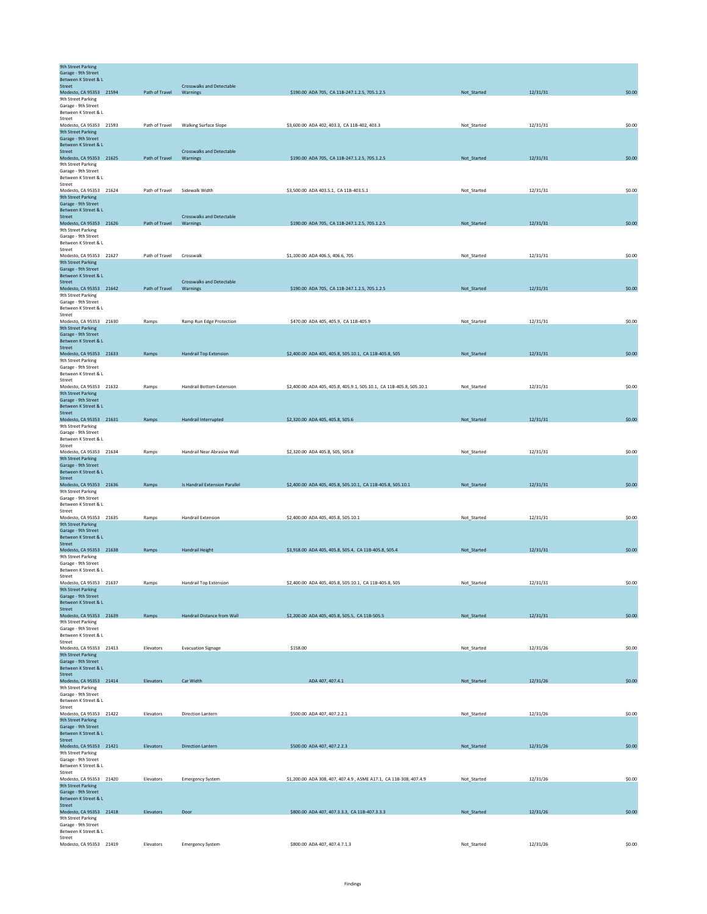| <b>9th Street Parking</b><br>Garage - 9th Street     |                |                                  |                                                                      |             |          |        |
|------------------------------------------------------|----------------|----------------------------------|----------------------------------------------------------------------|-------------|----------|--------|
| Between K Street & L<br>Street                       |                | <b>Crosswalks and Detectable</b> |                                                                      |             |          |        |
| Modesto, CA 95353 21594                              | Path of Travel | Warnings                         | \$190.00 ADA 705, CA 11B-247.1.2.5, 705.1.2.5                        | Not_Started | 12/31/31 | \$0.00 |
| 9th Street Parking<br>Garage - 9th Street            |                |                                  |                                                                      |             |          |        |
| Between K Street & L<br>Street                       |                |                                  |                                                                      |             |          |        |
| Modesto, CA 95353 21593                              | Path of Travel | Walking Surface Slope            | \$3,600.00 ADA 402, 403.3, CA 11B-402, 403.3                         | Not_Started | 12/31/31 | \$0.00 |
| <b>9th Street Parking</b><br>Garage - 9th Street     |                |                                  |                                                                      |             |          |        |
| Between K Street & L<br>Street                       |                | <b>Crosswalks and Detectable</b> |                                                                      |             |          |        |
| Modesto, CA 95353 21625                              | Path of Travel | Warnings                         | \$190.00 ADA 705, CA 11B-247.1.2.5, 705.1.2.5                        | Not_Started | 12/31/31 | \$0.00 |
| 9th Street Parking<br>Garage - 9th Street            |                |                                  |                                                                      |             |          |        |
| Between K Street & L<br>Street                       |                |                                  |                                                                      |             |          |        |
| Modesto, CA 95353 21624                              | Path of Travel | Sidewalk Width                   | \$3,500.00 ADA 403.5.1, CA 11B-403.5.1                               | Not_Started | 12/31/31 | \$0.00 |
| 9th Street Parking<br>Garage - 9th Street            |                |                                  |                                                                      |             |          |        |
| Between K Street & L<br><b>Street</b>                |                | <b>Crosswalks and Detectable</b> |                                                                      |             |          |        |
| Modesto, CA 95353 21626                              | Path of Travel | Warnings                         | \$190.00 ADA 705, CA 11B-247.1.2.5, 705.1.2.5                        | Not_Started | 12/31/31 | \$0.00 |
| 9th Street Parking<br>Garage - 9th Street            |                |                                  |                                                                      |             |          |        |
| Between K Street & L<br>Street                       |                |                                  |                                                                      |             |          |        |
| Modesto, CA 95353 21627                              | Path of Travel | Crosswalk                        | \$1,100.00 ADA 406.5, 406.6, 705                                     | Not_Started | 12/31/31 | \$0.00 |
| 9th Street Parking<br>Garage - 9th Street            |                |                                  |                                                                      |             |          |        |
| Between K Street & L<br>Street                       |                | <b>Crosswalks and Detectable</b> |                                                                      |             |          |        |
| Modesto, CA 95353 21642<br>9th Street Parking        | Path of Travel | Warnings                         | \$190.00 ADA 705, CA 11B-247.1.2.5, 705.1.2.5                        | Not_Started | 12/31/31 | \$0.00 |
| Garage - 9th Street                                  |                |                                  |                                                                      |             |          |        |
| Between K Street & L<br>Street                       |                |                                  |                                                                      |             |          |        |
| Modesto, CA 95353 21630                              | Ramps          | Ramp Run Edge Protection         | \$470.00 ADA 405, 405.9, CA 11B-405.9                                | Not_Started | 12/31/31 | \$0.00 |
| 9th Street Parking<br>Garage - 9th Street            |                |                                  |                                                                      |             |          |        |
| Between K Street & L<br>Street                       |                |                                  |                                                                      |             |          |        |
| Modesto, CA 95353 21633                              | Ramps          | <b>Handrail Top Extension</b>    | \$2,400.00 ADA 405, 405.8, 505.10.1, CA 11B-405.8, 505               | Not_Started | 12/31/31 | \$0.00 |
| 9th Street Parking<br>Garage - 9th Street            |                |                                  |                                                                      |             |          |        |
| Between K Street & L<br>Street                       |                |                                  |                                                                      |             |          |        |
| Modesto, CA 95353 21632<br>9th Street Parking        | Ramps          | Handrail Bottom Extension        | \$2,400.00 ADA 405, 405.8, 405.9.1, 505.10.1, CA 11B-405.8, 505.10.1 | Not_Started | 12/31/31 | \$0.00 |
| Garage - 9th Street                                  |                |                                  |                                                                      |             |          |        |
| Between K Street & L<br>Street                       |                |                                  |                                                                      |             |          |        |
| Modesto, CA 95353 21631                              | Ramps          | Handrail Interrupted             | \$2,320.00 ADA 405, 405.8, 505.6                                     | Not_Started | 12/31/31 | \$0.00 |
| 9th Street Parking<br>Garage - 9th Street            |                |                                  |                                                                      |             |          |        |
| Between K Street & L<br>Street                       |                |                                  |                                                                      |             |          |        |
| Modesto, CA 95353 21634<br><b>9th Street Parking</b> | Ramps          | Handrail Near Abrasive Wall      | \$2,320.00 ADA 405.8, 505, 505.8                                     | Not_Started | 12/31/31 | \$0.00 |
| Garage - 9th Street                                  |                |                                  |                                                                      |             |          |        |
| Between K Street & L<br><b>Street</b>                |                |                                  |                                                                      |             |          |        |
| Modesto, CA 95353 21636<br>9th Street Parking        | Ramps          | Is Handrail Extension Parallel   | \$2,400.00 ADA 405, 405.8, 505.10.1, CA 11B-405.8, 505.10.1          | Not_Started | 12/31/31 | \$0.00 |
| Garage - 9th Street                                  |                |                                  |                                                                      |             |          |        |
| Between K Street & L<br>Street                       |                |                                  |                                                                      |             |          |        |
| Modesto, CA 95353 21635<br>9th Street Parking        | Ramps          | <b>Handrail Extension</b>        | \$2,400.00 ADA 405, 405.8, 505.10.1                                  | Not_Started | 12/31/31 | \$0.00 |
| Garage - 9th Street                                  |                |                                  |                                                                      |             |          |        |
| Between K Street & L<br>Street                       |                |                                  |                                                                      |             |          |        |
| Modesto, CA 95353 21638                              | Ramps          | Handrail Height                  | \$3,918.00 ADA 405, 405.8, 505.4, CA 11B-405.8, 505.4                | Not_Started | 12/31/31 | \$0.00 |
| 9th Street Parking<br>Garage - 9th Street            |                |                                  |                                                                      |             |          |        |
| Between K Street & L<br>Street                       |                |                                  |                                                                      |             |          |        |
| Modesto, CA 95353 21637<br>9th Street Parking        | Ramps          | Handrail Top Extension           | \$2,400.00 ADA 405, 405.8, 505.10.1, CA 11B-405.8, 505               | Not_Started | 12/31/31 | \$0.00 |
| Garage - 9th Street                                  |                |                                  |                                                                      |             |          |        |
| Between K Street & L<br>Street                       |                |                                  |                                                                      |             |          |        |
| Modesto, CA 95353 21639<br>9th Street Parking        | Ramps          | Handrail Distance from Wall      | \$2,200.00 ADA 405, 405.8, 505.5, CA 11B-505.5                       | Not_Started | 12/31/31 | \$0.00 |
| Garage - 9th Street                                  |                |                                  |                                                                      |             |          |        |
| Between K Street & L<br>Street                       |                |                                  |                                                                      |             |          |        |
| Modesto, CA 95353 21413<br>9th Street Parking        | Elevators      | <b>Evacuation Signage</b>        | \$158.00                                                             | Not_Started | 12/31/26 | \$0.00 |
| Garage - 9th Street                                  |                |                                  |                                                                      |             |          |        |
| Between K Street & L<br>Street                       |                |                                  |                                                                      |             |          |        |
| Modesto, CA 95353 21414<br>9th Street Parking        | Elevators      | Car Width                        | ADA 407, 407.4.1                                                     | Not_Started | 12/31/26 | \$0.00 |
| Garage - 9th Street                                  |                |                                  |                                                                      |             |          |        |
| Between K Street & L<br>Street                       |                |                                  |                                                                      |             |          |        |
| Modesto, CA 95353 21422<br><b>9th Street Parking</b> | Elevators      | Direction Lantern                | \$500.00 ADA 407, 407.2.2.1                                          | Not_Started | 12/31/26 | \$0.00 |
| Garage - 9th Street                                  |                |                                  |                                                                      |             |          |        |
| Between K Street & L<br>Street                       |                |                                  |                                                                      |             |          |        |
| Modesto, CA 95353 21421                              | Elevators      | Direction Lantern                | \$500.00 ADA 407, 407.2.2.3                                          | Not_Started | 12/31/26 | \$0.00 |
| 9th Street Parking<br>Garage - 9th Street            |                |                                  |                                                                      |             |          |        |
| Between K Street & L<br>Street                       |                |                                  |                                                                      |             |          |        |
| Modesto, CA 95353 21420                              | Elevators      | <b>Emergency System</b>          | \$1,200.00 ADA 308, 407, 407.4.9, ASME A17.1, CA 11B-308, 407.4.9    | Not_Started | 12/31/26 | \$0.00 |
| 9th Street Parking<br>Garage - 9th Street            |                |                                  |                                                                      |             |          |        |
| Between K Street & L<br><b>Street</b>                |                |                                  |                                                                      |             |          |        |
| Modesto, CA 95353 21418                              | Elevators      | Door                             | \$800.00 ADA 407, 407.3.3.3, CA 11B-407.3.3.3                        | Not_Started | 12/31/26 | \$0.00 |
| 9th Street Parking<br>Garage - 9th Street            |                |                                  |                                                                      |             |          |        |
| Between K Street & L<br>Street                       |                |                                  |                                                                      |             |          |        |
| Modesto, CA 95353 21419                              | Elevators      | <b>Emergency System</b>          | \$800.00 ADA 407, 407.4.7.1.3                                        | Not_Started | 12/31/26 | \$0.00 |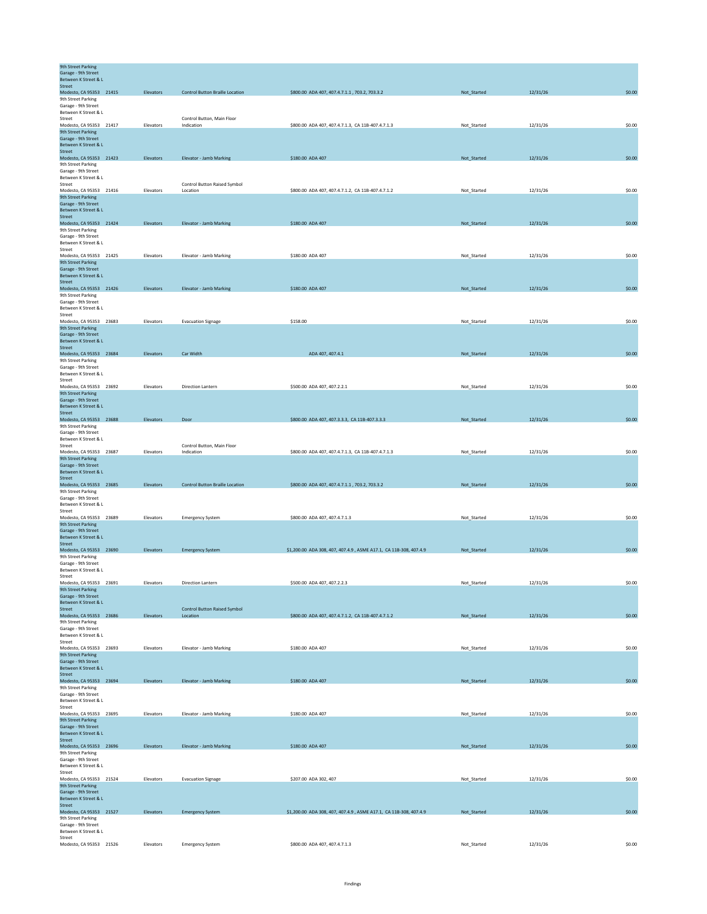| 9th Street Parking<br>Garage - 9th Street<br>Between K Street & L |           |                                          |                                                                   |             |          |        |
|-------------------------------------------------------------------|-----------|------------------------------------------|-------------------------------------------------------------------|-------------|----------|--------|
| Street<br>Modesto, CA 95353 21415                                 | Elevators | <b>Control Button Braille Location</b>   | \$800.00 ADA 407, 407.4.7.1.1, 703.2, 703.3.2                     | Not_Started | 12/31/26 | \$0.00 |
| 9th Street Parking                                                |           |                                          |                                                                   |             |          |        |
| Garage - 9th Street                                               |           |                                          |                                                                   |             |          |        |
| Between K Street & L                                              |           |                                          |                                                                   |             |          |        |
| Street                                                            |           | Control Button, Main Floor<br>Indication |                                                                   |             |          | \$0.00 |
| Modesto, CA 95353 21417<br>9th Street Parking                     | Elevators |                                          | \$800.00 ADA 407, 407.4.7.1.3, CA 11B-407.4.7.1.3                 | Not_Started | 12/31/26 |        |
| Garage - 9th Street                                               |           |                                          |                                                                   |             |          |        |
| Between K Street & L                                              |           |                                          |                                                                   |             |          |        |
| Street                                                            |           |                                          |                                                                   |             |          |        |
| Modesto, CA 95353 21423<br>9th Street Parking                     | Elevators | Elevator - Jamb Marking                  | \$180.00 ADA 407                                                  | Not_Started | 12/31/26 | \$0.00 |
| Garage - 9th Street                                               |           |                                          |                                                                   |             |          |        |
| Between K Street & L                                              |           |                                          |                                                                   |             |          |        |
| Street                                                            |           | Control Button Raised Symbol             |                                                                   |             |          |        |
| Modesto, CA 95353 21416<br>9th Street Parking                     | Elevators | Location                                 | \$800.00 ADA 407, 407.4.7.1.2, CA 11B-407.4.7.1.2                 | Not_Started | 12/31/26 | \$0.00 |
| Garage - 9th Street                                               |           |                                          |                                                                   |             |          |        |
| Between K Street & L                                              |           |                                          |                                                                   |             |          |        |
| <b>Street</b>                                                     |           |                                          |                                                                   |             |          |        |
| Modesto, CA 95353 21424                                           | Elevators | Elevator - Jamb Marking                  | \$180.00 ADA 407                                                  | Not_Started | 12/31/26 | \$0.00 |
| 9th Street Parking<br>Garage - 9th Street                         |           |                                          |                                                                   |             |          |        |
| Between K Street & L                                              |           |                                          |                                                                   |             |          |        |
| Street                                                            |           |                                          |                                                                   |             |          |        |
| Modesto, CA 95353 21425                                           | Elevators | Elevator - Jamb Marking                  | \$180.00 ADA 407                                                  | Not_Started | 12/31/26 | \$0.00 |
| 9th Street Parking<br>Garage - 9th Street                         |           |                                          |                                                                   |             |          |        |
| Between K Street & L                                              |           |                                          |                                                                   |             |          |        |
| Street                                                            |           |                                          |                                                                   |             |          |        |
| Modesto, CA 95353 21426                                           | Elevators | Elevator - Jamb Marking                  | \$180.00 ADA 407                                                  | Not_Started | 12/31/26 | \$0.00 |
| 9th Street Parking<br>Garage - 9th Street                         |           |                                          |                                                                   |             |          |        |
| Between K Street & L                                              |           |                                          |                                                                   |             |          |        |
| Street                                                            |           |                                          |                                                                   |             |          |        |
| Modesto, CA 95353 23683                                           | Elevators | <b>Evacuation Signage</b>                | \$158.00                                                          | Not_Started | 12/31/26 | \$0.00 |
| 9th Street Parking<br>Garage - 9th Street                         |           |                                          |                                                                   |             |          |        |
| Between K Street & L                                              |           |                                          |                                                                   |             |          |        |
| Street                                                            |           |                                          |                                                                   |             |          |        |
| Modesto, CA 95353 23684                                           | Elevators | Car Width                                | ADA 407, 407.4.1                                                  | Not_Started | 12/31/26 | \$0.00 |
| 9th Street Parking                                                |           |                                          |                                                                   |             |          |        |
| Garage - 9th Street<br>Between K Street & L                       |           |                                          |                                                                   |             |          |        |
| Street                                                            |           |                                          |                                                                   |             |          |        |
| Modesto, CA 95353 23692                                           | Elevators | Direction Lantern                        | \$500.00 ADA 407, 407.2.2.1                                       | Not_Started | 12/31/26 | \$0.00 |
| 9th Street Parking                                                |           |                                          |                                                                   |             |          |        |
| Garage - 9th Street<br>Between K Street & L                       |           |                                          |                                                                   |             |          |        |
| <b>Street</b>                                                     |           |                                          |                                                                   |             |          |        |
| Modesto, CA 95353 23688                                           | Elevators | Door                                     | \$800.00 ADA 407, 407.3.3.3, CA 11B-407.3.3.3                     | Not_Started | 12/31/26 | \$0.00 |
| 9th Street Parking                                                |           |                                          |                                                                   |             |          |        |
| Garage - 9th Street<br>Between K Street & L                       |           |                                          |                                                                   |             |          |        |
| Street                                                            |           | Control Button, Main Floor               |                                                                   |             |          |        |
| Modesto, CA 95353 23687                                           | Elevators | Indication                               | \$800.00 ADA 407, 407.4.7.1.3, CA 11B-407.4.7.1.3                 | Not_Started | 12/31/26 | \$0.00 |
| 9th Street Parking                                                |           |                                          |                                                                   |             |          |        |
| Garage - 9th Street<br>Between K Street & L                       |           |                                          |                                                                   |             |          |        |
| <b>Street</b>                                                     |           |                                          |                                                                   |             |          |        |
| Modesto, CA 95353 23685                                           | Elevators | <b>Control Button Braille Location</b>   | \$800.00 ADA 407, 407.4.7.1.1, 703.2, 703.3.2                     | Not_Started | 12/31/26 | \$0.00 |
| 9th Street Parking                                                |           |                                          |                                                                   |             |          |        |
| Garage - 9th Street                                               |           |                                          |                                                                   |             |          |        |
| Between K Street & L<br>Street                                    |           |                                          |                                                                   |             |          |        |
| Modesto, CA 95353 23689                                           | Elevators | <b>Emergency System</b>                  | \$800.00 ADA 407, 407.4.7.1.3                                     | Not_Started | 12/31/26 | \$0.00 |
| 9th Street Parking                                                |           |                                          |                                                                   |             |          |        |
| Garage - 9th Street                                               |           |                                          |                                                                   |             |          |        |
| Between K Street & L<br><b>Street</b>                             |           |                                          |                                                                   |             |          |        |
| Modesto, CA 95353 23690                                           | Elevators | <b>Emergency System</b>                  | \$1,200.00 ADA 308, 407, 407.4.9, ASME A17.1, CA 11B-308, 407.4.9 | Not_Started | 12/31/26 | \$0.00 |
| 9th Street Parking                                                |           |                                          |                                                                   |             |          |        |
| Garage - 9th Street                                               |           |                                          |                                                                   |             |          |        |
| Between K Street & L                                              |           |                                          |                                                                   |             |          |        |
| Street<br>Modesto, CA 95353 23691                                 | Elevators | Direction Lantern                        | \$500.00 ADA 407, 407.2.2.3                                       |             | 12/31/26 | \$0.00 |
| 9th Street Parking                                                |           |                                          |                                                                   | Not_Started |          |        |
| Garage - 9th Street                                               |           |                                          |                                                                   |             |          |        |
| Between K Street & L                                              |           |                                          |                                                                   |             |          |        |
| Street                                                            |           | <b>Control Button Raised Symbol</b>      |                                                                   |             |          | \$0.00 |
| Modesto, CA 95353 23686<br>9th Street Parking                     | Elevators | Location                                 | \$800.00 ADA 407, 407.4.7.1.2, CA 11B-407.4.7.1.2                 | Not_Started | 12/31/26 |        |
| Garage - 9th Street                                               |           |                                          |                                                                   |             |          |        |
| Between K Street & L                                              |           |                                          |                                                                   |             |          |        |
| Street                                                            |           |                                          |                                                                   |             |          |        |
| Modesto, CA 95353 23693<br>9th Street Parking                     | Elevators | Elevator - Jamb Marking                  | \$180.00 ADA 407                                                  | Not_Started | 12/31/26 | \$0.00 |
| Garage - 9th Street                                               |           |                                          |                                                                   |             |          |        |
| Between K Street & L                                              |           |                                          |                                                                   |             |          |        |
| Street                                                            |           |                                          |                                                                   |             |          |        |
| Modesto, CA 95353 23694<br>9th Street Parking                     | Elevators | Elevator - Jamb Marking                  | \$180.00 ADA 407                                                  | Not_Started | 12/31/26 | \$0.00 |
| Garage - 9th Street                                               |           |                                          |                                                                   |             |          |        |
| Between K Street & L                                              |           |                                          |                                                                   |             |          |        |
| Street                                                            |           |                                          |                                                                   |             |          |        |
| Modesto, CA 95353 23695<br>9th Street Parking                     | Elevators | Elevator - Jamb Marking                  | \$180.00 ADA 407                                                  | Not_Started | 12/31/26 | \$0.00 |
| Garage - 9th Street                                               |           |                                          |                                                                   |             |          |        |
| Between K Street & L                                              |           |                                          |                                                                   |             |          |        |
| Street                                                            |           |                                          |                                                                   |             |          |        |
| Modesto, CA 95353 23696                                           | Elevators | Elevator - Jamb Marking                  | \$180.00 ADA 407                                                  | Not_Started | 12/31/26 | \$0.00 |
| 9th Street Parking<br>Garage - 9th Street                         |           |                                          |                                                                   |             |          |        |
| Between K Street & L                                              |           |                                          |                                                                   |             |          |        |
| Street                                                            |           |                                          |                                                                   |             |          |        |
| Modesto, CA 95353 21524                                           | Elevators | <b>Evacuation Signage</b>                | \$207.00 ADA 302, 407                                             | Not_Started | 12/31/26 | \$0.00 |
| 9th Street Parking                                                |           |                                          |                                                                   |             |          |        |
| Garage - 9th Street<br>Between K Street & L                       |           |                                          |                                                                   |             |          |        |
| Street                                                            |           |                                          |                                                                   |             |          |        |
| Modesto, CA 95353 21527                                           | Elevators | <b>Emergency System</b>                  | \$1,200.00 ADA 308, 407, 407.4.9, ASME A17.1, CA 11B-308, 407.4.9 | Not_Started | 12/31/26 | \$0.00 |
| 9th Street Parking                                                |           |                                          |                                                                   |             |          |        |
| Garage - 9th Street<br>Between K Street & L                       |           |                                          |                                                                   |             |          |        |
| Street                                                            |           |                                          |                                                                   |             |          |        |
| Modesto, CA 95353 21526                                           | Elevators | <b>Emergency System</b>                  | \$800.00 ADA 407, 407.4.7.1.3                                     | Not_Started | 12/31/26 | \$0.00 |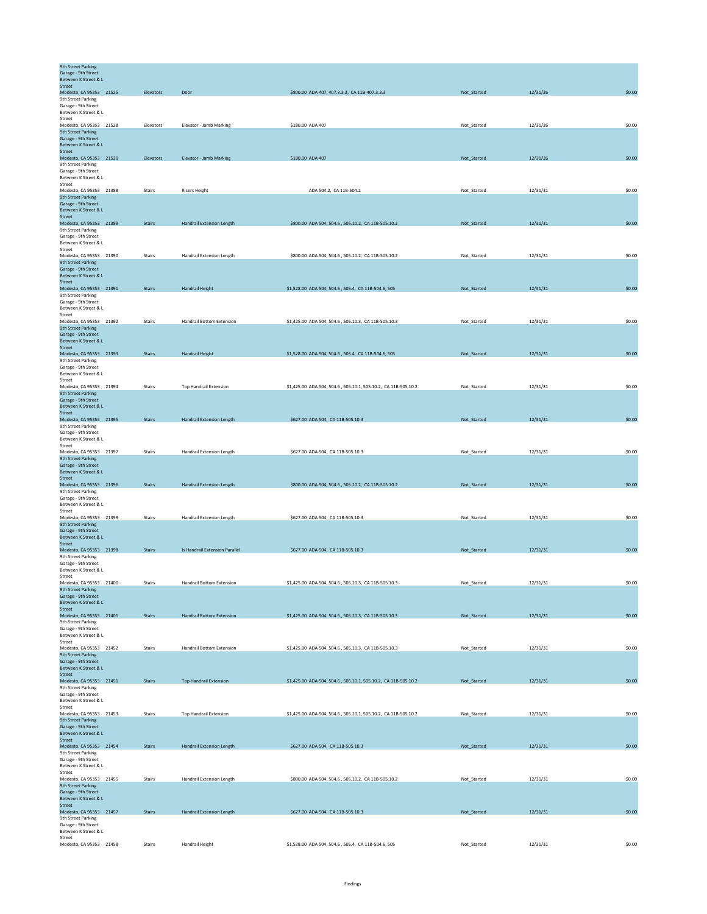| <b>9th Street Parking</b><br>Garage - 9th Street<br>Between K Street & L |               |                                  |                                                                |             |          |        |
|--------------------------------------------------------------------------|---------------|----------------------------------|----------------------------------------------------------------|-------------|----------|--------|
| <b>Street</b>                                                            |               |                                  |                                                                |             |          |        |
| Modesto, CA 95353 21525<br>9th Street Parking                            | Elevators     | Door                             | \$800.00 ADA 407, 407.3.3.3, CA 11B-407.3.3.3                  | Not_Started | 12/31/26 | \$0.00 |
| Garage - 9th Street                                                      |               |                                  |                                                                |             |          |        |
| Between K Street & L<br>Street                                           |               |                                  |                                                                |             |          |        |
| Modesto, CA 95353 21528<br>9th Street Parking                            | Elevators     | Elevator - Jamb Marking          | \$180.00 ADA 407                                               | Not_Started | 12/31/26 | \$0.00 |
| Garage - 9th Street                                                      |               |                                  |                                                                |             |          |        |
| Between K Street & L<br>Street                                           |               |                                  |                                                                |             |          |        |
| Modesto, CA 95353 21529                                                  | Elevators     | <b>Elevator - Jamb Marking</b>   | \$180.00 ADA 407                                               | Not_Started | 12/31/26 | \$0.00 |
| 9th Street Parking<br>Garage - 9th Street                                |               |                                  |                                                                |             |          |        |
| Between K Street & L                                                     |               |                                  |                                                                |             |          |        |
| Street<br>Modesto, CA 95353 21388                                        | Stairs        | <b>Risers Height</b>             | ADA 504.2, CA 11B-504.2                                        | Not_Started | 12/31/31 | \$0.00 |
| 9th Street Parking                                                       |               |                                  |                                                                |             |          |        |
| Garage - 9th Street<br>Between K Street & L                              |               |                                  |                                                                |             |          |        |
| Street                                                                   |               |                                  |                                                                |             |          |        |
| Modesto, CA 95353 21389<br>9th Street Parking                            | <b>Stairs</b> | <b>Handrail Extension Length</b> | \$800.00 ADA 504, 504.6, 505.10.2, CA 11B-505.10.2             | Not_Started | 12/31/31 | \$0.00 |
| Garage - 9th Street<br>Between K Street & L                              |               |                                  |                                                                |             |          |        |
| Street                                                                   |               |                                  |                                                                |             |          |        |
| Modesto, CA 95353 21390<br>9th Street Parking                            | Stairs        | Handrail Extension Length        | \$800.00 ADA 504, 504.6, 505.10.2, CA 11B-505.10.2             | Not_Started | 12/31/31 | \$0.00 |
| Garage - 9th Street                                                      |               |                                  |                                                                |             |          |        |
| Between K Street & L<br>Street                                           |               |                                  |                                                                |             |          |        |
| Modesto, CA 95353 21391                                                  | <b>Stairs</b> | <b>Handrail Height</b>           | \$1,528.00 ADA 504, 504.6, 505.4, CA 11B-504.6, 505            | Not_Started | 12/31/31 | \$0.00 |
| 9th Street Parking<br>Garage - 9th Street                                |               |                                  |                                                                |             |          |        |
| Between K Street & L                                                     |               |                                  |                                                                |             |          |        |
| Street<br>Modesto, CA 95353 21392                                        | Stairs        | <b>Handrail Bottom Extension</b> | \$1,425.00 ADA 504, 504.6, 505.10.3, CA 11B-505.10.3           | Not_Started | 12/31/31 | \$0.00 |
| <b>9th Street Parking</b>                                                |               |                                  |                                                                |             |          |        |
| Garage - 9th Street<br>Between K Street & L                              |               |                                  |                                                                |             |          |        |
| Street<br>Modesto, CA 95353 21393                                        | <b>Stairs</b> | <b>Handrail Height</b>           | \$1,528.00 ADA 504, 504.6, 505.4, CA 11B-504.6, 505            | Not_Started | 12/31/31 | \$0.00 |
| 9th Street Parking                                                       |               |                                  |                                                                |             |          |        |
| Garage - 9th Street                                                      |               |                                  |                                                                |             |          |        |
| Between K Street & L<br>Street                                           |               |                                  |                                                                |             |          |        |
| Modesto, CA 95353 21394<br>9th Street Parking                            | Stairs        | <b>Top Handrail Extension</b>    | \$1,425.00 ADA 504, 504.6, 505.10.1, 505.10.2, CA 11B-505.10.2 | Not Started | 12/31/31 | \$0.00 |
| Garage - 9th Street                                                      |               |                                  |                                                                |             |          |        |
| Between K Street & L<br>Street                                           |               |                                  |                                                                |             |          |        |
| Modesto, CA 95353 21395                                                  | <b>Stairs</b> | Handrail Extension Length        | \$627.00 ADA 504, CA 11B-505.10.3                              | Not_Started | 12/31/31 | \$0.00 |
| 9th Street Parking<br>Garage - 9th Street                                |               |                                  |                                                                |             |          |        |
| Between K Street & L                                                     |               |                                  |                                                                |             |          |        |
| Street<br>Modesto, CA 95353 21397                                        | Stairs        | Handrail Extension Length        | \$627.00 ADA 504, CA 11B-505.10.3                              | Not_Started | 12/31/31 | \$0.00 |
| 9th Street Parking                                                       |               |                                  |                                                                |             |          |        |
| Garage - 9th Street<br>Between K Street & L                              |               |                                  |                                                                |             |          |        |
| Street                                                                   |               |                                  |                                                                |             |          |        |
| Modesto, CA 95353 21396<br>9th Street Parking                            | <b>Stairs</b> | <b>Handrail Extension Length</b> | \$800.00 ADA 504, 504.6, 505.10.2, CA 11B-505.10.2             | Not_Started | 12/31/31 | \$0.00 |
| Garage - 9th Street                                                      |               |                                  |                                                                |             |          |        |
| Between K Street & L<br>Street                                           |               |                                  |                                                                |             |          |        |
| Modesto, CA 95353 21399<br><b>9th Street Parking</b>                     | Stairs        | Handrail Extension Length        | \$627.00 ADA 504, CA 11B-505.10.3                              | Not_Started | 12/31/31 | \$0.00 |
| Garage - 9th Street                                                      |               |                                  |                                                                |             |          |        |
| Between K Street & L<br>Street                                           |               |                                  |                                                                |             |          |        |
| Modesto, CA 95353 21398                                                  | <b>Stairs</b> | Is Handrail Extension Parallel   | \$627.00 ADA 504, CA 11B-505.10.3                              | Not_Started | 12/31/31 | \$0.00 |
| 9th Street Parking<br>Garage - 9th Street                                |               |                                  |                                                                |             |          |        |
| Between K Street & L                                                     |               |                                  |                                                                |             |          |        |
| Street<br>Modesto, CA 95353 21400                                        | Stairs        | Handrail Bottom Extension        | \$1,425.00 ADA 504, 504.6, 505.10.3, CA 11B-505.10.3           | Not_Started | 12/31/31 | \$0.00 |
| 9th Street Parking                                                       |               |                                  |                                                                |             |          |        |
| Garage - 9th Street<br>Between K Street & L                              |               |                                  |                                                                |             |          |        |
| Street                                                                   |               |                                  |                                                                |             |          |        |
| Modesto, CA 95353 21401<br>9th Street Parking                            | Stairs        | <b>Handrail Bottom Extension</b> | \$1,425.00 ADA 504, 504.6, 505.10.3, CA 11B-505.10.3           | Not_Started | 12/31/31 | \$0.00 |
| Garage - 9th Street                                                      |               |                                  |                                                                |             |          |        |
| Between K Street & L<br>Street                                           |               |                                  |                                                                |             |          |        |
| Modesto, CA 95353 21452                                                  | Stairs        | Handrail Bottom Extension        | \$1,425.00 ADA 504, 504.6, 505.10.3, CA 11B-505.10.3           | Not_Started | 12/31/31 | \$0.00 |
| 9th Street Parking<br>Garage - 9th Street                                |               |                                  |                                                                |             |          |        |
| Between K Street & L                                                     |               |                                  |                                                                |             |          |        |
| <b>Street</b><br>Modesto, CA 95353 21451                                 | Stairs        | <b>Top Handrail Extension</b>    | \$1,425.00 ADA 504, 504.6, 505.10.1, 505.10.2, CA 11B-505.10.2 | Not_Started | 12/31/31 | \$0.00 |
| 9th Street Parking<br>Garage - 9th Street                                |               |                                  |                                                                |             |          |        |
| Between K Street & L                                                     |               |                                  |                                                                |             |          |        |
| Street<br>Modesto, CA 95353 21453                                        | Stairs        | <b>Top Handrail Extension</b>    | \$1,425.00 ADA 504, 504.6, 505.10.1, 505.10.2, CA 11B-505.10.2 | Not_Started | 12/31/31 | \$0.00 |
| <b>9th Street Parking</b>                                                |               |                                  |                                                                |             |          |        |
| Garage - 9th Street<br>Between K Street & L                              |               |                                  |                                                                |             |          |        |
| Street                                                                   |               |                                  |                                                                |             |          |        |
| Modesto, CA 95353 21454<br>9th Street Parking                            | <b>Stairs</b> | <b>Handrail Extension Length</b> | \$627.00 ADA 504, CA 11B-505.10.3                              | Not_Started | 12/31/31 | \$0.00 |
| Garage - 9th Street                                                      |               |                                  |                                                                |             |          |        |
| Between K Street & L<br>Street                                           |               |                                  |                                                                |             |          |        |
| Modesto, CA 95353 21455                                                  | Stairs        | Handrail Extension Length        | \$800.00 ADA 504, 504.6, 505.10.2, CA 11B-505.10.2             | Not_Started | 12/31/31 | \$0.00 |
| 9th Street Parking<br>Garage - 9th Street                                |               |                                  |                                                                |             |          |        |
| Between K Street & L                                                     |               |                                  |                                                                |             |          |        |
| Street<br>Modesto, CA 95353 21457                                        | <b>Stairs</b> | <b>Handrail Extension Length</b> | \$627.00 ADA 504, CA 11B-505.10.3                              | Not_Started | 12/31/31 | \$0.00 |
| 9th Street Parking                                                       |               |                                  |                                                                |             |          |        |
| Garage - 9th Street<br>Between K Street & L                              |               |                                  |                                                                |             |          |        |
| Street<br>Modesto, CA 95353 21458                                        | Stairs        | Handrail Height                  | \$1,528.00 ADA 504, 504.6, 505.4, CA 11B-504.6, 505            | Not_Started | 12/31/31 | \$0.00 |
|                                                                          |               |                                  |                                                                |             |          |        |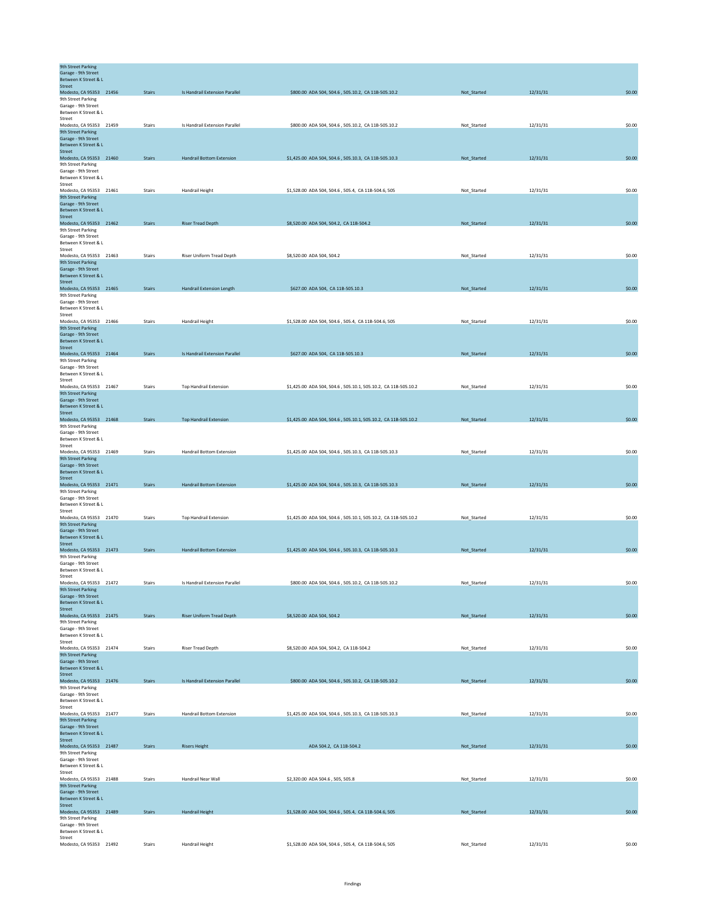| <b>9th Street Parking</b><br>Garage - 9th Street     |               |                                  |                                                                |             |          |        |
|------------------------------------------------------|---------------|----------------------------------|----------------------------------------------------------------|-------------|----------|--------|
| Between K Street & L<br>Street                       |               |                                  |                                                                |             |          |        |
| Modesto, CA 95353 21456<br>9th Street Parking        | <b>Stairs</b> | Is Handrail Extension Parallel   | \$800.00 ADA 504, 504.6, 505.10.2, CA 11B-505.10.2             | Not_Started | 12/31/31 | \$0.00 |
| Garage - 9th Street<br>Between K Street & L          |               |                                  |                                                                |             |          |        |
| Street<br>Modesto, CA 95353 21459                    | <b>Stairs</b> | Is Handrail Extension Parallel   | \$800.00 ADA 504, 504.6, 505.10.2, CA 11B-505.10.2             | Not_Started | 12/31/31 | \$0.00 |
| 9th Street Parking<br>Garage - 9th Street            |               |                                  |                                                                |             |          |        |
| Between K Street & L                                 |               |                                  |                                                                |             |          |        |
| Street<br>Modesto, CA 95353 21460                    | <b>Stairs</b> | <b>Handrail Bottom Extension</b> | \$1,425.00 ADA 504, 504.6, 505.10.3, CA 11B-505.10.3           | Not_Started | 12/31/31 | \$0.00 |
| 9th Street Parking<br>Garage - 9th Street            |               |                                  |                                                                |             |          |        |
| Between K Street & L<br>Street                       |               |                                  |                                                                |             |          |        |
| Modesto, CA 95353 21461<br>9th Street Parking        | <b>Stairs</b> | Handrail Height                  | \$1,528.00 ADA 504, 504.6, 505.4, CA 11B-504.6, 505            | Not_Started | 12/31/31 | \$0.00 |
| Garage - 9th Street<br>Between K Street & L          |               |                                  |                                                                |             |          |        |
| Street                                               |               |                                  |                                                                |             |          |        |
| Modesto, CA 95353 21462<br>9th Street Parking        | <b>Stairs</b> | <b>Riser Tread Depth</b>         | \$8,520.00 ADA 504, 504.2, CA 11B-504.2                        | Not_Started | 12/31/31 | \$0.00 |
| Garage - 9th Street<br>Between K Street & L          |               |                                  |                                                                |             |          |        |
| Street<br>Modesto, CA 95353 21463                    | Stairs        | Riser Uniform Tread Depth        | \$8,520.00 ADA 504, 504.2                                      | Not_Started | 12/31/31 | \$0.00 |
| 9th Street Parking<br>Garage - 9th Street            |               |                                  |                                                                |             |          |        |
| Between K Street & L<br>Street                       |               |                                  |                                                                |             |          |        |
| Modesto, CA 95353 21465                              | <b>Stairs</b> | Handrail Extension Length        | \$627.00 ADA 504, CA 11B-505.10.3                              | Not_Started | 12/31/31 | \$0.00 |
| 9th Street Parking<br>Garage - 9th Street            |               |                                  |                                                                |             |          |        |
| Between K Street & L<br>Street                       |               |                                  |                                                                |             |          |        |
| Modesto, CA 95353 21466<br><b>9th Street Parking</b> | Stairs        | Handrail Height                  | \$1,528.00 ADA 504, 504.6, 505.4, CA 11B-504.6, 505            | Not_Started | 12/31/31 | \$0.00 |
| Garage - 9th Street<br>Between K Street & L          |               |                                  |                                                                |             |          |        |
| Street<br>Modesto, CA 95353 21464                    | <b>Stairs</b> | Is Handrail Extension Parallel   | \$627.00 ADA 504, CA 11B-505.10.3                              | Not_Started | 12/31/31 | \$0.00 |
| 9th Street Parking<br>Garage - 9th Street            |               |                                  |                                                                |             |          |        |
| Between K Street & L                                 |               |                                  |                                                                |             |          |        |
| Street<br>Modesto, CA 95353 21467                    | <b>Stairs</b> | <b>Top Handrail Extension</b>    | \$1,425.00 ADA 504, 504.6, 505.10.1, 505.10.2, CA 11B-505.10.2 | Not_Started | 12/31/31 | \$0.00 |
| 9th Street Parking<br>Garage - 9th Street            |               |                                  |                                                                |             |          |        |
| Between K Street & L<br><b>Street</b>                |               |                                  |                                                                |             |          |        |
| Modesto, CA 95353 21468<br>9th Street Parking        | <b>Stairs</b> | <b>Top Handrail Extension</b>    | \$1,425.00 ADA 504, 504.6, 505.10.1, 505.10.2, CA 11B-505.10.2 | Not_Started | 12/31/31 | \$0.00 |
| Garage - 9th Street<br>Between K Street & L          |               |                                  |                                                                |             |          |        |
| Street<br>Modesto, CA 95353 21469                    | Stairs        | <b>Handrail Bottom Extension</b> | \$1,425,00 ADA 504, 504, 6, 505, 10.3, CA 11B-505, 10.3        | Not Started | 12/31/31 | \$0.00 |
| 9th Street Parking                                   |               |                                  |                                                                |             |          |        |
| Garage - 9th Street<br>Between K Street & L          |               |                                  |                                                                |             |          |        |
| <b>Street</b><br>Modesto, CA 95353 21471             | <b>Stairs</b> | <b>Handrail Bottom Extension</b> | \$1,425.00 ADA 504, 504.6, 505.10.3, CA 11B-505.10.3           | Not_Started | 12/31/31 | \$0.00 |
| 9th Street Parking<br>Garage - 9th Street            |               |                                  |                                                                |             |          |        |
| Between K Street & L<br>Street                       |               |                                  |                                                                |             |          |        |
| Modesto, CA 95353 21470<br>9th Street Parking        | Stairs        | <b>Top Handrail Extension</b>    | \$1,425.00 ADA 504, 504.6, 505.10.1, 505.10.2, CA 11B-505.10.2 | Not_Started | 12/31/31 | \$0.00 |
| Garage - 9th Street<br>Between K Street & L          |               |                                  |                                                                |             |          |        |
| Street                                               |               |                                  |                                                                |             |          |        |
| Modesto, CA 95353 21473<br>9th Street Parking        | <b>Stairs</b> | <b>Handrail Bottom Extension</b> | \$1,425.00 ADA 504, 504.6, 505.10.3, CA 11B-505.10.3           | Not_Started | 12/31/31 | \$0.00 |
| Garage - 9th Street<br>Between K Street & L          |               |                                  |                                                                |             |          |        |
| Street<br>Modesto, CA 95353 21472                    | Stairs        | Is Handrail Extension Parallel   | \$800.00 ADA 504, 504.6, 505.10.2, CA 11B-505.10.2             | Not_Started | 12/31/31 | \$0.00 |
| 9th Street Parking<br>Garage - 9th Street            |               |                                  |                                                                |             |          |        |
| Between K Street & L<br>Street                       |               |                                  |                                                                |             |          |        |
| Modesto, CA 95353 21475<br>9th Street Parking        | <b>Stairs</b> | <b>Riser Uniform Tread Depth</b> | \$8,520.00 ADA 504, 504.2                                      | Not_Started | 12/31/31 | \$0.00 |
| Garage - 9th Street                                  |               |                                  |                                                                |             |          |        |
| Between K Street & L<br>Street                       |               |                                  |                                                                |             |          |        |
| Modesto, CA 95353 21474<br>9th Street Parking        | Stairs        | Riser Tread Depth                | \$8,520.00 ADA 504, 504.2, CA 11B-504.2                        | Not_Started | 12/31/31 | \$0.00 |
| Garage - 9th Street<br>Between K Street & L          |               |                                  |                                                                |             |          |        |
| Street<br>Modesto, CA 95353 21476                    | <b>Stairs</b> | Is Handrail Extension Parallel   | \$800.00 ADA 504, 504.6, 505.10.2, CA 11B-505.10.2             | Not_Started | 12/31/31 | \$0.00 |
| 9th Street Parking<br>Garage - 9th Street            |               |                                  |                                                                |             |          |        |
| Between K Street & L<br>Street                       |               |                                  |                                                                |             |          |        |
| Modesto, CA 95353 21477<br>9th Street Parking        | <b>Stairs</b> | <b>Handrail Bottom Extension</b> | \$1,425.00 ADA 504, 504.6, 505.10.3, CA 11B-505.10.3           | Not_Started | 12/31/31 | \$0.00 |
| Garage - 9th Street                                  |               |                                  |                                                                |             |          |        |
| Between K Street & L<br>Street                       |               |                                  |                                                                |             |          |        |
| Modesto, CA 95353 21487<br>9th Street Parking        | <b>Stairs</b> | <b>Risers Height</b>             | ADA 504.2, CA 11B-504.2                                        | Not_Started | 12/31/31 | \$0.00 |
| Garage - 9th Street<br>Between K Street & L          |               |                                  |                                                                |             |          |        |
| Street<br>Modesto, CA 95353 21488                    | Stairs        | Handrail Near Wall               | \$2,320.00 ADA 504.6, 505, 505.8                               | Not_Started | 12/31/31 | \$0.00 |
| <b>9th Street Parking</b><br>Garage - 9th Street     |               |                                  |                                                                |             |          |        |
| Between K Street & L<br>Street                       |               |                                  |                                                                |             |          |        |
| Modesto, CA 95353 21489                              | <b>Stairs</b> | <b>Handrail Height</b>           | \$1,528.00 ADA 504, 504.6, 505.4, CA 11B-504.6, 505            | Not_Started | 12/31/31 | \$0.00 |
| 9th Street Parking<br>Garage - 9th Street            |               |                                  |                                                                |             |          |        |
| Between K Street & L<br>Street                       |               |                                  |                                                                |             |          |        |
| Modesto, CA 95353 21492                              | Stairs        | Handrail Height                  | \$1,528.00 ADA 504, 504.6, 505.4, CA 11B-504.6, 505            | Not_Started | 12/31/31 | \$0.00 |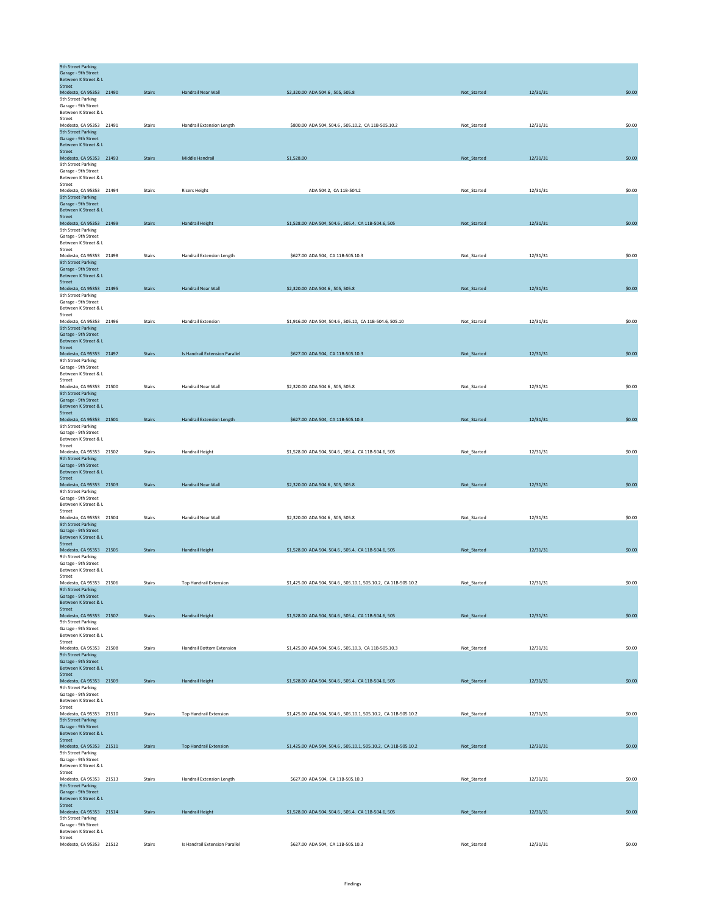| <b>9th Street Parking</b><br>Garage - 9th Street<br>Between K Street & L |               |                                  |                                                                |             |          |        |
|--------------------------------------------------------------------------|---------------|----------------------------------|----------------------------------------------------------------|-------------|----------|--------|
| <b>Street</b>                                                            |               |                                  |                                                                |             |          |        |
| Modesto, CA 95353 21490<br>9th Street Parking                            | <b>Stairs</b> | Handrail Near Wall               | \$2,320.00 ADA 504.6, 505, 505.8                               | Not_Started | 12/31/31 | \$0.00 |
| Garage - 9th Street                                                      |               |                                  |                                                                |             |          |        |
| Between K Street & L                                                     |               |                                  |                                                                |             |          |        |
| Street<br>Modesto, CA 95353 21491                                        | Stairs        | Handrail Extension Length        | \$800.00 ADA 504, 504.6, 505.10.2, CA 11B-505.10.2             | Not_Started | 12/31/31 | \$0.00 |
| 9th Street Parking                                                       |               |                                  |                                                                |             |          |        |
| Garage - 9th Street<br>Between K Street & L                              |               |                                  |                                                                |             |          |        |
| Street                                                                   |               |                                  |                                                                |             |          |        |
| Modesto, CA 95353 21493                                                  | <b>Stairs</b> | Middle Handrail                  | \$1,528.00                                                     | Not_Started | 12/31/31 | \$0.00 |
| 9th Street Parking<br>Garage - 9th Street                                |               |                                  |                                                                |             |          |        |
| Between K Street & L                                                     |               |                                  |                                                                |             |          |        |
| Street<br>Modesto, CA 95353 21494                                        | Stairs        | <b>Risers Height</b>             | ADA 504.2, CA 11B-504.2                                        | Not_Started | 12/31/31 | \$0.00 |
| 9th Street Parking                                                       |               |                                  |                                                                |             |          |        |
| Garage - 9th Street<br><b>Between K Street &amp; L</b>                   |               |                                  |                                                                |             |          |        |
| Street                                                                   |               |                                  |                                                                |             |          |        |
| Modesto, CA 95353 21499                                                  | <b>Stairs</b> | Handrail Height                  | \$1,528.00 ADA 504, 504.6, 505.4, CA 11B-504.6, 505            | Not_Started | 12/31/31 | \$0.00 |
| 9th Street Parking<br>Garage - 9th Street                                |               |                                  |                                                                |             |          |        |
| Between K Street & L                                                     |               |                                  |                                                                |             |          |        |
| Street                                                                   |               |                                  |                                                                |             |          |        |
| Modesto, CA 95353 21498<br>9th Street Parking                            | Stairs        | Handrail Extension Length        | \$627.00 ADA 504, CA 11B-505.10.3                              | Not_Started | 12/31/31 | \$0.00 |
| Garage - 9th Street                                                      |               |                                  |                                                                |             |          |        |
| Between K Street & L<br>Street                                           |               |                                  |                                                                |             |          |        |
| Modesto, CA 95353 21495                                                  | <b>Stairs</b> | Handrail Near Wall               | \$2,320.00 ADA 504.6, 505, 505.8                               | Not_Started | 12/31/31 | \$0.00 |
| 9th Street Parking<br>Garage - 9th Street                                |               |                                  |                                                                |             |          |        |
| Between K Street & L                                                     |               |                                  |                                                                |             |          |        |
| Street                                                                   |               |                                  |                                                                |             |          |        |
| Modesto, CA 95353 21496<br><b>9th Street Parking</b>                     | <b>Stairs</b> | <b>Handrail Extension</b>        | \$1,916.00 ADA 504, 504.6, 505.10, CA 11B-504.6, 505.10        | Not_Started | 12/31/31 | \$0.00 |
| Garage - 9th Street                                                      |               |                                  |                                                                |             |          |        |
| Between K Street & L<br><b>Street</b>                                    |               |                                  |                                                                |             |          |        |
| Modesto, CA 95353 21497                                                  | <b>Stairs</b> | Is Handrail Extension Parallel   | \$627.00 ADA 504, CA 11B-505.10.3                              | Not_Started | 12/31/31 | \$0.00 |
| 9th Street Parking                                                       |               |                                  |                                                                |             |          |        |
| Garage - 9th Street<br>Between K Street & L                              |               |                                  |                                                                |             |          |        |
| Street                                                                   |               |                                  |                                                                |             |          |        |
| Modesto, CA 95353 21500<br>9th Street Parking                            | <b>Stairs</b> | Handrail Near Wall               | \$2,320,00 ADA 504.6, 505, 505.8                               | Not Started | 12/31/31 | \$0.00 |
| Garage - 9th Street                                                      |               |                                  |                                                                |             |          |        |
| Between K Street & L<br>Street                                           |               |                                  |                                                                |             |          |        |
| Modesto, CA 95353 21501                                                  | <b>Stairs</b> | <b>Handrail Extension Length</b> | \$627.00 ADA 504, CA 11B-505.10.3                              | Not_Started | 12/31/31 | \$0.00 |
| 9th Street Parking                                                       |               |                                  |                                                                |             |          |        |
| Garage - 9th Street<br>Between K Street & L                              |               |                                  |                                                                |             |          |        |
| Street                                                                   |               |                                  |                                                                |             |          |        |
| Modesto, CA 95353 21502                                                  | Stairs        | <b>Handrail Height</b>           | \$1,528.00 ADA 504, 504.6, 505.4, CA 11B-504.6, 505            | Not_Started | 12/31/31 | \$0.00 |
| 9th Street Parking<br>Garage - 9th Street                                |               |                                  |                                                                |             |          |        |
| Between K Street & L                                                     |               |                                  |                                                                |             |          |        |
| Street<br>Modesto, CA 95353 21503                                        | <b>Stairs</b> | Handrail Near Wall               | \$2,320.00 ADA 504.6, 505, 505.8                               | Not_Started | 12/31/31 | \$0.00 |
| 9th Street Parking                                                       |               |                                  |                                                                |             |          |        |
| Garage - 9th Street<br>Between K Street & L                              |               |                                  |                                                                |             |          |        |
| Street                                                                   |               |                                  |                                                                |             |          |        |
| Modesto, CA 95353 21504                                                  | Stairs        | Handrail Near Wall               | \$2,320.00 ADA 504.6, 505, 505.8                               | Not_Started | 12/31/31 | \$0.00 |
| 9th Street Parking<br>Garage - 9th Street                                |               |                                  |                                                                |             |          |        |
| Between K Street & L                                                     |               |                                  |                                                                |             |          |        |
| Street<br>Modesto, CA 95353 21505                                        | <b>Stairs</b> | Handrail Height                  |                                                                | Not_Started | 12/31/31 | \$0.00 |
| 9th Street Parking                                                       |               |                                  | \$1,528.00 ADA 504, 504.6, 505.4, CA 11B-504.6, 505            |             |          |        |
| Garage - 9th Street                                                      |               |                                  |                                                                |             |          |        |
| Between K Street & L<br>Street                                           |               |                                  |                                                                |             |          |        |
| Modesto, CA 95353 21506                                                  | Stairs        | <b>Top Handrail Extension</b>    | \$1,425.00 ADA 504, 504.6, 505.10.1, 505.10.2, CA 11B-505.10.2 | Not_Started | 12/31/31 | \$0.00 |
| <b>9th Street Parking</b><br>Garage - 9th Street                         |               |                                  |                                                                |             |          |        |
| Between K Street & L                                                     |               |                                  |                                                                |             |          |        |
| <b>Street</b>                                                            | <b>Stairs</b> |                                  |                                                                |             |          |        |
| Modesto, CA 95353 21507<br>9th Street Parking                            |               | Handrail Height                  | \$1,528.00 ADA 504, 504.6, 505.4, CA 11B-504.6, 505            | Not_Started | 12/31/31 | \$0.00 |
| Garage - 9th Street                                                      |               |                                  |                                                                |             |          |        |
| Between K Street & L<br>Street                                           |               |                                  |                                                                |             |          |        |
| Modesto, CA 95353 21508                                                  | <b>Stairs</b> | <b>Handrail Bottom Extension</b> | \$1,425.00 ADA 504, 504.6, 505.10.3, CA 11B-505.10.3           | Not_Started | 12/31/31 | \$0.00 |
| <b>9th Street Parking</b><br>Garage - 9th Street                         |               |                                  |                                                                |             |          |        |
| Between K Street & L                                                     |               |                                  |                                                                |             |          |        |
| <b>Street</b>                                                            |               |                                  |                                                                |             |          |        |
| Modesto, CA 95353 21509<br>9th Street Parking                            | <b>Stairs</b> | Handrail Height                  | \$1,528.00 ADA 504, 504.6, 505.4, CA 11B-504.6, 505            | Not_Started | 12/31/31 | \$0.00 |
| Garage - 9th Street                                                      |               |                                  |                                                                |             |          |        |
| Between K Street & L<br>Street                                           |               |                                  |                                                                |             |          |        |
| Modesto, CA 95353 21510                                                  | Stairs        | <b>Top Handrail Extension</b>    | \$1,425.00 ADA 504, 504.6, 505.10.1, 505.10.2, CA 11B-505.10.2 | Not_Started | 12/31/31 | \$0.00 |
| 9th Street Parking                                                       |               |                                  |                                                                |             |          |        |
| Garage - 9th Street<br>Between K Street & L                              |               |                                  |                                                                |             |          |        |
| Street                                                                   |               |                                  |                                                                |             |          |        |
| Modesto, CA 95353 21511<br>9th Street Parking                            | <b>Stairs</b> | <b>Top Handrail Extension</b>    | \$1,425.00 ADA 504, 504.6, 505.10.1, 505.10.2, CA 11B-505.10.2 | Not_Started | 12/31/31 | \$0.00 |
| Garage - 9th Street                                                      |               |                                  |                                                                |             |          |        |
| Between K Street & L                                                     |               |                                  |                                                                |             |          |        |
| Street<br>Modesto, CA 95353 21513                                        | Stairs        | Handrail Extension Length        | \$627.00 ADA 504, CA 11B-505.10.3                              | Not_Started | 12/31/31 | \$0.00 |
| 9th Street Parking                                                       |               |                                  |                                                                |             |          |        |
| Garage - 9th Street<br>Between K Street & L                              |               |                                  |                                                                |             |          |        |
| Street                                                                   |               |                                  |                                                                |             |          |        |
| Modesto, CA 95353 21514<br>9th Street Parking                            | <b>Stairs</b> | <b>Handrail Height</b>           | \$1,528.00 ADA 504, 504.6, 505.4, CA 11B-504.6, 505            | Not_Started | 12/31/31 | \$0.00 |
| Garage - 9th Street                                                      |               |                                  |                                                                |             |          |        |
| Between K Street & L<br>Street                                           |               |                                  |                                                                |             |          |        |
| Modesto, CA 95353 21512                                                  | Stairs        | Is Handrail Extension Parallel   | \$627.00 ADA 504, CA 11B-505.10.3                              | Not_Started | 12/31/31 | \$0.00 |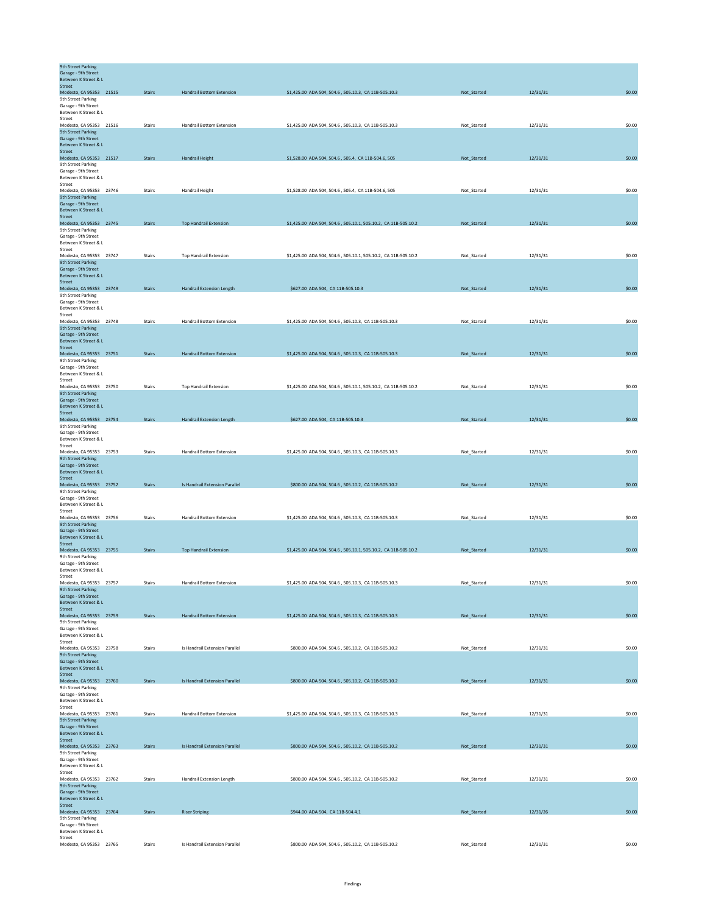| <b>9th Street Parking</b><br>Garage - 9th Street          |               |                                  |                                                                |             |          |        |
|-----------------------------------------------------------|---------------|----------------------------------|----------------------------------------------------------------|-------------|----------|--------|
| Between K Street & L<br>Street<br>Modesto, CA 95353 21515 | <b>Stairs</b> | <b>Handrail Bottom Extension</b> | \$1,425.00 ADA 504, 504.6, 505.10.3, CA 11B-505.10.3           | Not_Started | 12/31/31 | \$0.00 |
| 9th Street Parking                                        |               |                                  |                                                                |             |          |        |
| Garage - 9th Street                                       |               |                                  |                                                                |             |          |        |
| Between K Street & L<br>Street                            |               |                                  |                                                                |             |          |        |
| Modesto, CA 95353 21516                                   | Stairs        | <b>Handrail Bottom Extension</b> | \$1,425.00 ADA 504, 504.6, 505.10.3, CA 11B-505.10.3           | Not_Started | 12/31/31 | \$0.00 |
| <b>9th Street Parking</b>                                 |               |                                  |                                                                |             |          |        |
| Garage - 9th Street<br>Between K Street & L               |               |                                  |                                                                |             |          |        |
| Street                                                    |               |                                  |                                                                |             |          |        |
| Modesto, CA 95353 21517                                   | <b>Stairs</b> | <b>Handrail Height</b>           | \$1,528.00 ADA 504, 504.6, 505.4, CA 11B-504.6, 505            | Not_Started | 12/31/31 | \$0.00 |
| 9th Street Parking<br>Garage - 9th Street                 |               |                                  |                                                                |             |          |        |
| Between K Street & L                                      |               |                                  |                                                                |             |          |        |
| Street                                                    |               |                                  |                                                                |             |          |        |
| Modesto, CA 95353 23746<br>9th Street Parking             | Stairs        | Handrail Height                  | \$1,528.00 ADA 504, 504.6, 505.4, CA 11B-504.6, 505            | Not_Started | 12/31/31 | \$0.00 |
| Garage - 9th Street                                       |               |                                  |                                                                |             |          |        |
| Between K Street & L<br><b>Street</b>                     |               |                                  |                                                                |             |          |        |
| Modesto, CA 95353 23745                                   | Stairs        | <b>Top Handrail Extension</b>    | \$1,425.00 ADA 504, 504.6, 505.10.1, 505.10.2, CA 11B-505.10.2 | Not_Started | 12/31/31 | \$0.00 |
| 9th Street Parking                                        |               |                                  |                                                                |             |          |        |
| Garage - 9th Street<br>Between K Street & L               |               |                                  |                                                                |             |          |        |
| Street                                                    |               |                                  |                                                                |             |          |        |
| Modesto, CA 95353 23747                                   | Stairs        | <b>Top Handrail Extension</b>    | \$1,425.00 ADA 504, 504.6, 505.10.1, 505.10.2, CA 11B-505.10.2 | Not_Started | 12/31/31 | \$0.00 |
| 9th Street Parking<br>Garage - 9th Street                 |               |                                  |                                                                |             |          |        |
| Between K Street & L                                      |               |                                  |                                                                |             |          |        |
| Street<br>Modesto, CA 95353 23749                         | <b>Stairs</b> | <b>Handrail Extension Length</b> | \$627.00 ADA 504, CA 11B-505.10.3                              | Not Started | 12/31/31 | \$0.00 |
| 9th Street Parking                                        |               |                                  |                                                                |             |          |        |
| Garage - 9th Street                                       |               |                                  |                                                                |             |          |        |
| Between K Street & L<br>Street                            |               |                                  |                                                                |             |          |        |
| Modesto, CA 95353 23748                                   | Stairs        | Handrail Bottom Extension        | \$1,425.00 ADA 504, 504.6, 505.10.3, CA 11B-505.10.3           | Not_Started | 12/31/31 | \$0.00 |
| 9th Street Parking                                        |               |                                  |                                                                |             |          |        |
| Garage - 9th Street<br>Between K Street & L               |               |                                  |                                                                |             |          |        |
| Street                                                    |               |                                  |                                                                |             |          |        |
| Modesto, CA 95353 23751<br>9th Street Parking             | <b>Stairs</b> | <b>Handrail Bottom Extension</b> | \$1,425.00 ADA 504, 504.6, 505.10.3, CA 11B-505.10.3           | Not_Started | 12/31/31 | \$0.00 |
| Garage - 9th Street                                       |               |                                  |                                                                |             |          |        |
| Between K Street & L                                      |               |                                  |                                                                |             |          |        |
| Street<br>Modesto, CA 95353 23750                         | Stairs        | <b>Top Handrail Extension</b>    | \$1,425.00 ADA 504, 504.6, 505.10.1, 505.10.2, CA 11B-505.10.2 | Not_Started | 12/31/31 | \$0.00 |
| 9th Street Parking                                        |               |                                  |                                                                |             |          |        |
| Garage - 9th Street                                       |               |                                  |                                                                |             |          |        |
| Between K Street & L<br>Street                            |               |                                  |                                                                |             |          |        |
| Modesto, CA 95353 23754                                   | <b>Stairs</b> | Handrail Extension Length        | \$627.00 ADA 504, CA 11B-505.10.3                              | Not_Started | 12/31/31 | \$0.00 |
| 9th Street Parking<br>Garage - 9th Street                 |               |                                  |                                                                |             |          |        |
| Between K Street & L                                      |               |                                  |                                                                |             |          |        |
| Street                                                    |               |                                  |                                                                |             |          |        |
| Modesto, CA 95353 23753<br>9th Street Parking             | Stairs        | <b>Handrail Bottom Extension</b> | \$1,425.00 ADA 504, 504.6, 505.10.3, CA 11B-505.10.3           | Not_Started | 12/31/31 | \$0.00 |
| Garage - 9th Street                                       |               |                                  |                                                                |             |          |        |
| Between K Street & L                                      |               |                                  |                                                                |             |          |        |
| <b>Street</b><br>Modesto, CA 95353 23752                  | Stairs        | Is Handrail Extension Parallel   | \$800.00 ADA 504, 504.6, 505.10.2, CA 11B-505.10.2             | Not_Started | 12/31/31 | \$0.00 |
| 9th Street Parking                                        |               |                                  |                                                                |             |          |        |
| Garage - 9th Street<br>Between K Street & L               |               |                                  |                                                                |             |          |        |
| Street                                                    |               |                                  |                                                                |             |          |        |
| Modesto, CA 95353 23756                                   | Stairs        | <b>Handrail Bottom Extension</b> | \$1,425.00 ADA 504, 504.6, 505.10.3, CA 11B-505.10.3           | Not_Started | 12/31/31 | \$0.00 |
| 9th Street Parking<br>Garage - 9th Street                 |               |                                  |                                                                |             |          |        |
| Between K Street & L                                      |               |                                  |                                                                |             |          |        |
| Street                                                    |               |                                  |                                                                |             |          |        |
| Modesto, CA 95353 23755<br>9th Street Parking             | <b>Stairs</b> | <b>Top Handrail Extension</b>    | \$1,425.00 ADA 504, 504.6, 505.10.1, 505.10.2, CA 11B-505.10.2 | Not_Started | 12/31/31 | \$0.00 |
| Garage - 9th Street                                       |               |                                  |                                                                |             |          |        |
| Between K Street & L<br>Street                            |               |                                  |                                                                |             |          |        |
| Modesto, CA 95353 23757                                   | Stairs        | Handrail Bottom Extension        | \$1,425.00 ADA 504, 504.6, 505.10.3, CA 11B-505.10.3           | Not_Started | 12/31/31 | \$0.00 |
| 9th Street Parking                                        |               |                                  |                                                                |             |          |        |
| Garage - 9th Street<br>Between K Street & L               |               |                                  |                                                                |             |          |        |
| Street                                                    |               |                                  |                                                                |             |          |        |
| Modesto, CA 95353 23759                                   | <b>Stairs</b> | Handrail Bottom Extension        | \$1,425.00 ADA 504, 504.6, 505.10.3, CA 11B-505.10.3           | Not_Started | 12/31/31 | \$0.00 |
| 9th Street Parking<br>Garage - 9th Street                 |               |                                  |                                                                |             |          |        |
| Between K Street & L                                      |               |                                  |                                                                |             |          |        |
| Street                                                    | Stairs        | Is Handrail Extension Parallel   |                                                                |             |          | \$0.00 |
| Modesto, CA 95353 23758<br>9th Street Parking             |               |                                  | \$800.00 ADA 504, 504.6, 505.10.2, CA 11B-505.10.2             | Not_Started | 12/31/31 |        |
| Garage - 9th Street                                       |               |                                  |                                                                |             |          |        |
| Between K Street & L<br>Street                            |               |                                  |                                                                |             |          |        |
| Modesto, CA 95353 23760                                   | <b>Stairs</b> | Is Handrail Extension Parallel   | \$800.00 ADA 504, 504.6, 505.10.2, CA 11B-505.10.2             | Not_Started | 12/31/31 | \$0.00 |
| 9th Street Parking<br>Garage - 9th Street                 |               |                                  |                                                                |             |          |        |
| Between K Street & L                                      |               |                                  |                                                                |             |          |        |
| Street                                                    |               |                                  |                                                                |             |          |        |
| Modesto, CA 95353 23761<br><b>9th Street Parking</b>      | Stairs        | Handrail Bottom Extension        | \$1,425.00 ADA 504, 504.6, 505.10.3, CA 11B-505.10.3           | Not_Started | 12/31/31 | \$0.00 |
| Garage - 9th Street                                       |               |                                  |                                                                |             |          |        |
| Between K Street & L                                      |               |                                  |                                                                |             |          |        |
| Street<br>Modesto, CA 95353 23763                         | <b>Stairs</b> | Is Handrail Extension Parallel   | \$800.00 ADA 504, 504.6, 505.10.2, CA 11B-505.10.2             | Not_Started | 12/31/31 | \$0.00 |
| 9th Street Parking                                        |               |                                  |                                                                |             |          |        |
| Garage - 9th Street<br>Between K Street & L               |               |                                  |                                                                |             |          |        |
| Street                                                    |               |                                  |                                                                |             |          |        |
| Modesto, CA 95353 23762                                   | Stairs        | Handrail Extension Length        | \$800.00 ADA 504, 504.6, 505.10.2, CA 11B-505.10.2             | Not_Started | 12/31/31 | \$0.00 |
| 9th Street Parking<br>Garage - 9th Street                 |               |                                  |                                                                |             |          |        |
| Between K Street & L                                      |               |                                  |                                                                |             |          |        |
| <b>Street</b><br>Modesto, CA 95353 23764                  | <b>Stairs</b> | <b>Riser Striping</b>            | \$944.00 ADA 504, CA 11B-504.4.1                               | Not_Started | 12/31/26 | \$0.00 |
| 9th Street Parking                                        |               |                                  |                                                                |             |          |        |
| Garage - 9th Street                                       |               |                                  |                                                                |             |          |        |
| Between K Street & L<br>Street                            |               |                                  |                                                                |             |          |        |
| Modesto, CA 95353 23765                                   | Stairs        | Is Handrail Extension Parallel   | \$800.00 ADA 504, 504.6, 505.10.2, CA 11B-505.10.2             | Not_Started | 12/31/31 | \$0.00 |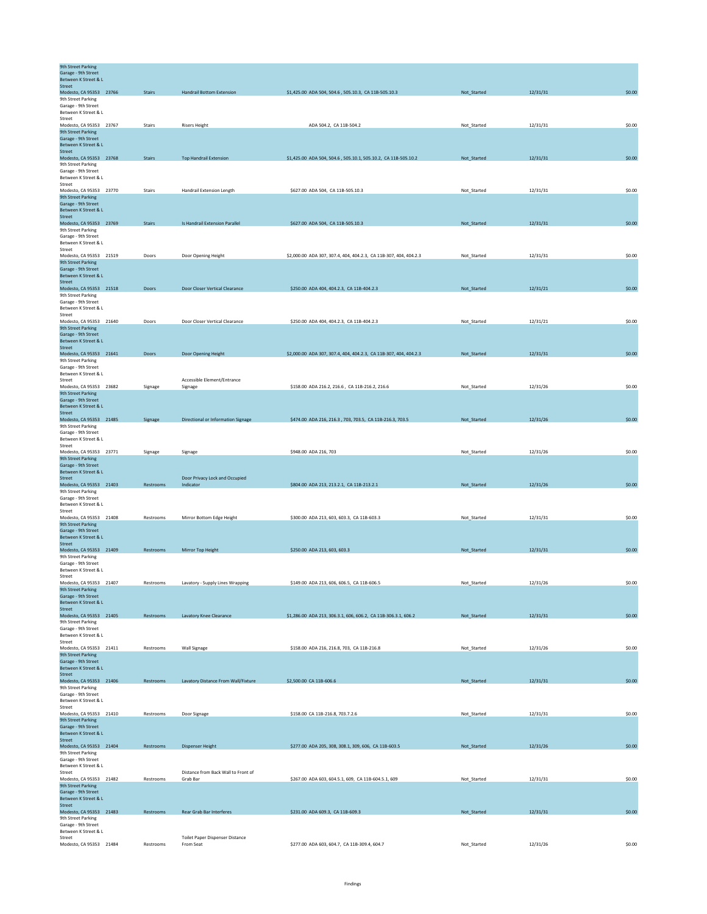| <b>9th Street Parking</b><br>Garage - 9th Street<br>Between K Street & L |               |                                                 |                                                                   |             |          |        |
|--------------------------------------------------------------------------|---------------|-------------------------------------------------|-------------------------------------------------------------------|-------------|----------|--------|
| <b>Street</b>                                                            |               |                                                 |                                                                   |             |          |        |
| Modesto, CA 95353 23766                                                  | <b>Stairs</b> | <b>Handrail Bottom Extension</b>                | \$1,425.00 ADA 504, 504.6, 505.10.3, CA 11B-505.10.3              | Not_Started | 12/31/31 | \$0.00 |
| 9th Street Parking<br>Garage - 9th Street                                |               |                                                 |                                                                   |             |          |        |
| Between K Street & L                                                     |               |                                                 |                                                                   |             |          |        |
| Street                                                                   |               |                                                 |                                                                   |             |          |        |
| Modesto, CA 95353 23767                                                  | Stairs        | <b>Risers Height</b>                            | ADA 504.2, CA 11B-504.2                                           | Not_Started | 12/31/31 | \$0.00 |
| 9th Street Parking<br>Garage - 9th Street                                |               |                                                 |                                                                   |             |          |        |
| Between K Street & L                                                     |               |                                                 |                                                                   |             |          |        |
| Street                                                                   |               |                                                 |                                                                   |             |          |        |
| Modesto, CA 95353 23768<br>9th Street Parking                            | <b>Stairs</b> | <b>Top Handrail Extension</b>                   | \$1,425.00 ADA 504, 504.6, 505.10.1, 505.10.2, CA 11B-505.10.2    | Not_Started | 12/31/31 | \$0.00 |
| Garage - 9th Street                                                      |               |                                                 |                                                                   |             |          |        |
| Between K Street & L                                                     |               |                                                 |                                                                   |             |          |        |
| Street                                                                   |               |                                                 |                                                                   |             |          |        |
| Modesto, CA 95353 23770<br>9th Street Parking                            | Stairs        | Handrail Extension Length                       | \$627.00 ADA 504, CA 11B-505.10.3                                 | Not_Started | 12/31/31 | \$0.00 |
| Garage - 9th Street                                                      |               |                                                 |                                                                   |             |          |        |
| Between K Street & L                                                     |               |                                                 |                                                                   |             |          |        |
| Street<br>Modesto, CA 95353 23769                                        | <b>Stairs</b> | Is Handrail Extension Parallel                  | \$627.00 ADA 504, CA 11B-505.10.3                                 | Not_Started | 12/31/31 | \$0.00 |
| 9th Street Parking                                                       |               |                                                 |                                                                   |             |          |        |
| Garage - 9th Street                                                      |               |                                                 |                                                                   |             |          |        |
| Between K Street & L<br>Street                                           |               |                                                 |                                                                   |             |          |        |
| Modesto, CA 95353 21519                                                  | Doors         | Door Opening Height                             | \$2,000.00 ADA 307, 307.4, 404, 404.2.3, CA 11B-307, 404, 404.2.3 | Not_Started | 12/31/31 | \$0.00 |
| 9th Street Parking                                                       |               |                                                 |                                                                   |             |          |        |
| Garage - 9th Street<br>Between K Street & L                              |               |                                                 |                                                                   |             |          |        |
| <b>Street</b>                                                            |               |                                                 |                                                                   |             |          |        |
| Modesto, CA 95353 21518                                                  | Doors         | <b>Door Closer Vertical Clearance</b>           | \$250.00 ADA 404, 404.2.3, CA 11B-404.2.3                         | Not_Started | 12/31/21 | \$0.00 |
| 9th Street Parking<br>Garage - 9th Street                                |               |                                                 |                                                                   |             |          |        |
| Between K Street & L                                                     |               |                                                 |                                                                   |             |          |        |
| Street                                                                   |               |                                                 |                                                                   |             |          |        |
| Modesto, CA 95353 21640<br>9th Street Parking                            | Doors         | Door Closer Vertical Clearance                  | \$250.00 ADA 404, 404.2.3, CA 11B-404.2.3                         | Not_Started | 12/31/21 | \$0.00 |
| Garage - 9th Street                                                      |               |                                                 |                                                                   |             |          |        |
| Between K Street & L                                                     |               |                                                 |                                                                   |             |          |        |
| <b>Street</b><br>Modesto, CA 95353 21641                                 | Doors         | Door Opening Height                             | \$2,000.00 ADA 307, 307.4, 404, 404.2.3, CA 11B-307, 404, 404.2.3 | Not_Started | 12/31/31 | \$0.00 |
| 9th Street Parking                                                       |               |                                                 |                                                                   |             |          |        |
| Garage - 9th Street                                                      |               |                                                 |                                                                   |             |          |        |
| Between K Street & L<br>Street                                           |               | Accessible Element/Entrance                     |                                                                   |             |          |        |
| Modesto, CA 95353 23682                                                  | Signage       | Signage                                         | \$158.00 ADA 216.2, 216.6, CA 11B-216.2, 216.6                    | Not Started | 12/31/26 | \$0.00 |
| 9th Street Parking                                                       |               |                                                 |                                                                   |             |          |        |
| Garage - 9th Street<br>Between K Street & L                              |               |                                                 |                                                                   |             |          |        |
| Street                                                                   |               |                                                 |                                                                   |             |          |        |
| Modesto, CA 95353 21485                                                  | Signage       | Directional or Information Signage              | \$474.00 ADA 216, 216.3, 703, 703.5, CA 11B-216.3, 703.5          | Not_Started | 12/31/26 | \$0.00 |
| 9th Street Parking<br>Garage - 9th Street                                |               |                                                 |                                                                   |             |          |        |
| Between K Street & L                                                     |               |                                                 |                                                                   |             |          |        |
| Street                                                                   |               |                                                 |                                                                   |             |          |        |
| Modesto, CA 95353 23771<br>9th Street Parking                            | Signage       | Signage                                         | \$948.00 ADA 216, 703                                             | Not_Started | 12/31/26 | \$0.00 |
| Garage - 9th Street                                                      |               |                                                 |                                                                   |             |          |        |
| Between K Street & L                                                     |               |                                                 |                                                                   |             |          |        |
| Street<br>Modesto, CA 95353 21403                                        | Restrooms     | Door Privacy Lock and Occupied<br>Indicator     | \$804.00 ADA 213, 213.2.1, CA 11B-213.2.1                         | Not_Started | 12/31/26 | \$0.00 |
| 9th Street Parking                                                       |               |                                                 |                                                                   |             |          |        |
| Garage - 9th Street                                                      |               |                                                 |                                                                   |             |          |        |
| Between K Street & L<br>Street                                           |               |                                                 |                                                                   |             |          |        |
| Modesto, CA 95353 21408                                                  | Restrooms     | Mirror Bottom Edge Height                       | \$300.00 ADA 213, 603, 603.3, CA 11B-603.3                        | Not_Started | 12/31/31 | \$0.00 |
| 9th Street Parking                                                       |               |                                                 |                                                                   |             |          |        |
| Garage - 9th Street<br>Between K Street & L                              |               |                                                 |                                                                   |             |          |        |
| Street                                                                   |               |                                                 |                                                                   |             |          |        |
| Modesto, CA 95353 21409                                                  | Restrooms     | Mirror Top Height                               | \$250.00 ADA 213, 603, 603.3                                      | Not Started | 12/31/31 | \$0.00 |
| 9th Street Parking                                                       |               |                                                 |                                                                   |             |          |        |
| Garage - 9th Street<br>Between K Street & L                              |               |                                                 |                                                                   |             |          |        |
| Street                                                                   |               |                                                 |                                                                   |             |          |        |
| Modesto, CA 95353 21407                                                  | Restrooms     | Lavatory - Supply Lines Wrapping                | \$149.00 ADA 213, 606, 606.5, CA 11B-606.5                        | Not_Started | 12/31/26 | \$0.00 |
| 9th Street Parking<br>Garage - 9th Street                                |               |                                                 |                                                                   |             |          |        |
| Between K Street & L                                                     |               |                                                 |                                                                   |             |          |        |
| Street                                                                   | Restrooms     |                                                 |                                                                   |             |          | \$0.00 |
| Modesto, CA 95353 21405<br>9th Street Parking                            |               | <b>Lavatory Knee Clearance</b>                  | \$1,286.00 ADA 213, 306.3.1, 606, 606.2, CA 11B-306.3.1, 606.2    | Not_Started | 12/31/31 |        |
| Garage - 9th Street                                                      |               |                                                 |                                                                   |             |          |        |
| Between K Street & L                                                     |               |                                                 |                                                                   |             |          |        |
| Street<br>Modesto, CA 95353 21411                                        | Restrooms     | Wall Signage                                    | \$158.00 ADA 216, 216.8, 703, CA 11B-216.8                        | Not_Started | 12/31/26 | \$0.00 |
| 9th Street Parking                                                       |               |                                                 |                                                                   |             |          |        |
| Garage - 9th Street<br>Between K Street & L                              |               |                                                 |                                                                   |             |          |        |
| Street                                                                   |               |                                                 |                                                                   |             |          |        |
| Modesto, CA 95353 21406                                                  | Restrooms     | Lavatory Distance From Wall/Fixture             | \$2,500.00 CA 11B-606.6                                           | Not_Started | 12/31/31 | \$0.00 |
| 9th Street Parking<br>Garage - 9th Street                                |               |                                                 |                                                                   |             |          |        |
| Between K Street & L                                                     |               |                                                 |                                                                   |             |          |        |
| Street                                                                   |               |                                                 |                                                                   |             |          |        |
| Modesto, CA 95353 21410<br>9th Street Parking                            | Restrooms     | Door Signage                                    | \$158.00 CA 11B-216.8, 703.7.2.6                                  | Not Started | 12/31/31 | \$0.00 |
| Garage - 9th Street                                                      |               |                                                 |                                                                   |             |          |        |
| Between K Street & L                                                     |               |                                                 |                                                                   |             |          |        |
| Street                                                                   |               |                                                 |                                                                   |             |          |        |
|                                                                          |               |                                                 |                                                                   |             |          |        |
| Modesto, CA 95353 21404<br>9th Street Parking                            | Restrooms     | <b>Dispenser Height</b>                         | \$277.00 ADA 205, 308, 308.1, 309, 606, CA 11B-603.5              | Not_Started | 12/31/26 | \$0.00 |
| Garage - 9th Street                                                      |               |                                                 |                                                                   |             |          |        |
| Between K Street & L                                                     |               |                                                 |                                                                   |             |          |        |
| Street<br>Modesto, CA 95353 21482                                        | Restrooms     | Distance from Back Wall to Front of<br>Grab Bar | \$267.00 ADA 603, 604.5.1, 609, CA 11B-604.5.1, 609               | Not_Started | 12/31/31 | \$0.00 |
| 9th Street Parking                                                       |               |                                                 |                                                                   |             |          |        |
| Garage - 9th Street                                                      |               |                                                 |                                                                   |             |          |        |
| Between K Street & L<br>Street                                           |               |                                                 |                                                                   |             |          |        |
| Modesto, CA 95353 21483                                                  | Restrooms     | <b>Rear Grab Bar Interferes</b>                 | \$231.00 ADA 609.3, CA 11B-609.3                                  | Not_Started | 12/31/31 | \$0.00 |
| 9th Street Parking<br>Garage - 9th Street                                |               |                                                 |                                                                   |             |          |        |
| Between K Street & L<br>Street                                           |               | Toilet Paper Dispenser Distance                 |                                                                   |             |          |        |